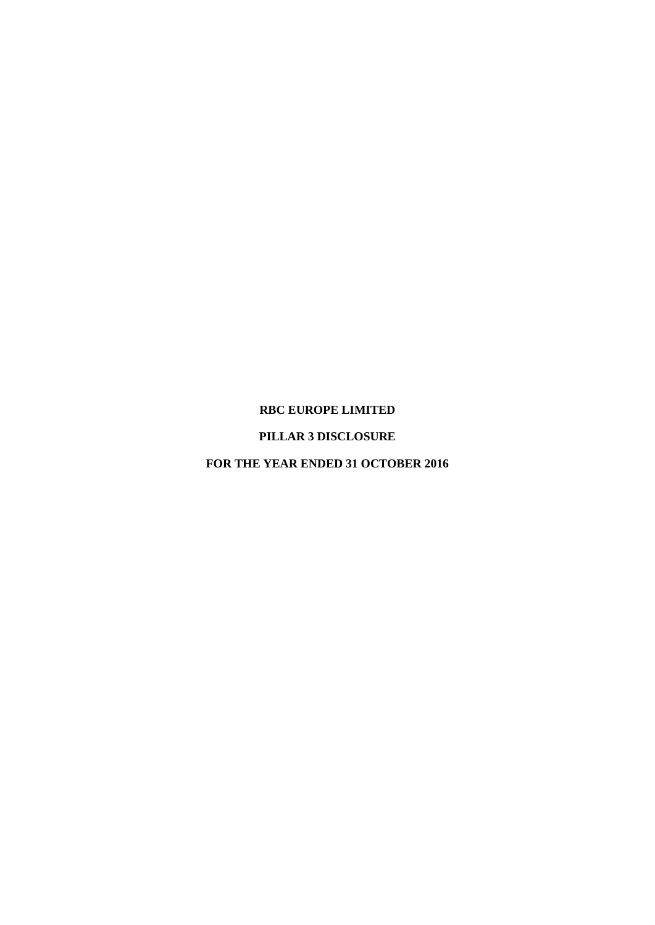#### **RBC EUROPE LIMITED**

### **PILLAR 3 DISCLOSURE**

**FOR THE YEAR ENDED 31 OCTOBER 2016**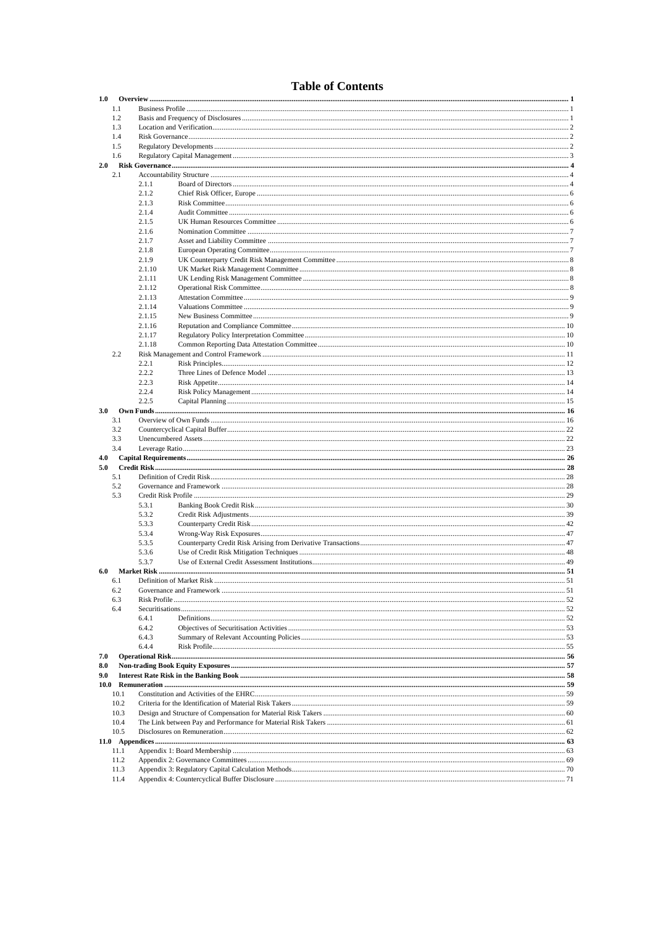## **Table of Contents**

|     | 1.0          |        |  |  |  |  |  |
|-----|--------------|--------|--|--|--|--|--|
|     | 1.1          |        |  |  |  |  |  |
|     |              |        |  |  |  |  |  |
|     | 1.2          |        |  |  |  |  |  |
|     | 1.3          |        |  |  |  |  |  |
|     | 1.4          |        |  |  |  |  |  |
|     |              |        |  |  |  |  |  |
|     | 1.5          |        |  |  |  |  |  |
|     | 1.6          |        |  |  |  |  |  |
|     |              |        |  |  |  |  |  |
| 2.0 |              |        |  |  |  |  |  |
|     | 2.1          |        |  |  |  |  |  |
|     |              | 2.1.1  |  |  |  |  |  |
|     |              |        |  |  |  |  |  |
|     |              | 2.1.2  |  |  |  |  |  |
|     |              | 2.1.3  |  |  |  |  |  |
|     |              | 2.1.4  |  |  |  |  |  |
|     |              |        |  |  |  |  |  |
|     |              | 2.1.5  |  |  |  |  |  |
|     |              | 2.1.6  |  |  |  |  |  |
|     |              | 2.1.7  |  |  |  |  |  |
|     |              |        |  |  |  |  |  |
|     |              | 2.1.8  |  |  |  |  |  |
|     |              | 2.1.9  |  |  |  |  |  |
|     |              | 2.1.10 |  |  |  |  |  |
|     |              |        |  |  |  |  |  |
|     |              | 2.1.11 |  |  |  |  |  |
|     |              | 2.1.12 |  |  |  |  |  |
|     |              | 2.1.13 |  |  |  |  |  |
|     |              |        |  |  |  |  |  |
|     |              | 2.1.14 |  |  |  |  |  |
|     |              | 2.1.15 |  |  |  |  |  |
|     |              |        |  |  |  |  |  |
|     |              | 2.1.16 |  |  |  |  |  |
|     |              | 2.1.17 |  |  |  |  |  |
|     |              | 2.1.18 |  |  |  |  |  |
|     |              |        |  |  |  |  |  |
|     | 2.2          |        |  |  |  |  |  |
|     |              | 2.2.1  |  |  |  |  |  |
|     |              | 2.2.2  |  |  |  |  |  |
|     |              |        |  |  |  |  |  |
|     |              | 2.2.3  |  |  |  |  |  |
|     |              | 2.2.4  |  |  |  |  |  |
|     |              | 2.2.5  |  |  |  |  |  |
|     |              |        |  |  |  |  |  |
| 3.0 |              |        |  |  |  |  |  |
|     | 3.1          |        |  |  |  |  |  |
|     | 3.2          |        |  |  |  |  |  |
|     |              |        |  |  |  |  |  |
|     | 3.3          |        |  |  |  |  |  |
|     | 3.4          |        |  |  |  |  |  |
| 4.0 |              |        |  |  |  |  |  |
|     |              |        |  |  |  |  |  |
| 5.0 |              |        |  |  |  |  |  |
|     |              |        |  |  |  |  |  |
|     | 5.1          |        |  |  |  |  |  |
|     |              |        |  |  |  |  |  |
|     | 5.2          |        |  |  |  |  |  |
|     | 5.3          |        |  |  |  |  |  |
|     |              | 5.3.1  |  |  |  |  |  |
|     |              |        |  |  |  |  |  |
|     |              | 5.3.2  |  |  |  |  |  |
|     |              | 5.3.3  |  |  |  |  |  |
|     |              | 5.3.4  |  |  |  |  |  |
|     |              |        |  |  |  |  |  |
|     |              | 5.3.5  |  |  |  |  |  |
|     |              | 5.3.6  |  |  |  |  |  |
|     |              | 5.3.7  |  |  |  |  |  |
|     |              |        |  |  |  |  |  |
| 6.0 |              |        |  |  |  |  |  |
|     | 6.1          |        |  |  |  |  |  |
|     | 6.2          |        |  |  |  |  |  |
|     | 6.3          |        |  |  |  |  |  |
|     |              |        |  |  |  |  |  |
|     | 6.4          |        |  |  |  |  |  |
|     |              | 6.4.1  |  |  |  |  |  |
|     |              | 6.4.2  |  |  |  |  |  |
|     |              |        |  |  |  |  |  |
|     |              | 6.4.3  |  |  |  |  |  |
|     |              | 6.4.4  |  |  |  |  |  |
|     |              |        |  |  |  |  |  |
| 7.0 |              |        |  |  |  |  |  |
| 8.0 |              |        |  |  |  |  |  |
| 9.0 |              |        |  |  |  |  |  |
|     |              |        |  |  |  |  |  |
|     |              |        |  |  |  |  |  |
|     | 10.1         |        |  |  |  |  |  |
|     | 10.2         |        |  |  |  |  |  |
|     |              |        |  |  |  |  |  |
|     | 10.3         |        |  |  |  |  |  |
|     | 10.4         |        |  |  |  |  |  |
|     | 10.5         |        |  |  |  |  |  |
|     |              |        |  |  |  |  |  |
|     |              |        |  |  |  |  |  |
|     | 11.1         |        |  |  |  |  |  |
|     | 11.2         |        |  |  |  |  |  |
|     |              |        |  |  |  |  |  |
|     | 11.3<br>11.4 |        |  |  |  |  |  |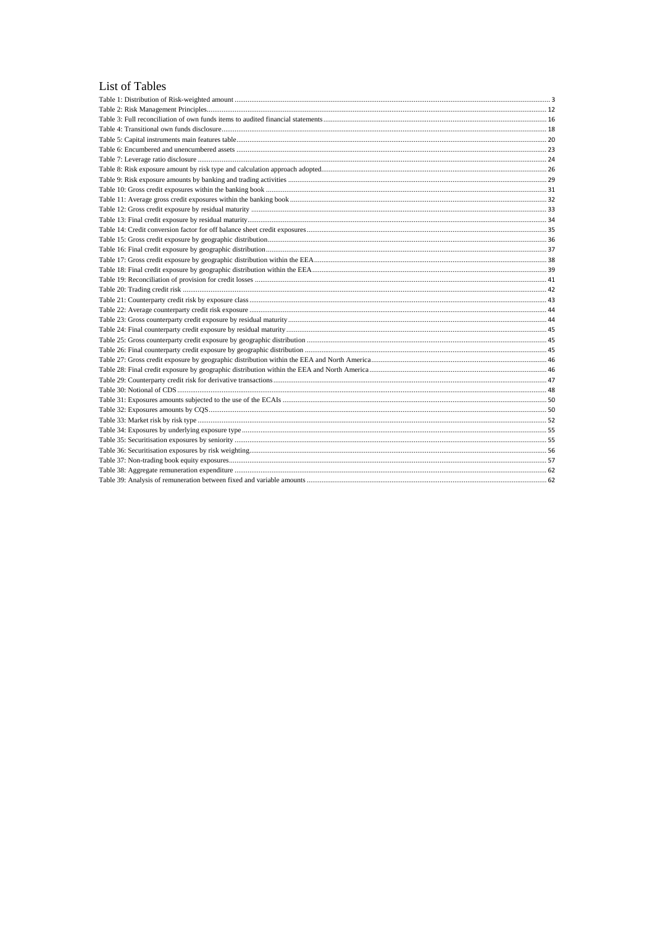#### List of Tables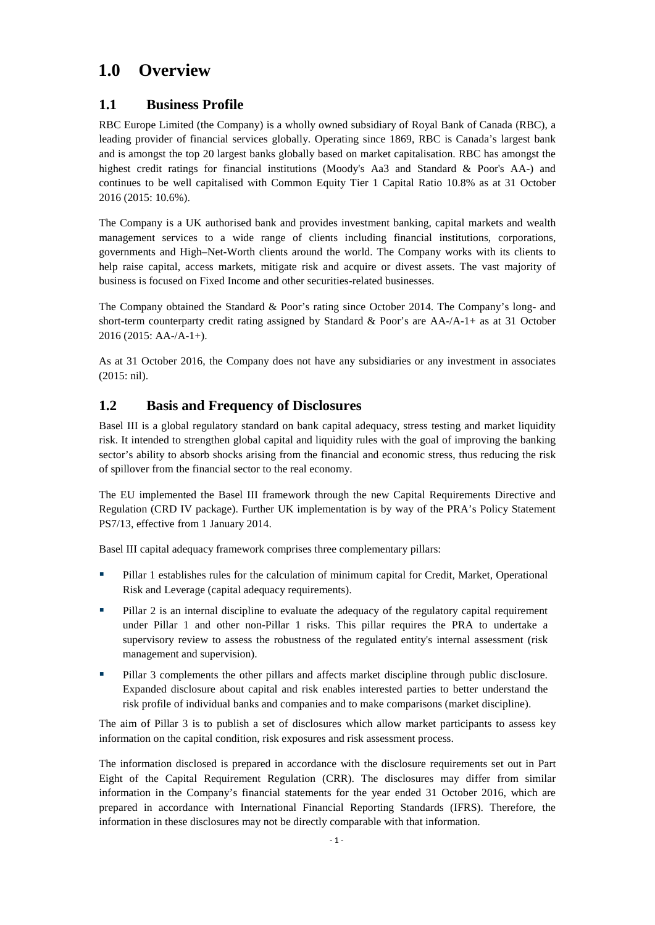## <span id="page-3-0"></span>**1.0 Overview**

## <span id="page-3-1"></span>**1.1 Business Profile**

RBC Europe Limited (the Company) is a wholly owned subsidiary of Royal Bank of Canada (RBC), a leading provider of financial services globally. Operating since 1869, RBC is Canada's largest bank and is amongst the top 20 largest banks globally based on market capitalisation. RBC has amongst the highest credit ratings for financial institutions (Moody's Aa3 and Standard & Poor's AA-) and continues to be well capitalised with Common Equity Tier 1 Capital Ratio 10.8% as at 31 October 2016 (2015: 10.6%).

The Company is a UK authorised bank and provides investment banking, capital markets and wealth management services to a wide range of clients including financial institutions, corporations, governments and High–Net-Worth clients around the world. The Company works with its clients to help raise capital, access markets, mitigate risk and acquire or divest assets. The vast majority of business is focused on Fixed Income and other securities-related businesses.

The Company obtained the Standard & Poor's rating since October 2014. The Company's long- and short-term counterparty credit rating assigned by Standard & Poor's are AA-/A-1+ as at 31 October 2016 (2015: AA-/A-1+).

As at 31 October 2016, the Company does not have any subsidiaries or any investment in associates (2015: nil).

## <span id="page-3-2"></span>**1.2 Basis and Frequency of Disclosures**

Basel III is a global regulatory standard on bank capital adequacy, stress testing and market liquidity risk. It intended to strengthen global capital and liquidity rules with the goal of improving the banking sector's ability to absorb shocks arising from the financial and economic stress, thus reducing the risk of spillover from the financial sector to the real economy.

The EU implemented the Basel III framework through the new Capital Requirements Directive and Regulation (CRD IV package). Further UK implementation is by way of the PRA's Policy Statement PS7/13, effective from 1 January 2014.

Basel III capital adequacy framework comprises three complementary pillars:

- **Pillar 1 establishes rules for the calculation of minimum capital for Credit, Market, Operational** Risk and Leverage (capital adequacy requirements).
- Pillar 2 is an internal discipline to evaluate the adequacy of the regulatory capital requirement under Pillar 1 and other non-Pillar 1 risks. This pillar requires the PRA to undertake a supervisory review to assess the robustness of the regulated entity's internal assessment (risk management and supervision).
- **Pillar 3 complements the other pillars and affects market discipline through public disclosure.** Expanded disclosure about capital and risk enables interested parties to better understand the risk profile of individual banks and companies and to make comparisons (market discipline).

The aim of Pillar 3 is to publish a set of disclosures which allow market participants to assess key information on the capital condition, risk exposures and risk assessment process.

The information disclosed is prepared in accordance with the disclosure requirements set out in Part Eight of the Capital Requirement Regulation (CRR). The disclosures may differ from similar information in the Company's financial statements for the year ended 31 October 2016, which are prepared in accordance with International Financial Reporting Standards (IFRS). Therefore, the information in these disclosures may not be directly comparable with that information.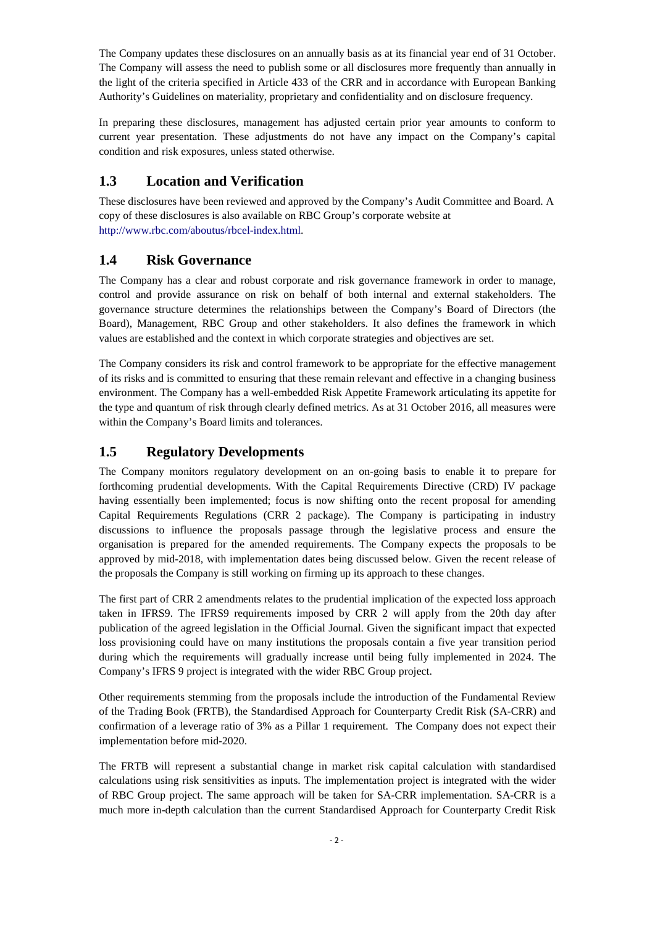The Company updates these disclosures on an annually basis as at its financial year end of 31 October. The Company will assess the need to publish some or all disclosures more frequently than annually in the light of the criteria specified in Article 433 of the CRR and in accordance with European Banking Authority's Guidelines on materiality, proprietary and confidentiality and on disclosure frequency.

In preparing these disclosures, management has adjusted certain prior year amounts to conform to current year presentation. These adjustments do not have any impact on the Company's capital condition and risk exposures, unless stated otherwise.

## <span id="page-4-0"></span>**1.3 Location and Verification**

These disclosures have been reviewed and approved by the Company's Audit Committee and Board. A copy of these disclosures is also available on RBC Group's corporate website at http://www.rbc.com/aboutus/rbcel-index.html.

## <span id="page-4-1"></span>**1.4 Risk Governance**

The Company has a clear and robust corporate and risk governance framework in order to manage, control and provide assurance on risk on behalf of both internal and external stakeholders. The governance structure determines the relationships between the Company's Board of Directors (the Board), Management, RBC Group and other stakeholders. It also defines the framework in which values are established and the context in which corporate strategies and objectives are set.

The Company considers its risk and control framework to be appropriate for the effective management of its risks and is committed to ensuring that these remain relevant and effective in a changing business environment. The Company has a well-embedded Risk Appetite Framework articulating its appetite for the type and quantum of risk through clearly defined metrics. As at 31 October 2016, all measures were within the Company's Board limits and tolerances.

## <span id="page-4-2"></span>**1.5 Regulatory Developments**

The Company monitors regulatory development on an on-going basis to enable it to prepare for forthcoming prudential developments. With the Capital Requirements Directive (CRD) IV package having essentially been implemented; focus is now shifting onto the recent proposal for amending Capital Requirements Regulations (CRR 2 package). The Company is participating in industry discussions to influence the proposals passage through the legislative process and ensure the organisation is prepared for the amended requirements. The Company expects the proposals to be approved by mid-2018, with implementation dates being discussed below. Given the recent release of the proposals the Company is still working on firming up its approach to these changes.

The first part of CRR 2 amendments relates to the prudential implication of the expected loss approach taken in IFRS9. The IFRS9 requirements imposed by CRR 2 will apply from the 20th day after publication of the agreed legislation in the Official Journal. Given the significant impact that expected loss provisioning could have on many institutions the proposals contain a five year transition period during which the requirements will gradually increase until being fully implemented in 2024. The Company's IFRS 9 project is integrated with the wider RBC Group project.

Other requirements stemming from the proposals include the introduction of the Fundamental Review of the Trading Book (FRTB), the Standardised Approach for Counterparty Credit Risk (SA-CRR) and confirmation of a leverage ratio of 3% as a Pillar 1 requirement. The Company does not expect their implementation before mid-2020.

The FRTB will represent a substantial change in market risk capital calculation with standardised calculations using risk sensitivities as inputs. The implementation project is integrated with the wider of RBC Group project. The same approach will be taken for SA-CRR implementation. SA-CRR is a much more in-depth calculation than the current Standardised Approach for Counterparty Credit Risk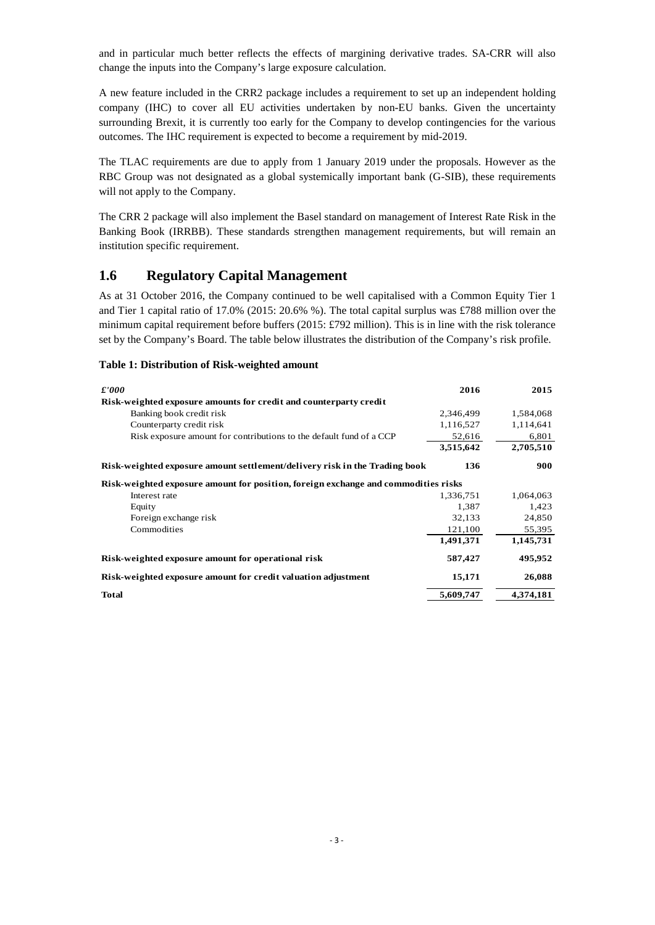and in particular much better reflects the effects of margining derivative trades. SA-CRR will also change the inputs into the Company's large exposure calculation.

A new feature included in the CRR2 package includes a requirement to set up an independent holding company (IHC) to cover all EU activities undertaken by non-EU banks. Given the uncertainty surrounding Brexit, it is currently too early for the Company to develop contingencies for the various outcomes. The IHC requirement is expected to become a requirement by mid-2019.

The TLAC requirements are due to apply from 1 January 2019 under the proposals. However as the RBC Group was not designated as a global systemically important bank (G-SIB), these requirements will not apply to the Company.

The CRR 2 package will also implement the Basel standard on management of Interest Rate Risk in the Banking Book (IRRBB). These standards strengthen management requirements, but will remain an institution specific requirement.

### <span id="page-5-0"></span>**1.6 Regulatory Capital Management**

As at 31 October 2016, the Company continued to be well capitalised with a Common Equity Tier 1 and Tier 1 capital ratio of 17.0% (2015: 20.6% %). The total capital surplus was £788 million over the minimum capital requirement before buffers (2015: £792 million). This is in line with the risk tolerance set by the Company's Board. The table below illustrates the distribution of the Company's risk profile.

#### <span id="page-5-1"></span>**Table 1: Distribution of Risk-weighted amount**

| $\pounds'000$                                                                      | 2016      | 2015      |
|------------------------------------------------------------------------------------|-----------|-----------|
| Risk-weighted exposure amounts for credit and counterparty credit                  |           |           |
| Banking book credit risk                                                           | 2,346,499 | 1,584,068 |
| Counterparty credit risk                                                           | 1,116,527 | 1,114,641 |
| Risk exposure amount for contributions to the default fund of a CCP                | 52,616    | 6,801     |
|                                                                                    | 3,515,642 | 2,705,510 |
| Risk-weighted exposure amount settlement/delivery risk in the Trading book         | 136       | 900       |
| Risk-weighted exposure amount for position, foreign exchange and commodities risks |           |           |
| Interest rate                                                                      | 1.336.751 | 1,064,063 |
| Equity                                                                             | 1,387     | 1,423     |
| Foreign exchange risk                                                              | 32,133    | 24,850    |
| Commodities                                                                        | 121,100   | 55,395    |
|                                                                                    | 1,491,371 | 1,145,731 |
| Risk-weighted exposure amount for operational risk                                 | 587,427   | 495,952   |
| Risk-weighted exposure amount for credit valuation adjustment                      | 15,171    | 26,088    |
| <b>Total</b>                                                                       | 5,609,747 | 4.374.181 |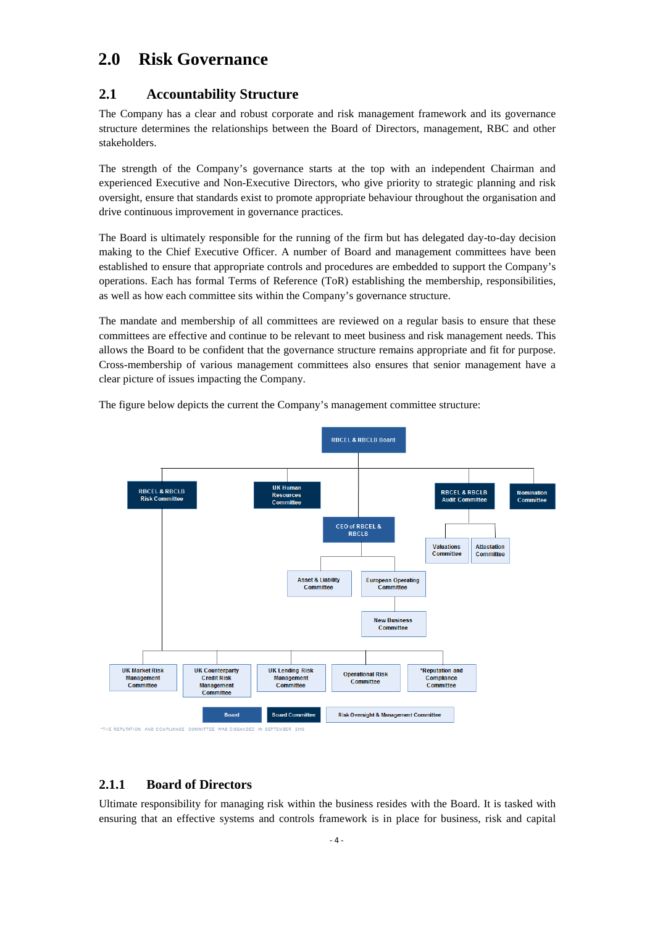## <span id="page-6-0"></span>**2.0 Risk Governance**

## <span id="page-6-1"></span>**2.1 Accountability Structure**

The Company has a clear and robust corporate and risk management framework and its governance structure determines the relationships between the Board of Directors, management, RBC and other stakeholders.

The strength of the Company's governance starts at the top with an independent Chairman and experienced Executive and Non-Executive Directors, who give priority to strategic planning and risk oversight, ensure that standards exist to promote appropriate behaviour throughout the organisation and drive continuous improvement in governance practices.

The Board is ultimately responsible for the running of the firm but has delegated day-to-day decision making to the Chief Executive Officer. A number of Board and management committees have been established to ensure that appropriate controls and procedures are embedded to support the Company's operations. Each has formal Terms of Reference (ToR) establishing the membership, responsibilities, as well as how each committee sits within the Company's governance structure.

The mandate and membership of all committees are reviewed on a regular basis to ensure that these committees are effective and continue to be relevant to meet business and risk management needs. This allows the Board to be confident that the governance structure remains appropriate and fit for purpose. Cross-membership of various management committees also ensures that senior management have a clear picture of issues impacting the Company.



The figure below depicts the current the Company's management committee structure:

#### <span id="page-6-2"></span>**2.1.1 Board of Directors**

Ultimate responsibility for managing risk within the business resides with the Board. It is tasked with ensuring that an effective systems and controls framework is in place for business, risk and capital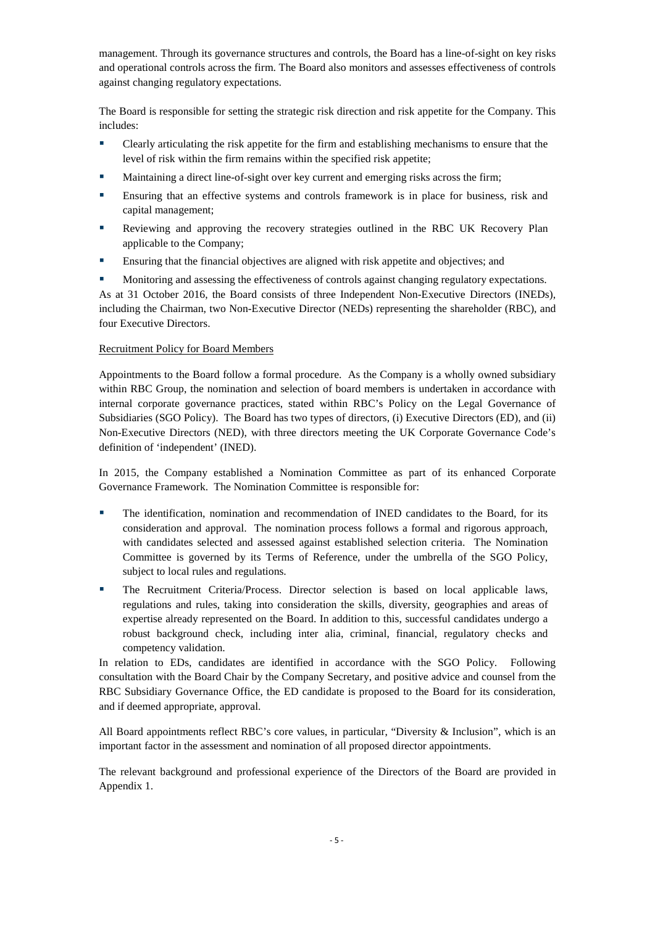management. Through its governance structures and controls, the Board has a line-of-sight on key risks and operational controls across the firm. The Board also monitors and assesses effectiveness of controls against changing regulatory expectations.

The Board is responsible for setting the strategic risk direction and risk appetite for the Company. This includes:

- Clearly articulating the risk appetite for the firm and establishing mechanisms to ensure that the level of risk within the firm remains within the specified risk appetite;
- Maintaining a direct line-of-sight over key current and emerging risks across the firm;
- Ensuring that an effective systems and controls framework is in place for business, risk and capital management;
- Reviewing and approving the recovery strategies outlined in the RBC UK Recovery Plan applicable to the Company;
- Ensuring that the financial objectives are aligned with risk appetite and objectives; and
- Monitoring and assessing the effectiveness of controls against changing regulatory expectations.

As at 31 October 2016, the Board consists of three Independent Non-Executive Directors (INEDs), including the Chairman, two Non-Executive Director (NEDs) representing the shareholder (RBC), and four Executive Directors.

#### Recruitment Policy for Board Members

Appointments to the Board follow a formal procedure. As the Company is a wholly owned subsidiary within RBC Group, the nomination and selection of board members is undertaken in accordance with internal corporate governance practices, stated within RBC's Policy on the Legal Governance of Subsidiaries (SGO Policy). The Board has two types of directors, (i) Executive Directors (ED), and (ii) Non-Executive Directors (NED), with three directors meeting the UK Corporate Governance Code's definition of 'independent' (INED).

In 2015, the Company established a Nomination Committee as part of its enhanced Corporate Governance Framework. The Nomination Committee is responsible for:

- The identification, nomination and recommendation of INED candidates to the Board, for its consideration and approval. The nomination process follows a formal and rigorous approach, with candidates selected and assessed against established selection criteria. The Nomination Committee is governed by its Terms of Reference, under the umbrella of the SGO Policy, subject to local rules and regulations.
- The Recruitment Criteria/Process. Director selection is based on local applicable laws, regulations and rules, taking into consideration the skills, diversity, geographies and areas of expertise already represented on the Board. In addition to this, successful candidates undergo a robust background check, including inter alia, criminal, financial, regulatory checks and competency validation.

In relation to EDs, candidates are identified in accordance with the SGO Policy. Following consultation with the Board Chair by the Company Secretary, and positive advice and counsel from the RBC Subsidiary Governance Office, the ED candidate is proposed to the Board for its consideration, and if deemed appropriate, approval.

All Board appointments reflect RBC's core values, in particular, "Diversity & Inclusion", which is an important factor in the assessment and nomination of all proposed director appointments.

The relevant background and professional experience of the Directors of the Board are provided in Appendix 1.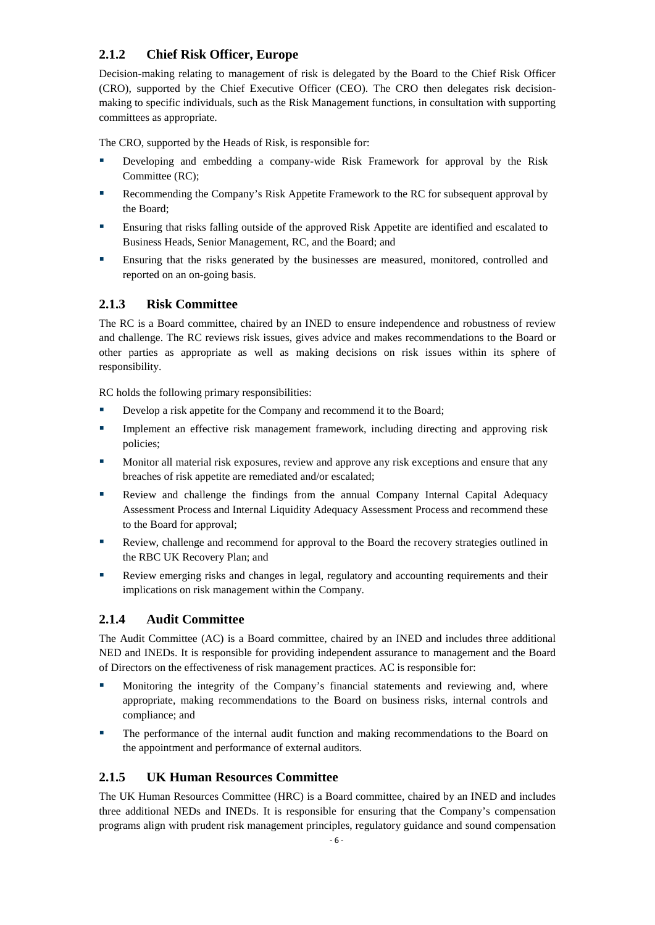## <span id="page-8-0"></span>**2.1.2 Chief Risk Officer, Europe**

Decision-making relating to management of risk is delegated by the Board to the Chief Risk Officer (CRO), supported by the Chief Executive Officer (CEO). The CRO then delegates risk decisionmaking to specific individuals, such as the Risk Management functions, in consultation with supporting committees as appropriate.

The CRO, supported by the Heads of Risk, is responsible for:

- Developing and embedding a company-wide Risk Framework for approval by the Risk Committee (RC);
- Recommending the Company's Risk Appetite Framework to the RC for subsequent approval by the Board;
- Ensuring that risks falling outside of the approved Risk Appetite are identified and escalated to Business Heads, Senior Management, RC, and the Board; and
- Ensuring that the risks generated by the businesses are measured, monitored, controlled and reported on an on-going basis.

#### <span id="page-8-1"></span>**2.1.3 Risk Committee**

The RC is a Board committee, chaired by an INED to ensure independence and robustness of review and challenge. The RC reviews risk issues, gives advice and makes recommendations to the Board or other parties as appropriate as well as making decisions on risk issues within its sphere of responsibility.

RC holds the following primary responsibilities:

- Develop a risk appetite for the Company and recommend it to the Board;
- Implement an effective risk management framework, including directing and approving risk policies;
- **Monitor all material risk exposures, review and approve any risk exceptions and ensure that any** breaches of risk appetite are remediated and/or escalated;
- **Review and challenge the findings from the annual Company Internal Capital Adequacy** Assessment Process and Internal Liquidity Adequacy Assessment Process and recommend these to the Board for approval;
- Review, challenge and recommend for approval to the Board the recovery strategies outlined in the RBC UK Recovery Plan; and
- Review emerging risks and changes in legal, regulatory and accounting requirements and their implications on risk management within the Company.

#### <span id="page-8-2"></span>**2.1.4 Audit Committee**

The Audit Committee (AC) is a Board committee, chaired by an INED and includes three additional NED and INEDs. It is responsible for providing independent assurance to management and the Board of Directors on the effectiveness of risk management practices. AC is responsible for:

- Monitoring the integrity of the Company's financial statements and reviewing and, where appropriate, making recommendations to the Board on business risks, internal controls and compliance; and
- The performance of the internal audit function and making recommendations to the Board on the appointment and performance of external auditors.

#### <span id="page-8-3"></span>**2.1.5 UK Human Resources Committee**

The UK Human Resources Committee (HRC) is a Board committee, chaired by an INED and includes three additional NEDs and INEDs. It is responsible for ensuring that the Company's compensation programs align with prudent risk management principles, regulatory guidance and sound compensation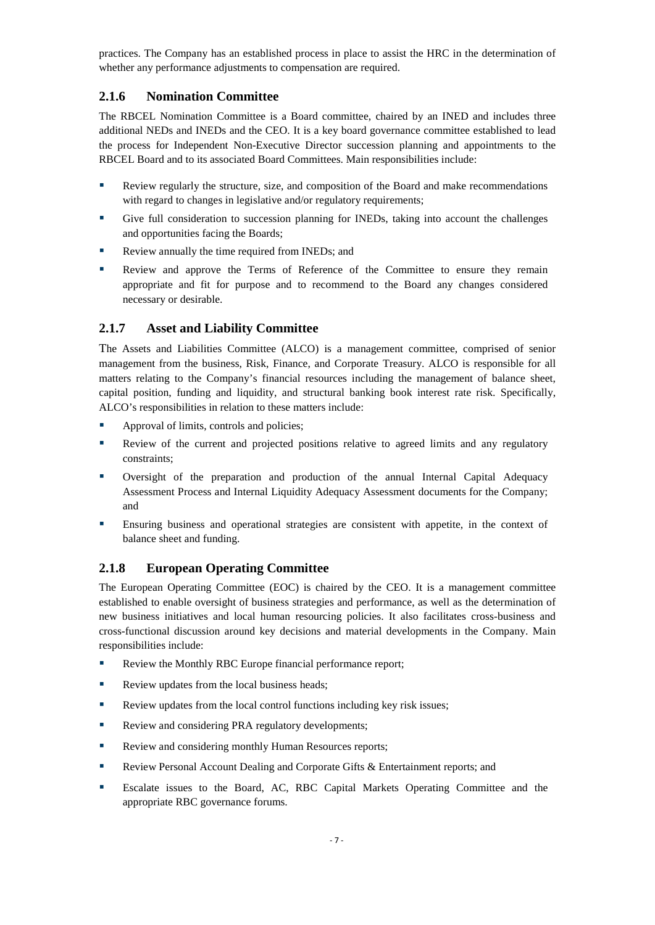practices. The Company has an established process in place to assist the HRC in the determination of whether any performance adjustments to compensation are required.

#### <span id="page-9-0"></span>**2.1.6 Nomination Committee**

The RBCEL Nomination Committee is a Board committee, chaired by an INED and includes three additional NEDs and INEDs and the CEO. It is a key board governance committee established to lead the process for Independent Non-Executive Director succession planning and appointments to the RBCEL Board and to its associated Board Committees. Main responsibilities include:

- Review regularly the structure, size, and composition of the Board and make recommendations with regard to changes in legislative and/or regulatory requirements;
- Give full consideration to succession planning for INEDs, taking into account the challenges and opportunities facing the Boards;
- Review annually the time required from INEDs; and
- Review and approve the Terms of Reference of the Committee to ensure they remain appropriate and fit for purpose and to recommend to the Board any changes considered necessary or desirable.

#### <span id="page-9-1"></span>**2.1.7 Asset and Liability Committee**

The Assets and Liabilities Committee (ALCO) is a management committee, comprised of senior management from the business, Risk, Finance, and Corporate Treasury. ALCO is responsible for all matters relating to the Company's financial resources including the management of balance sheet, capital position, funding and liquidity, and structural banking book interest rate risk. Specifically, ALCO's responsibilities in relation to these matters include:

- Approval of limits, controls and policies;
- Review of the current and projected positions relative to agreed limits and any regulatory constraints;
- Oversight of the preparation and production of the annual Internal Capital Adequacy Assessment Process and Internal Liquidity Adequacy Assessment documents for the Company; and
- Ensuring business and operational strategies are consistent with appetite, in the context of balance sheet and funding.

#### <span id="page-9-2"></span>**2.1.8 European Operating Committee**

The European Operating Committee (EOC) is chaired by the CEO. It is a management committee established to enable oversight of business strategies and performance, as well as the determination of new business initiatives and local human resourcing policies. It also facilitates cross-business and cross-functional discussion around key decisions and material developments in the Company. Main responsibilities include:

- Review the Monthly RBC Europe financial performance report;
- Review updates from the local business heads;
- Review updates from the local control functions including key risk issues;
- Review and considering PRA regulatory developments;
- Review and considering monthly Human Resources reports;
- **Review Personal Account Dealing and Corporate Gifts & Entertainment reports; and**
- Escalate issues to the Board, AC, RBC Capital Markets Operating Committee and the appropriate RBC governance forums.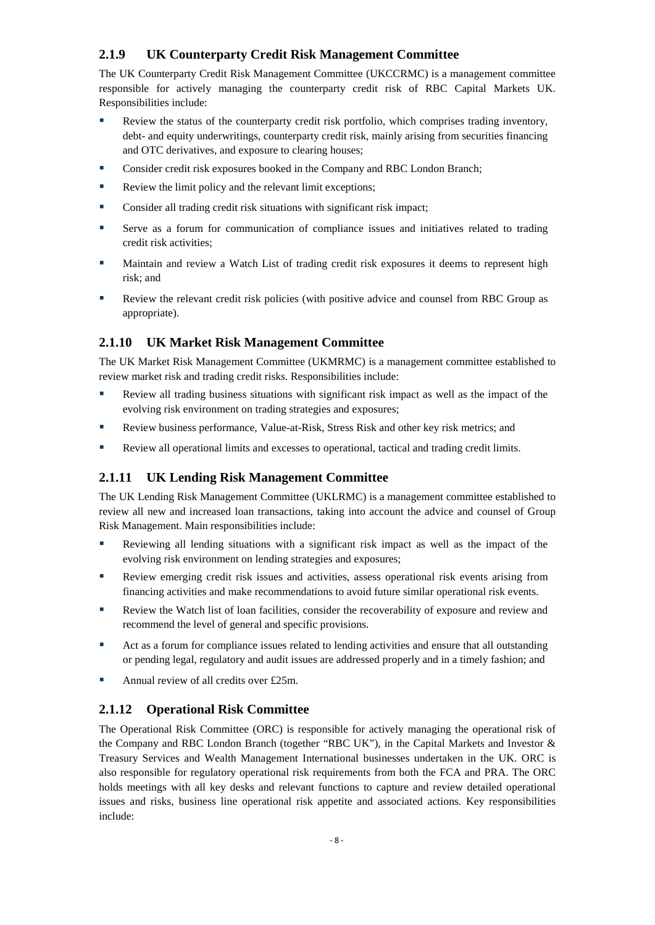### <span id="page-10-0"></span>**2.1.9 UK Counterparty Credit Risk Management Committee**

The UK Counterparty Credit Risk Management Committee (UKCCRMC) is a management committee responsible for actively managing the counterparty credit risk of RBC Capital Markets UK. Responsibilities include:

- Review the status of the counterparty credit risk portfolio, which comprises trading inventory, debt- and equity underwritings, counterparty credit risk, mainly arising from securities financing and OTC derivatives, and exposure to clearing houses;
- **Consider credit risk exposures booked in the Company and RBC London Branch;**
- Review the limit policy and the relevant limit exceptions;
- **Consider all trading credit risk situations with significant risk impact;**
- Serve as a forum for communication of compliance issues and initiatives related to trading credit risk activities;
- Maintain and review a Watch List of trading credit risk exposures it deems to represent high risk; and
- Review the relevant credit risk policies (with positive advice and counsel from RBC Group as appropriate).

## <span id="page-10-1"></span>**2.1.10 UK Market Risk Management Committee**

The UK Market Risk Management Committee (UKMRMC) is a management committee established to review market risk and trading credit risks. Responsibilities include:

- Review all trading business situations with significant risk impact as well as the impact of the evolving risk environment on trading strategies and exposures;
- Review business performance, Value-at-Risk, Stress Risk and other key risk metrics; and
- Review all operational limits and excesses to operational, tactical and trading credit limits.

#### <span id="page-10-2"></span>**2.1.11 UK Lending Risk Management Committee**

The UK Lending Risk Management Committee (UKLRMC) is a management committee established to review all new and increased loan transactions, taking into account the advice and counsel of Group Risk Management. Main responsibilities include:

- Reviewing all lending situations with a significant risk impact as well as the impact of the evolving risk environment on lending strategies and exposures;
- Review emerging credit risk issues and activities, assess operational risk events arising from financing activities and make recommendations to avoid future similar operational risk events.
- Review the Watch list of loan facilities, consider the recoverability of exposure and review and recommend the level of general and specific provisions.
- Act as a forum for compliance issues related to lending activities and ensure that all outstanding or pending legal, regulatory and audit issues are addressed properly and in a timely fashion; and
- Annual review of all credits over £25m.

#### <span id="page-10-3"></span>**2.1.12 Operational Risk Committee**

The Operational Risk Committee (ORC) is responsible for actively managing the operational risk of the Company and RBC London Branch (together "RBC UK"), in the Capital Markets and Investor & Treasury Services and Wealth Management International businesses undertaken in the UK. ORC is also responsible for regulatory operational risk requirements from both the FCA and PRA. The ORC holds meetings with all key desks and relevant functions to capture and review detailed operational issues and risks, business line operational risk appetite and associated actions. Key responsibilities include: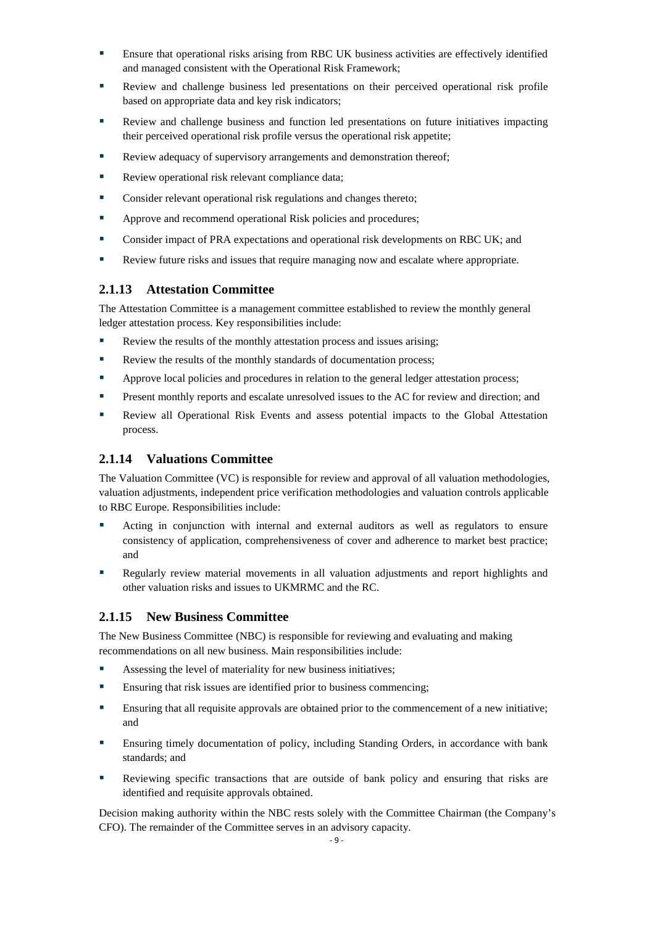- Ensure that operational risks arising from RBC UK business activities are effectively identified and managed consistent with the Operational Risk Framework;
- Review and challenge business led presentations on their perceived operational risk profile based on appropriate data and key risk indicators;
- Review and challenge business and function led presentations on future initiatives impacting their perceived operational risk profile versus the operational risk appetite;
- Review adequacy of supervisory arrangements and demonstration thereof;
- Review operational risk relevant compliance data;
- **Consider relevant operational risk regulations and changes thereto;**
- **Approve and recommend operational Risk policies and procedures;**
- Consider impact of PRA expectations and operational risk developments on RBC UK; and
- Review future risks and issues that require managing now and escalate where appropriate.

#### <span id="page-11-0"></span>**2.1.13 Attestation Committee**

The Attestation Committee is a management committee established to review the monthly general ledger attestation process. Key responsibilities include:

- Review the results of the monthly attestation process and issues arising;
- Review the results of the monthly standards of documentation process;
- **•** Approve local policies and procedures in relation to the general ledger attestation process;
- **Present monthly reports and escalate unresolved issues to the AC for review and direction; and**
- Review all Operational Risk Events and assess potential impacts to the Global Attestation process.

#### <span id="page-11-1"></span>**2.1.14 Valuations Committee**

The Valuation Committee (VC) is responsible for review and approval of all valuation methodologies, valuation adjustments, independent price verification methodologies and valuation controls applicable to RBC Europe. Responsibilities include:

- Acting in conjunction with internal and external auditors as well as regulators to ensure consistency of application, comprehensiveness of cover and adherence to market best practice; and
- Regularly review material movements in all valuation adjustments and report highlights and other valuation risks and issues to UKMRMC and the RC.

#### <span id="page-11-2"></span>**2.1.15 New Business Committee**

The New Business Committee (NBC) is responsible for reviewing and evaluating and making recommendations on all new business. Main responsibilities include:

- Assessing the level of materiality for new business initiatives;
- **Ensuring that risk issues are identified prior to business commencing;**
- Ensuring that all requisite approvals are obtained prior to the commencement of a new initiative; and
- Ensuring timely documentation of policy, including Standing Orders, in accordance with bank standards; and
- Reviewing specific transactions that are outside of bank policy and ensuring that risks are identified and requisite approvals obtained.

Decision making authority within the NBC rests solely with the Committee Chairman (the Company's CFO). The remainder of the Committee serves in an advisory capacity.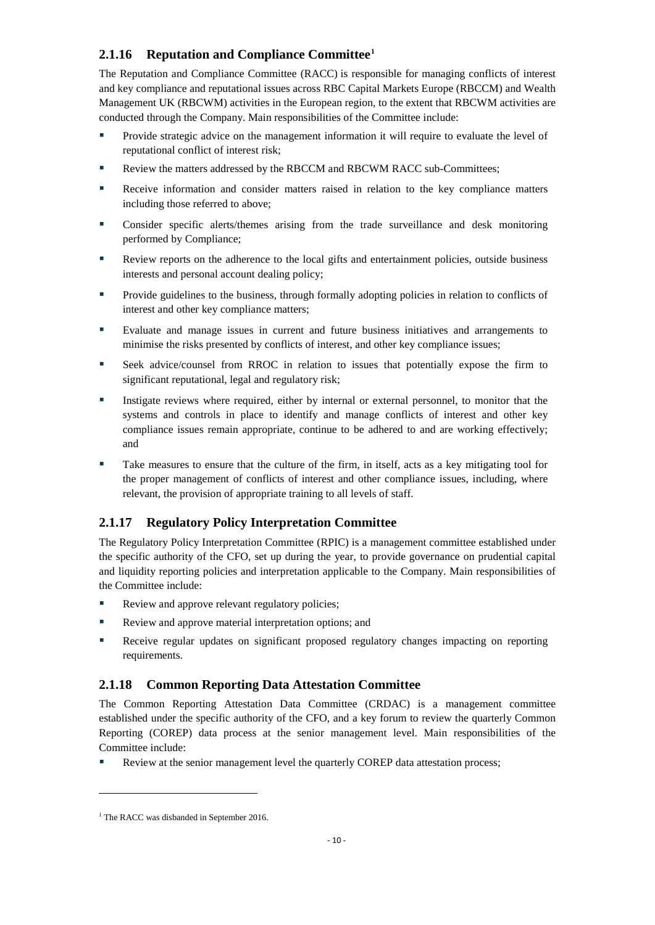## <span id="page-12-0"></span>**2.1.16 Reputation and Compliance Committee[1](#page-12-3)**

The Reputation and Compliance Committee (RACC) is responsible for managing conflicts of interest and key compliance and reputational issues across RBC Capital Markets Europe (RBCCM) and Wealth Management UK (RBCWM) activities in the European region, to the extent that RBCWM activities are conducted through the Company. Main responsibilities of the Committee include:

- Provide strategic advice on the management information it will require to evaluate the level of reputational conflict of interest risk;
- Review the matters addressed by the RBCCM and RBCWM RACC sub-Committees;
- Receive information and consider matters raised in relation to the key compliance matters including those referred to above;
- Consider specific alerts/themes arising from the trade surveillance and desk monitoring performed by Compliance;
- Review reports on the adherence to the local gifts and entertainment policies, outside business interests and personal account dealing policy;
- **Provide guidelines to the business, through formally adopting policies in relation to conflicts of** interest and other key compliance matters;
- Evaluate and manage issues in current and future business initiatives and arrangements to minimise the risks presented by conflicts of interest, and other key compliance issues;
- Seek advice/counsel from RROC in relation to issues that potentially expose the firm to significant reputational, legal and regulatory risk;
- Instigate reviews where required, either by internal or external personnel, to monitor that the systems and controls in place to identify and manage conflicts of interest and other key compliance issues remain appropriate, continue to be adhered to and are working effectively; and
- Take measures to ensure that the culture of the firm, in itself, acts as a key mitigating tool for the proper management of conflicts of interest and other compliance issues, including, where relevant, the provision of appropriate training to all levels of staff.

## <span id="page-12-1"></span>**2.1.17 Regulatory Policy Interpretation Committee**

The Regulatory Policy Interpretation Committee (RPIC) is a management committee established under the specific authority of the CFO, set up during the year, to provide governance on prudential capital and liquidity reporting policies and interpretation applicable to the Company. Main responsibilities of the Committee include:

- Review and approve relevant regulatory policies;
- Review and approve material interpretation options; and
- Receive regular updates on significant proposed regulatory changes impacting on reporting requirements.

#### <span id="page-12-2"></span>**2.1.18 Common Reporting Data Attestation Committee**

The Common Reporting Attestation Data Committee (CRDAC) is a management committee established under the specific authority of the CFO, and a key forum to review the quarterly Common Reporting (COREP) data process at the senior management level. Main responsibilities of the Committee include:

Review at the senior management level the quarterly COREP data attestation process;

 $\overline{a}$ 

<span id="page-12-3"></span><sup>&</sup>lt;sup>1</sup> The RACC was disbanded in September 2016.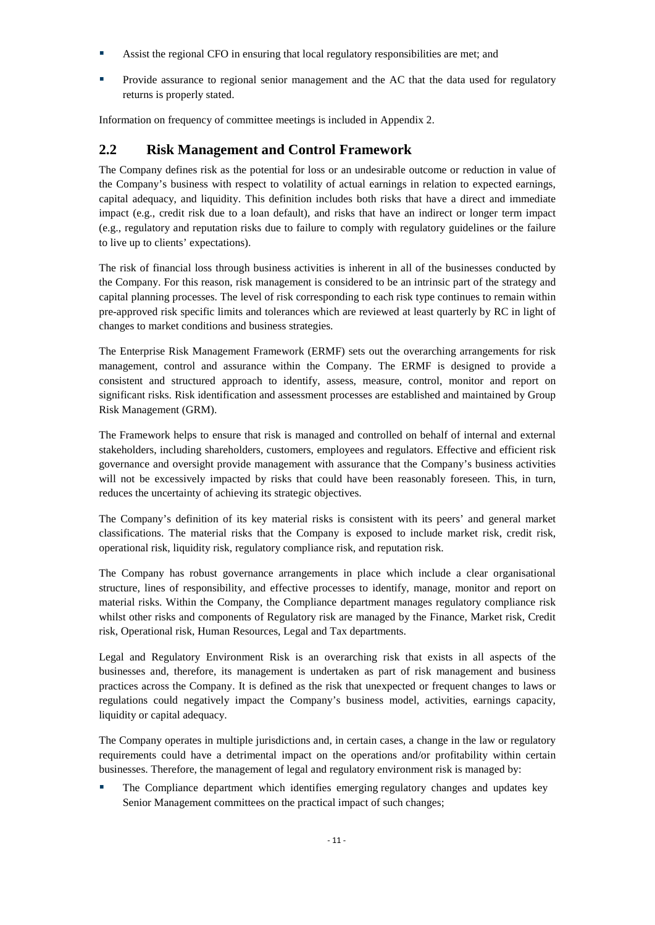- Assist the regional CFO in ensuring that local regulatory responsibilities are met; and
- Provide assurance to regional senior management and the AC that the data used for regulatory returns is properly stated.

<span id="page-13-0"></span>Information on frequency of committee meetings is included in Appendix 2.

## **2.2 Risk Management and Control Framework**

The Company defines risk as the potential for loss or an undesirable outcome or reduction in value of the Company's business with respect to volatility of actual earnings in relation to expected earnings, capital adequacy, and liquidity. This definition includes both risks that have a direct and immediate impact (e.g., credit risk due to a loan default), and risks that have an indirect or longer term impact (e.g., regulatory and reputation risks due to failure to comply with regulatory guidelines or the failure to live up to clients' expectations).

The risk of financial loss through business activities is inherent in all of the businesses conducted by the Company. For this reason, risk management is considered to be an intrinsic part of the strategy and capital planning processes. The level of risk corresponding to each risk type continues to remain within pre-approved risk specific limits and tolerances which are reviewed at least quarterly by RC in light of changes to market conditions and business strategies.

The Enterprise Risk Management Framework (ERMF) sets out the overarching arrangements for risk management, control and assurance within the Company. The ERMF is designed to provide a consistent and structured approach to identify, assess, measure, control, monitor and report on significant risks. Risk identification and assessment processes are established and maintained by Group Risk Management (GRM).

The Framework helps to ensure that risk is managed and controlled on behalf of internal and external stakeholders, including shareholders, customers, employees and regulators. Effective and efficient risk governance and oversight provide management with assurance that the Company's business activities will not be excessively impacted by risks that could have been reasonably foreseen. This, in turn, reduces the uncertainty of achieving its strategic objectives.

The Company's definition of its key material risks is consistent with its peers' and general market classifications. The material risks that the Company is exposed to include market risk, credit risk, operational risk, liquidity risk, regulatory compliance risk, and reputation risk.

The Company has robust governance arrangements in place which include a clear organisational structure, lines of responsibility, and effective processes to identify, manage, monitor and report on material risks. Within the Company, the Compliance department manages regulatory compliance risk whilst other risks and components of Regulatory risk are managed by the Finance, Market risk, Credit risk, Operational risk, Human Resources, Legal and Tax departments.

Legal and Regulatory Environment Risk is an overarching risk that exists in all aspects of the businesses and, therefore, its management is undertaken as part of risk management and business practices across the Company. It is defined as the risk that unexpected or frequent changes to laws or regulations could negatively impact the Company's business model, activities, earnings capacity, liquidity or capital adequacy.

The Company operates in multiple jurisdictions and, in certain cases, a change in the law or regulatory requirements could have a detrimental impact on the operations and/or profitability within certain businesses. Therefore, the management of legal and regulatory environment risk is managed by:

 The Compliance department which identifies emerging regulatory changes and updates key Senior Management committees on the practical impact of such changes;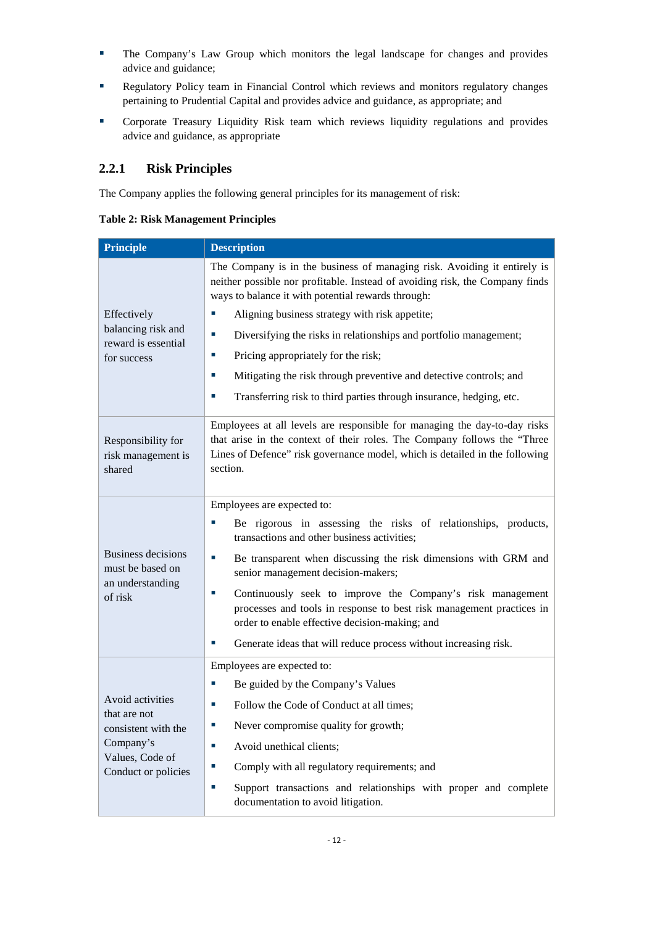- The Company's Law Group which monitors the legal landscape for changes and provides advice and guidance;
- Regulatory Policy team in Financial Control which reviews and monitors regulatory changes pertaining to Prudential Capital and provides advice and guidance, as appropriate; and
- Corporate Treasury Liquidity Risk team which reviews liquidity regulations and provides advice and guidance, as appropriate

### <span id="page-14-0"></span>**2.2.1 Risk Principles**

The Company applies the following general principles for its management of risk:

<span id="page-14-1"></span>

|  |  | <b>Table 2: Risk Management Principles</b> |  |
|--|--|--------------------------------------------|--|
|--|--|--------------------------------------------|--|

| <b>Principle</b>                                   | <b>Description</b>                                                                                                                                                                                                                               |  |  |  |
|----------------------------------------------------|--------------------------------------------------------------------------------------------------------------------------------------------------------------------------------------------------------------------------------------------------|--|--|--|
|                                                    | The Company is in the business of managing risk. Avoiding it entirely is<br>neither possible nor profitable. Instead of avoiding risk, the Company finds<br>ways to balance it with potential rewards through:                                   |  |  |  |
| Effectively                                        | Aligning business strategy with risk appetite;                                                                                                                                                                                                   |  |  |  |
| balancing risk and<br>reward is essential          | T,<br>Diversifying the risks in relationships and portfolio management;                                                                                                                                                                          |  |  |  |
| for success                                        | Pricing appropriately for the risk;<br>×,                                                                                                                                                                                                        |  |  |  |
|                                                    | Mitigating the risk through preventive and detective controls; and<br>п                                                                                                                                                                          |  |  |  |
|                                                    | ×,<br>Transferring risk to third parties through insurance, hedging, etc.                                                                                                                                                                        |  |  |  |
| Responsibility for<br>risk management is<br>shared | Employees at all levels are responsible for managing the day-to-day risks<br>that arise in the context of their roles. The Company follows the "Three<br>Lines of Defence" risk governance model, which is detailed in the following<br>section. |  |  |  |
|                                                    | Employees are expected to:                                                                                                                                                                                                                       |  |  |  |
|                                                    | Be rigorous in assessing the risks of relationships, products,<br>T,<br>transactions and other business activities;                                                                                                                              |  |  |  |
| <b>Business decisions</b><br>must be based on      | T,<br>Be transparent when discussing the risk dimensions with GRM and<br>senior management decision-makers;                                                                                                                                      |  |  |  |
| an understanding<br>of risk                        | Continuously seek to improve the Company's risk management<br>×,<br>processes and tools in response to best risk management practices in<br>order to enable effective decision-making; and                                                       |  |  |  |
|                                                    | Generate ideas that will reduce process without increasing risk.<br>T,                                                                                                                                                                           |  |  |  |
|                                                    | Employees are expected to:                                                                                                                                                                                                                       |  |  |  |
|                                                    | Be guided by the Company's Values<br>ш                                                                                                                                                                                                           |  |  |  |
| Avoid activities<br>that are not                   | Follow the Code of Conduct at all times;<br>×,                                                                                                                                                                                                   |  |  |  |
| consistent with the                                | Never compromise quality for growth;<br>×,                                                                                                                                                                                                       |  |  |  |
| Company's<br>Values, Code of                       | Avoid unethical clients;<br>×,                                                                                                                                                                                                                   |  |  |  |
| Conduct or policies                                | Comply with all regulatory requirements; and<br>×.                                                                                                                                                                                               |  |  |  |
|                                                    | Support transactions and relationships with proper and complete<br>×,<br>documentation to avoid litigation.                                                                                                                                      |  |  |  |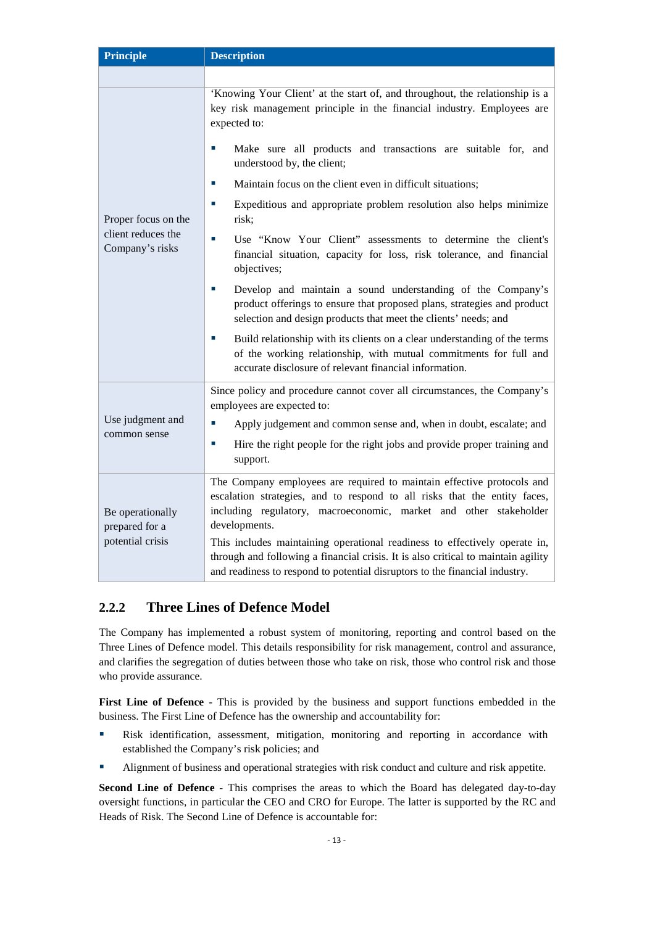| <b>Principle</b>                                       | <b>Description</b>                                                                                                                                                                                                                                                                                                                                                                                                                                                                          |  |  |  |
|--------------------------------------------------------|---------------------------------------------------------------------------------------------------------------------------------------------------------------------------------------------------------------------------------------------------------------------------------------------------------------------------------------------------------------------------------------------------------------------------------------------------------------------------------------------|--|--|--|
|                                                        |                                                                                                                                                                                                                                                                                                                                                                                                                                                                                             |  |  |  |
|                                                        | 'Knowing Your Client' at the start of, and throughout, the relationship is a<br>key risk management principle in the financial industry. Employees are<br>expected to:                                                                                                                                                                                                                                                                                                                      |  |  |  |
|                                                        | Make sure all products and transactions are suitable for, and<br>understood by, the client;                                                                                                                                                                                                                                                                                                                                                                                                 |  |  |  |
|                                                        | Maintain focus on the client even in difficult situations;                                                                                                                                                                                                                                                                                                                                                                                                                                  |  |  |  |
| Proper focus on the                                    | Expeditious and appropriate problem resolution also helps minimize<br>×.<br>risk;                                                                                                                                                                                                                                                                                                                                                                                                           |  |  |  |
| client reduces the<br>Company's risks                  | Use "Know Your Client" assessments to determine the client's<br>×.<br>financial situation, capacity for loss, risk tolerance, and financial<br>objectives;                                                                                                                                                                                                                                                                                                                                  |  |  |  |
|                                                        | Develop and maintain a sound understanding of the Company's<br>×,<br>product offerings to ensure that proposed plans, strategies and product<br>selection and design products that meet the clients' needs; and                                                                                                                                                                                                                                                                             |  |  |  |
|                                                        | Build relationship with its clients on a clear understanding of the terms<br>П<br>of the working relationship, with mutual commitments for full and<br>accurate disclosure of relevant financial information.                                                                                                                                                                                                                                                                               |  |  |  |
|                                                        | Since policy and procedure cannot cover all circumstances, the Company's<br>employees are expected to:                                                                                                                                                                                                                                                                                                                                                                                      |  |  |  |
| Use judgment and                                       | T,<br>Apply judgement and common sense and, when in doubt, escalate; and                                                                                                                                                                                                                                                                                                                                                                                                                    |  |  |  |
| common sense                                           | Hire the right people for the right jobs and provide proper training and<br>×,<br>support.                                                                                                                                                                                                                                                                                                                                                                                                  |  |  |  |
| Be operationally<br>prepared for a<br>potential crisis | The Company employees are required to maintain effective protocols and<br>escalation strategies, and to respond to all risks that the entity faces,<br>including regulatory, macroeconomic, market and other stakeholder<br>developments.<br>This includes maintaining operational readiness to effectively operate in,<br>through and following a financial crisis. It is also critical to maintain agility<br>and readiness to respond to potential disruptors to the financial industry. |  |  |  |

## <span id="page-15-0"></span>**2.2.2 Three Lines of Defence Model**

The Company has implemented a robust system of monitoring, reporting and control based on the Three Lines of Defence model. This details responsibility for risk management, control and assurance, and clarifies the segregation of duties between those who take on risk, those who control risk and those who provide assurance.

**First Line of Defence** - This is provided by the business and support functions embedded in the business. The First Line of Defence has the ownership and accountability for:

- **Risk identification, assessment, mitigation, monitoring and reporting in accordance with** established the Company's risk policies; and
- Alignment of business and operational strategies with risk conduct and culture and risk appetite.

**Second Line of Defence** - This comprises the areas to which the Board has delegated day-to-day oversight functions, in particular the CEO and CRO for Europe. The latter is supported by the RC and Heads of Risk. The Second Line of Defence is accountable for: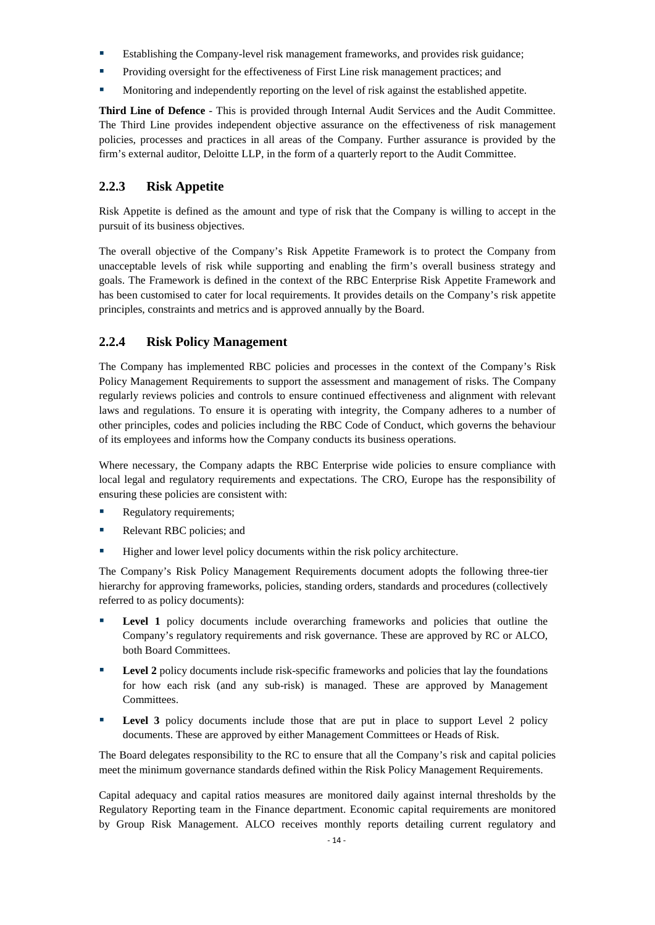- **Establishing the Company-level risk management frameworks, and provides risk guidance;**
- Providing oversight for the effectiveness of First Line risk management practices; and
- Monitoring and independently reporting on the level of risk against the established appetite.

**Third Line of Defence** - This is provided through Internal Audit Services and the Audit Committee. The Third Line provides independent objective assurance on the effectiveness of risk management policies, processes and practices in all areas of the Company. Further assurance is provided by the firm's external auditor, Deloitte LLP, in the form of a quarterly report to the Audit Committee.

### <span id="page-16-0"></span>**2.2.3 Risk Appetite**

Risk Appetite is defined as the amount and type of risk that the Company is willing to accept in the pursuit of its business objectives.

The overall objective of the Company's Risk Appetite Framework is to protect the Company from unacceptable levels of risk while supporting and enabling the firm's overall business strategy and goals. The Framework is defined in the context of the RBC Enterprise Risk Appetite Framework and has been customised to cater for local requirements. It provides details on the Company's risk appetite principles, constraints and metrics and is approved annually by the Board.

#### <span id="page-16-1"></span>**2.2.4 Risk Policy Management**

The Company has implemented RBC policies and processes in the context of the Company's Risk Policy Management Requirements to support the assessment and management of risks. The Company regularly reviews policies and controls to ensure continued effectiveness and alignment with relevant laws and regulations. To ensure it is operating with integrity, the Company adheres to a number of other principles, codes and policies including the RBC Code of Conduct, which governs the behaviour of its employees and informs how the Company conducts its business operations.

Where necessary, the Company adapts the RBC Enterprise wide policies to ensure compliance with local legal and regulatory requirements and expectations. The CRO, Europe has the responsibility of ensuring these policies are consistent with:

- Regulatory requirements;
- Relevant RBC policies; and
- Higher and lower level policy documents within the risk policy architecture.

The Company's Risk Policy Management Requirements document adopts the following three-tier hierarchy for approving frameworks, policies, standing orders, standards and procedures (collectively referred to as policy documents):

- **Level 1** policy documents include overarching frameworks and policies that outline the Company's regulatory requirements and risk governance. These are approved by RC or ALCO, both Board Committees.
- **Level 2** policy documents include risk-specific frameworks and policies that lay the foundations for how each risk (and any sub-risk) is managed. These are approved by Management Committees.
- **Level 3** policy documents include those that are put in place to support Level 2 policy documents. These are approved by either Management Committees or Heads of Risk.

The Board delegates responsibility to the RC to ensure that all the Company's risk and capital policies meet the minimum governance standards defined within the Risk Policy Management Requirements.

Capital adequacy and capital ratios measures are monitored daily against internal thresholds by the Regulatory Reporting team in the Finance department. Economic capital requirements are monitored by Group Risk Management. ALCO receives monthly reports detailing current regulatory and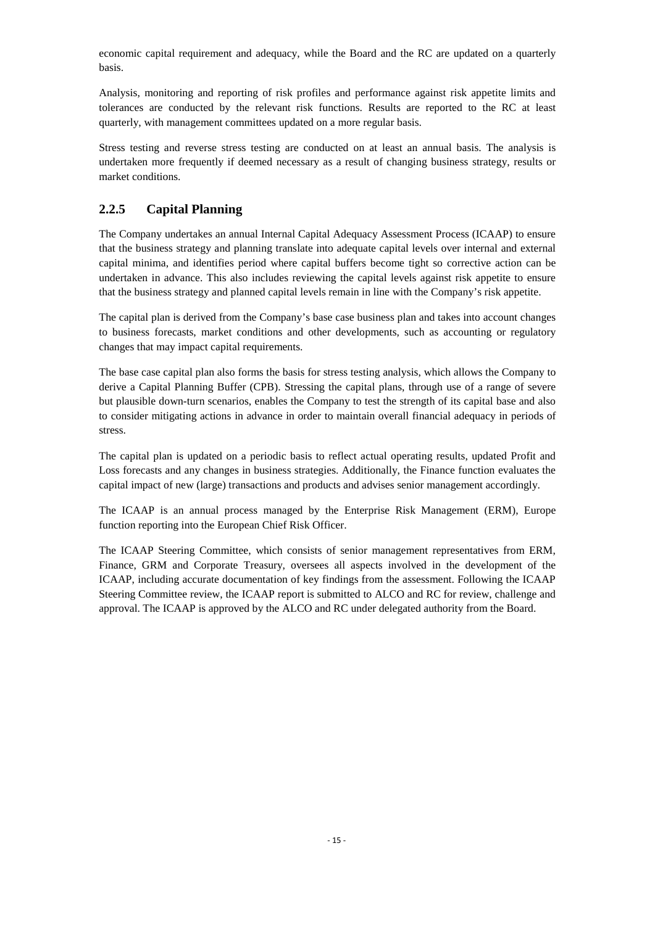economic capital requirement and adequacy, while the Board and the RC are updated on a quarterly basis.

Analysis, monitoring and reporting of risk profiles and performance against risk appetite limits and tolerances are conducted by the relevant risk functions. Results are reported to the RC at least quarterly, with management committees updated on a more regular basis.

Stress testing and reverse stress testing are conducted on at least an annual basis. The analysis is undertaken more frequently if deemed necessary as a result of changing business strategy, results or market conditions.

### <span id="page-17-0"></span>**2.2.5 Capital Planning**

The Company undertakes an annual Internal Capital Adequacy Assessment Process (ICAAP) to ensure that the business strategy and planning translate into adequate capital levels over internal and external capital minima, and identifies period where capital buffers become tight so corrective action can be undertaken in advance. This also includes reviewing the capital levels against risk appetite to ensure that the business strategy and planned capital levels remain in line with the Company's risk appetite.

The capital plan is derived from the Company's base case business plan and takes into account changes to business forecasts, market conditions and other developments, such as accounting or regulatory changes that may impact capital requirements.

The base case capital plan also forms the basis for stress testing analysis, which allows the Company to derive a Capital Planning Buffer (CPB). Stressing the capital plans, through use of a range of severe but plausible down-turn scenarios, enables the Company to test the strength of its capital base and also to consider mitigating actions in advance in order to maintain overall financial adequacy in periods of stress.

The capital plan is updated on a periodic basis to reflect actual operating results, updated Profit and Loss forecasts and any changes in business strategies. Additionally, the Finance function evaluates the capital impact of new (large) transactions and products and advises senior management accordingly.

The ICAAP is an annual process managed by the Enterprise Risk Management (ERM), Europe function reporting into the European Chief Risk Officer.

The ICAAP Steering Committee, which consists of senior management representatives from ERM, Finance, GRM and Corporate Treasury, oversees all aspects involved in the development of the ICAAP, including accurate documentation of key findings from the assessment. Following the ICAAP Steering Committee review, the ICAAP report is submitted to ALCO and RC for review, challenge and approval. The ICAAP is approved by the ALCO and RC under delegated authority from the Board.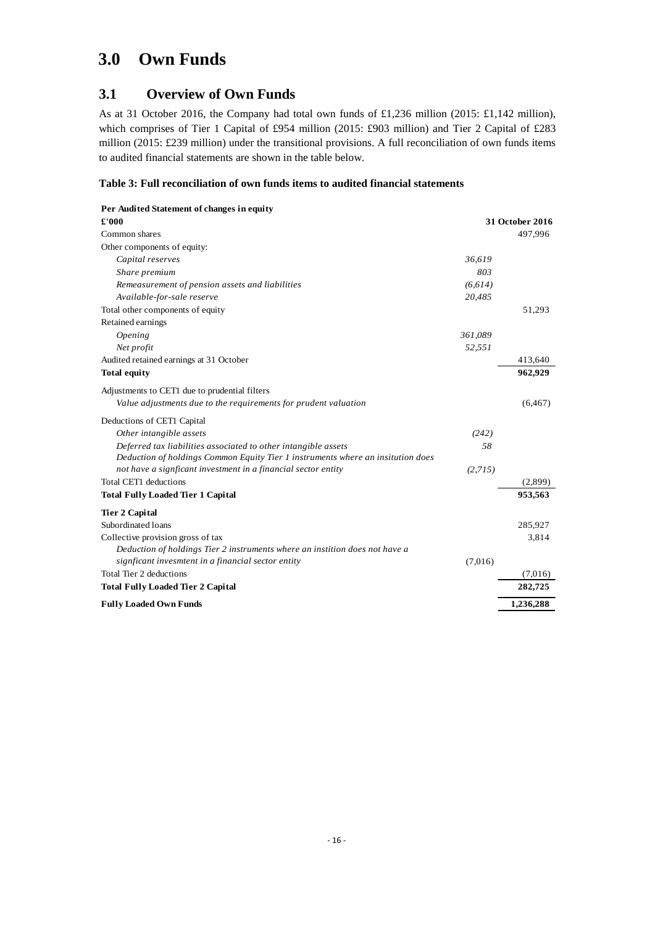# <span id="page-18-0"></span>**3.0 Own Funds**

## <span id="page-18-1"></span>**3.1 Overview of Own Funds**

As at 31 October 2016, the Company had total own funds of £1,236 million (2015: £1,142 million), which comprises of Tier 1 Capital of £954 million (2015: £903 million) and Tier 2 Capital of £283 million (2015: £239 million) under the transitional provisions. A full reconciliation of own funds items to audited financial statements are shown in the table below.

#### <span id="page-18-2"></span>**Table 3: Full reconciliation of own funds items to audited financial statements**

| Per Audited Statement of changes in equity                                      |          |                 |
|---------------------------------------------------------------------------------|----------|-----------------|
| £'000                                                                           |          | 31 October 2016 |
| Common shares                                                                   |          | 497,996         |
| Other components of equity:                                                     |          |                 |
| Capital reserves                                                                | 36,619   |                 |
| Share premium                                                                   | 803      |                 |
| Remeasurement of pension assets and liabilities                                 | (6, 614) |                 |
| Available-for-sale reserve                                                      | 20,485   |                 |
| Total other components of equity                                                |          | 51,293          |
| Retained earnings                                                               |          |                 |
| Opening                                                                         | 361,089  |                 |
| Net profit                                                                      | 52,551   |                 |
| Audited retained earnings at 31 October                                         |          | 413,640         |
| <b>Total equity</b>                                                             |          | 962.929         |
| Adjustments to CET1 due to prudential filters                                   |          |                 |
| Value adjustments due to the requirements for prudent valuation                 |          | (6, 467)        |
| Deductions of CET1 Capital                                                      |          |                 |
| Other intangible assets                                                         | (242)    |                 |
| Deferred tax liabilities associated to other intangible assets                  | .58      |                 |
| Deduction of holdings Common Equity Tier 1 instruments where an insitution does |          |                 |
| not have a signficant investment in a financial sector entity                   | (2,715)  |                 |
| <b>Total CET1</b> deductions                                                    |          | (2,899)         |
| <b>Total Fully Loaded Tier 1 Capital</b>                                        |          | 953,563         |
| <b>Tier 2 Capital</b>                                                           |          |                 |
| Subordinated loans                                                              |          | 285,927         |
| Collective provision gross of tax                                               |          | 3,814           |
| Deduction of holdings Tier 2 instruments where an instition does not have a     |          |                 |
| signficant invesmtent in a financial sector entity                              | (7,016)  |                 |
| Total Tier 2 deductions                                                         |          | (7,016)         |
| <b>Total Fully Loaded Tier 2 Capital</b>                                        |          | 282,725         |
| <b>Fully Loaded Own Funds</b>                                                   |          | 1,236,288       |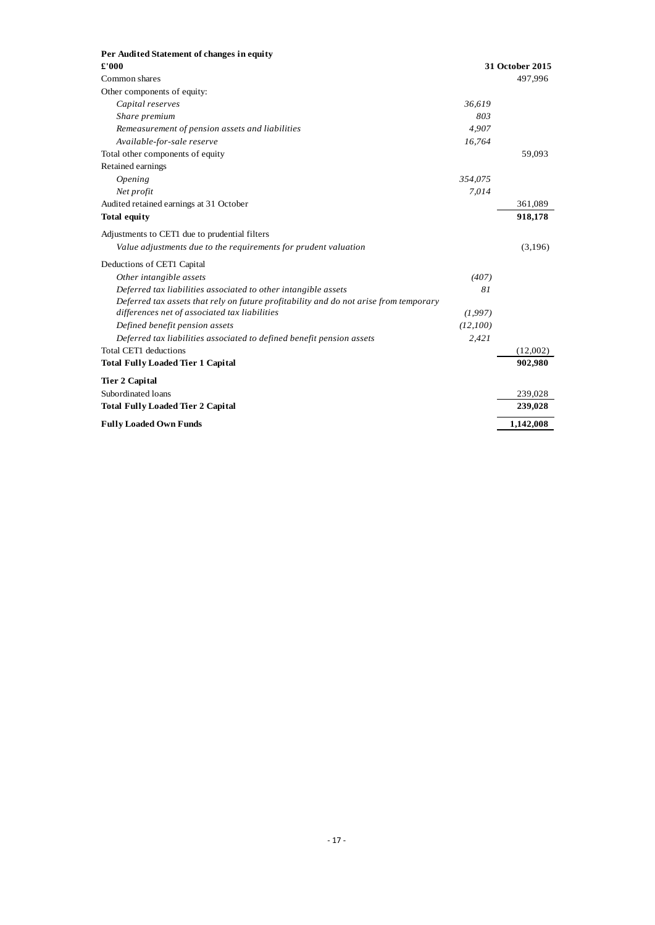| Per Audited Statement of changes in equity                                            |          |                 |
|---------------------------------------------------------------------------------------|----------|-----------------|
| £'000                                                                                 |          | 31 October 2015 |
| Common shares                                                                         |          | 497,996         |
| Other components of equity:                                                           |          |                 |
| Capital reserves                                                                      | 36,619   |                 |
| Share premium                                                                         | 803      |                 |
| Remeasurement of pension assets and liabilities                                       | 4,907    |                 |
| Available-for-sale reserve                                                            | 16,764   |                 |
| Total other components of equity                                                      |          | 59,093          |
| Retained earnings                                                                     |          |                 |
| Opening                                                                               | 354,075  |                 |
| Net profit                                                                            | 7,014    |                 |
| Audited retained earnings at 31 October                                               |          | 361,089         |
| <b>Total equity</b>                                                                   |          | 918,178         |
| Adjustments to CET1 due to prudential filters                                         |          |                 |
| Value adjustments due to the requirements for prudent valuation                       |          | (3,196)         |
| Deductions of CET1 Capital                                                            |          |                 |
| Other intangible assets                                                               | (407)    |                 |
| Deferred tax liabilities associated to other intangible assets                        | 81       |                 |
| Deferred tax assets that rely on future profitability and do not arise from temporary |          |                 |
| differences net of associated tax liabilities                                         | (1,997)  |                 |
| Defined benefit pension assets                                                        | (12,100) |                 |
| Deferred tax liabilities associated to defined benefit pension assets                 | 2,421    |                 |
| Total CET1 deductions                                                                 |          | (12,002)        |
| <b>Total Fully Loaded Tier 1 Capital</b>                                              |          | 902,980         |
| <b>Tier 2 Capital</b>                                                                 |          |                 |
| Subordinated loans                                                                    |          | 239,028         |
| <b>Total Fully Loaded Tier 2 Capital</b>                                              |          | 239,028         |
| <b>Fully Loaded Own Funds</b>                                                         |          | 1,142,008       |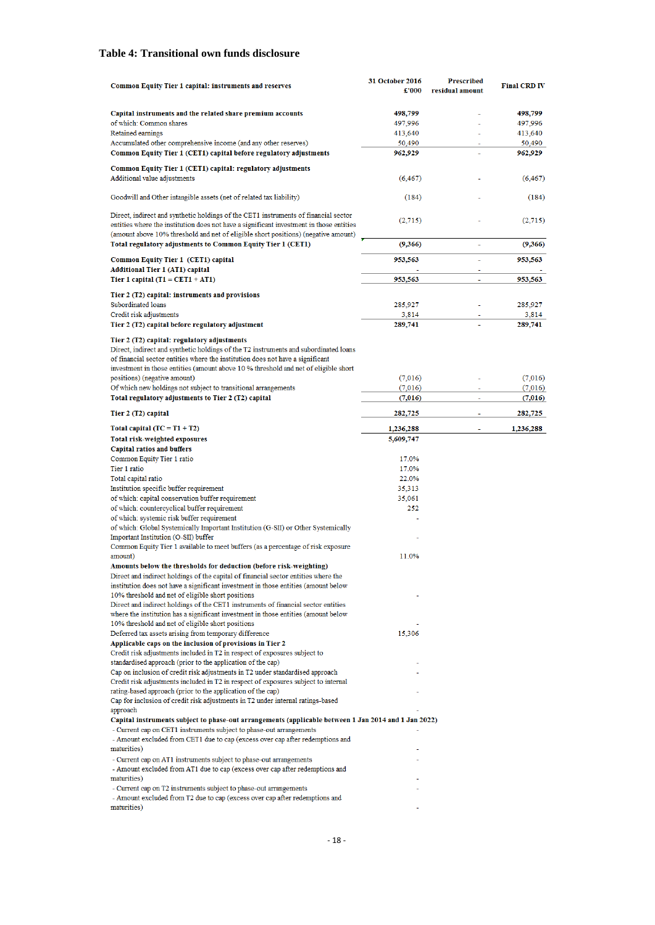#### <span id="page-20-0"></span>**Table 4: Transitional own funds disclosure**

| <b>Common Equity Tier 1 capital: instruments and reserves</b>                                                                                                                                                                                                                                                                                                                                                  | 31 October 2016<br>£'000 | <b>Prescribed</b><br>residual amount | <b>Final CRD IV</b> |
|----------------------------------------------------------------------------------------------------------------------------------------------------------------------------------------------------------------------------------------------------------------------------------------------------------------------------------------------------------------------------------------------------------------|--------------------------|--------------------------------------|---------------------|
| Capital instruments and the related share premium accounts                                                                                                                                                                                                                                                                                                                                                     | 498,799                  |                                      | 498,799             |
| of which: Common shares                                                                                                                                                                                                                                                                                                                                                                                        | 497,996                  |                                      | 497,996             |
| Retained earnings                                                                                                                                                                                                                                                                                                                                                                                              | 413,640                  |                                      | 413,640             |
| Accumulated other comprehensive income (and any other reserves)                                                                                                                                                                                                                                                                                                                                                | 50,490                   |                                      | 50,490              |
| Common Equity Tier 1 (CET1) capital before regulatory adjustments                                                                                                                                                                                                                                                                                                                                              | 962,929                  |                                      | 962,929             |
| Common Equity Tier 1 (CET1) capital: regulatory adjustments<br>Additional value adjustments                                                                                                                                                                                                                                                                                                                    | (6, 467)                 |                                      | (6, 467)            |
| Goodwill and Other intangible assets (net of related tax liability)                                                                                                                                                                                                                                                                                                                                            | (184)                    |                                      | (184)               |
| Direct, indirect and synthetic holdings of the CET1 instruments of financial sector<br>entities where the institution does not have a significant investment in those entities<br>(amount above 10% threshold and net of eligible short positions) (negative amount)<br>Total regulatory adjustments to Common Equity Tier 1 (CET1)                                                                            | (2,715)<br>(9,366)       | ٠                                    | (2,715)<br>(9,366)  |
|                                                                                                                                                                                                                                                                                                                                                                                                                |                          |                                      |                     |
| Common Equity Tier 1 (CET1) capital<br><b>Additional Tier 1 (AT1) capital</b>                                                                                                                                                                                                                                                                                                                                  | 953,563                  |                                      | 953,563             |
| Tier 1 capital $(T1 = CET1 + AT1)$                                                                                                                                                                                                                                                                                                                                                                             | 953,563                  |                                      | 953,563             |
|                                                                                                                                                                                                                                                                                                                                                                                                                |                          |                                      |                     |
| Tier 2 (T2) capital: instruments and provisions<br>Subordinated loans                                                                                                                                                                                                                                                                                                                                          | 285,927                  |                                      |                     |
| Credit risk adjustments                                                                                                                                                                                                                                                                                                                                                                                        | 3,814                    |                                      | 285,927<br>3,814    |
| Tier 2 (T2) capital before regulatory adjustment                                                                                                                                                                                                                                                                                                                                                               | 289,741                  |                                      | 289,741             |
| Tier 2 (T2) capital: regulatory adjustments<br>Direct, indirect and synthetic holdings of the T2 instruments and subordinated loans<br>of financial sector entities where the institution does not have a significant<br>investment in those entities (amount above 10 % threshold and net of eligible short<br>positions) (negative amount)<br>Of which new holdings not subject to transitional arrangements | (7,016)<br>(7,016)       |                                      | (7,016)<br>(7,016)  |
| Total regulatory adjustments to Tier 2 (T2) capital                                                                                                                                                                                                                                                                                                                                                            | (7,016)                  |                                      | (7,016)             |
| Tier 2 (T2) capital                                                                                                                                                                                                                                                                                                                                                                                            | 282,725                  |                                      | 282,725             |
| Total capital $(TC = T1 + T2)$                                                                                                                                                                                                                                                                                                                                                                                 | 1,236,288                |                                      | 1,236,288           |
| <b>Total risk-weighted exposures</b>                                                                                                                                                                                                                                                                                                                                                                           | 5,609,747                |                                      |                     |
| <b>Capital ratios and buffers</b>                                                                                                                                                                                                                                                                                                                                                                              |                          |                                      |                     |
| Common Equity Tier 1 ratio                                                                                                                                                                                                                                                                                                                                                                                     | 17.0%                    |                                      |                     |
| Tier 1 ratio                                                                                                                                                                                                                                                                                                                                                                                                   | 17.0%                    |                                      |                     |
| Total capital ratio<br>Institution specific buffer requirement                                                                                                                                                                                                                                                                                                                                                 | 22.0%<br>35,313          |                                      |                     |
| of which: capital conservation buffer requirement                                                                                                                                                                                                                                                                                                                                                              | 35,061                   |                                      |                     |
| of which: countercyclical buffer requirement                                                                                                                                                                                                                                                                                                                                                                   | 252                      |                                      |                     |
| of which: systemic risk buffer requirement<br>of which: Global Systemically Important Institution (G-SII) or Other Systemically                                                                                                                                                                                                                                                                                |                          |                                      |                     |
| Important Institution (O-SII) buffer<br>Common Equity Tier 1 available to meet buffers (as a percentage of risk exposure                                                                                                                                                                                                                                                                                       |                          |                                      |                     |
| amount)                                                                                                                                                                                                                                                                                                                                                                                                        | 11.0%                    |                                      |                     |
| Amounts below the thresholds for deduction (before risk-weighting)<br>Direct and indirect holdings of the capital of financial sector entities where the<br>institution does not have a significant investment in those entities (amount below                                                                                                                                                                 |                          |                                      |                     |
| 10% threshold and net of eligible short positions                                                                                                                                                                                                                                                                                                                                                              |                          |                                      |                     |
| Direct and indirect holdings of the CET1 instruments of financial sector entities<br>where the institution has a significant investment in those entities (amount below                                                                                                                                                                                                                                        |                          |                                      |                     |
| 10% threshold and net of eligible short positions                                                                                                                                                                                                                                                                                                                                                              |                          |                                      |                     |
| Deferred tax assets arising from temporary difference<br>Applicable caps on the inclusion of provisions in Tier 2                                                                                                                                                                                                                                                                                              | 15,306                   |                                      |                     |
| Credit risk adjustments included in T2 in respect of exposures subject to                                                                                                                                                                                                                                                                                                                                      |                          |                                      |                     |
| standardised approach (prior to the application of the cap)                                                                                                                                                                                                                                                                                                                                                    |                          |                                      |                     |
| Cap on inclusion of credit risk adjustments in T2 under standardised approach                                                                                                                                                                                                                                                                                                                                  |                          |                                      |                     |
| Credit risk adjustments included in T2 in respect of exposures subject to internal<br>rating-based approach (prior to the application of the cap)                                                                                                                                                                                                                                                              |                          |                                      |                     |
| Cap for inclusion of credit risk adjustments in T2 under internal ratings-based<br>approach                                                                                                                                                                                                                                                                                                                    |                          |                                      |                     |
| Capital instruments subject to phase-out arrangements (applicable between 1 Jan 2014 and 1 Jan 2022)                                                                                                                                                                                                                                                                                                           |                          |                                      |                     |
| - Current cap on CET1 instruments subject to phase-out arrangements<br>- Amount excluded from CET1 due to cap (excess over cap after redemptions and                                                                                                                                                                                                                                                           |                          |                                      |                     |
| maturities)                                                                                                                                                                                                                                                                                                                                                                                                    |                          |                                      |                     |
| - Current cap on AT1 instruments subject to phase-out arrangements<br>- Amount excluded from AT1 due to cap (excess over cap after redemptions and<br>maturities)                                                                                                                                                                                                                                              |                          |                                      |                     |
| - Current cap on T2 instruments subject to phase-out arrangements                                                                                                                                                                                                                                                                                                                                              |                          |                                      |                     |
| - Amount excluded from T2 due to cap (excess over cap after redemptions and                                                                                                                                                                                                                                                                                                                                    |                          |                                      |                     |
| maturities)                                                                                                                                                                                                                                                                                                                                                                                                    |                          |                                      |                     |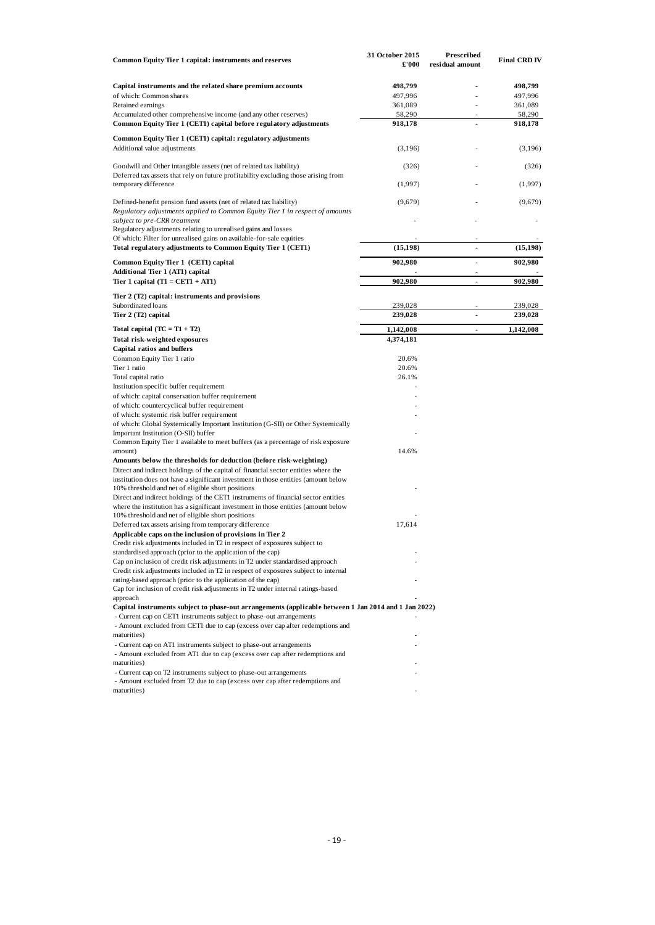| Common Equity Tier 1 capital: instruments and reserves                                                                                                                            | 31 October 2015<br>£'000 | Prescribed<br>residual amount    | <b>Final CRD IV</b> |
|-----------------------------------------------------------------------------------------------------------------------------------------------------------------------------------|--------------------------|----------------------------------|---------------------|
| Capital instruments and the related share premium accounts                                                                                                                        |                          |                                  | 498,799             |
| of which: Common shares                                                                                                                                                           | 498,799<br>497,996       |                                  | 497,996             |
| Retained earnings                                                                                                                                                                 | 361,089                  |                                  | 361,089             |
| Accumulated other comprehensive income (and any other reserves)                                                                                                                   | 58,290                   |                                  | 58,290              |
| Common Equity Tier 1 (CET1) capital before regulatory adjustments                                                                                                                 | 918,178                  | ä,                               | 918,178             |
| Common Equity Tier 1 (CET1) capital: regulatory adjustments<br>Additional value adjustments                                                                                       | (3,196)                  |                                  | (3,196)             |
|                                                                                                                                                                                   |                          |                                  |                     |
| Goodwill and Other intangible assets (net of related tax liability)<br>Deferred tax assets that rely on future profitability excluding those arising from<br>temporary difference | (326)<br>(1,997)         |                                  | (326)<br>(1,997)    |
| Defined-benefit pension fund assets (net of related tax liability)                                                                                                                | (9,679)                  |                                  | (9,679)             |
| Regulatory adjustments applied to Common Equity Tier 1 in respect of amounts<br>subject to pre-CRR treatment                                                                      |                          |                                  |                     |
| Regulatory adjustments relating to unrealised gains and losses<br>Of which: Filter for unrealised gains on available-for-sale equities                                            |                          |                                  |                     |
| Total regulatory adjustments to Common Equity Tier 1 (CET1)                                                                                                                       | (15, 198)                |                                  | (15, 198)           |
| Common Equity Tier 1 (CET1) capital<br>Additional Tier 1 (AT1) capital                                                                                                            | 902,980                  | $\blacksquare$<br>$\overline{a}$ | 902,980             |
| Tier 1 capital $(T1 = CET1 + AT1)$                                                                                                                                                | 902,980                  | $\blacksquare$                   | 902,980             |
| Tier 2 (T2) capital: instruments and provisions                                                                                                                                   |                          |                                  |                     |
| Subordinated loans                                                                                                                                                                | 239,028                  |                                  | 239,028             |
| Tier 2 (T2) capital                                                                                                                                                               | 239,028                  | $\blacksquare$                   | 239,028             |
| Total capital $(TC = T1 + T2)$                                                                                                                                                    | 1,142,008                | $\blacksquare$                   | 1,142,008           |
| Total risk-weighted exposures                                                                                                                                                     | 4,374,181                |                                  |                     |
| Capital ratios and buffers                                                                                                                                                        |                          |                                  |                     |
| Common Equity Tier 1 ratio<br>Tier 1 ratio                                                                                                                                        | 20.6%                    |                                  |                     |
|                                                                                                                                                                                   | 20.6%<br>26.1%           |                                  |                     |
| Total capital ratio<br>Institution specific buffer requirement                                                                                                                    |                          |                                  |                     |
| of which: capital conservation buffer requirement                                                                                                                                 |                          |                                  |                     |
| of which: countercyclical buffer requirement                                                                                                                                      |                          |                                  |                     |
| of which: systemic risk buffer requirement                                                                                                                                        |                          |                                  |                     |
| of which: Global Systemically Important Institution (G-SII) or Other Systemically                                                                                                 |                          |                                  |                     |
| Important Institution (O-SII) buffer                                                                                                                                              |                          |                                  |                     |
| Common Equity Tier 1 available to meet buffers (as a percentage of risk exposure                                                                                                  |                          |                                  |                     |
| amount)<br>Amounts below the thresholds for deduction (before risk-weighting)                                                                                                     | 14.6%                    |                                  |                     |
| Direct and indirect holdings of the capital of financial sector entities where the                                                                                                |                          |                                  |                     |
| institution does not have a significant investment in those entities (amount below                                                                                                |                          |                                  |                     |
| 10% threshold and net of eligible short positions                                                                                                                                 |                          |                                  |                     |
| Direct and indirect holdings of the CET1 instruments of financial sector entities                                                                                                 |                          |                                  |                     |
| where the institution has a significant investment in those entities (amount below                                                                                                |                          |                                  |                     |
| 10% threshold and net of eligible short positions                                                                                                                                 |                          |                                  |                     |
| Deferred tax assets arising from temporary difference                                                                                                                             | 17,614                   |                                  |                     |
| Applicable caps on the inclusion of provisions in Tier 2                                                                                                                          |                          |                                  |                     |
| Credit risk adjustments included in T2 in respect of exposures subject to<br>standardised approach (prior to the application of the cap)                                          |                          |                                  |                     |
| Cap on inclusion of credit risk adjustments in T2 under standardised approach                                                                                                     |                          |                                  |                     |
| Credit risk adjustments included in T2 in respect of exposures subject to internal                                                                                                |                          |                                  |                     |
| rating-based approach (prior to the application of the cap)                                                                                                                       |                          |                                  |                     |
| Cap for inclusion of credit risk adjustments in T2 under internal ratings-based                                                                                                   |                          |                                  |                     |
| approach                                                                                                                                                                          |                          |                                  |                     |
| Capital instruments subject to phase-out arrangements (applicable between 1 Jan 2014 and 1 Jan 2022)                                                                              |                          |                                  |                     |
| - Current cap on CET1 instruments subject to phase-out arrangements                                                                                                               |                          |                                  |                     |
| - Amount excluded from CET1 due to cap (excess over cap after redemptions and                                                                                                     |                          |                                  |                     |
| maturities)                                                                                                                                                                       |                          |                                  |                     |
| - Current cap on AT1 instruments subject to phase-out arrangements                                                                                                                |                          |                                  |                     |
| - Amount excluded from AT1 due to cap (excess over cap after redemptions and<br>maturities)                                                                                       |                          |                                  |                     |
| - Current cap on T2 instruments subject to phase-out arrangements                                                                                                                 |                          |                                  |                     |
| - Amount excluded from T2 due to cap (excess over cap after redemptions and                                                                                                       |                          |                                  |                     |
| maturities)                                                                                                                                                                       |                          |                                  |                     |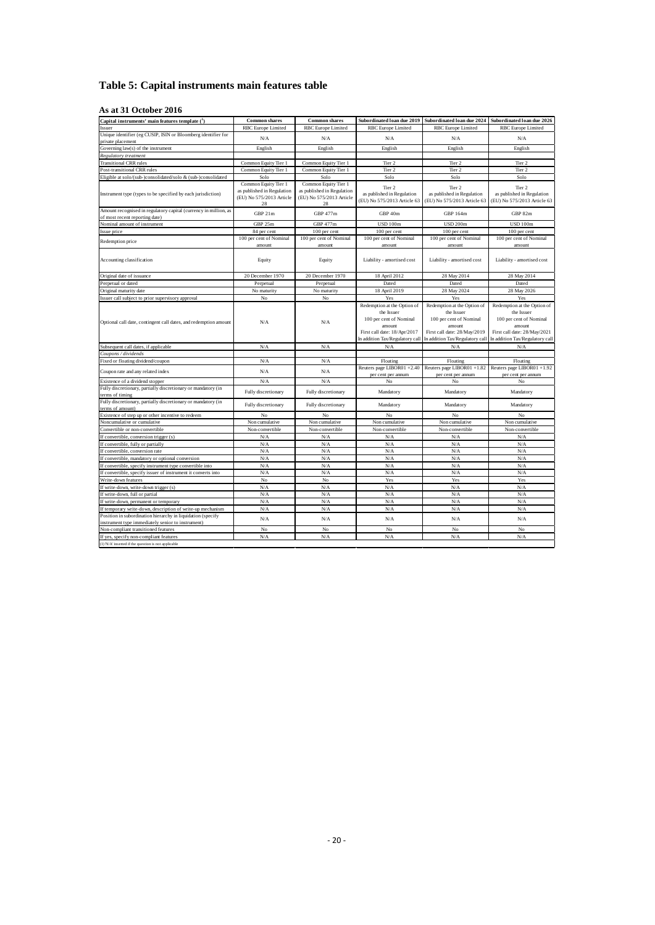#### <span id="page-22-0"></span>**Table 5: Capital instruments main features table**

#### **As at 31 October 2016**

| Capital instruments' main features template (1)                                                                  | <b>Common shares</b>                                                                 | <b>Common shares</b>                                                                 | Subordinated loan due 2019                                                                                                                        | Subordinated Ioan due 2024                                                                                                                        | Subordinated Ioan due 2026                                                                                                                        |
|------------------------------------------------------------------------------------------------------------------|--------------------------------------------------------------------------------------|--------------------------------------------------------------------------------------|---------------------------------------------------------------------------------------------------------------------------------------------------|---------------------------------------------------------------------------------------------------------------------------------------------------|---------------------------------------------------------------------------------------------------------------------------------------------------|
| Issuer                                                                                                           | <b>RBC</b> Europe Limited                                                            | <b>RBC</b> Europe Limited                                                            | <b>RBC</b> Europe Limited                                                                                                                         | <b>RBC</b> Europe Limited                                                                                                                         | <b>RBC</b> Europe Limited                                                                                                                         |
| Unique identifier (eg CUSIP, ISIN or Bloomberg identifier for<br>private placement                               | N/A                                                                                  | N/A                                                                                  | N/A                                                                                                                                               | N/A                                                                                                                                               | N/A                                                                                                                                               |
| Governing law(s) of the instrument                                                                               | English                                                                              | English                                                                              | English                                                                                                                                           | English                                                                                                                                           | English                                                                                                                                           |
| Regulatory treatment                                                                                             |                                                                                      |                                                                                      |                                                                                                                                                   |                                                                                                                                                   |                                                                                                                                                   |
| <b>Transitional CRR rules</b>                                                                                    | Common Equity Tier 1                                                                 | Common Equity Tier 1                                                                 | Tier 2                                                                                                                                            | Tier 2                                                                                                                                            | Tier 2                                                                                                                                            |
| Post-transitional CRR rules                                                                                      | Common Equity Tier 1                                                                 | Common Equity Tier 1                                                                 | Tier 2                                                                                                                                            | Tier 2                                                                                                                                            | Tier 2                                                                                                                                            |
| Eligible at solo/(sub-)consolidated/solo & (sub-)consolidated                                                    | Solo                                                                                 | Solo                                                                                 | Solo                                                                                                                                              | Solo                                                                                                                                              | Solo                                                                                                                                              |
| Instrument type (types to be specified by each jurisdiction)                                                     | Common Equity Tier 1<br>as published in Regulation<br>(EU) No 575/2013 Article<br>28 | Common Equity Tier 1<br>as published in Regulation<br>(EU) No 575/2013 Article<br>28 | Tier 2<br>as published in Regulation<br>(EU) No 575/2013 Article 63                                                                               | Tier 2<br>as published in Regulation<br>(EU) No 575/2013 Article 63                                                                               | Tier 2<br>as published in Regulation<br>(EU) No 575/2013 Article 63                                                                               |
| Amount recognised in regulatory capital (currency in million, as<br>of most recent reporting date)               | GBP 21m                                                                              | GBP 477m                                                                             | GBP 40m                                                                                                                                           | GBP 164m                                                                                                                                          | GBP 82m                                                                                                                                           |
| Nominal amount of instrument                                                                                     | GBP 25m                                                                              | GBP 477m                                                                             | <b>USD 100m</b>                                                                                                                                   | <b>USD 200m</b>                                                                                                                                   | <b>USD 100m</b>                                                                                                                                   |
| Issue price                                                                                                      | 84 per cent                                                                          | 100 per cent                                                                         | 100 per cent                                                                                                                                      | 100 per cent                                                                                                                                      | 100 per cent                                                                                                                                      |
|                                                                                                                  | 100 per cent of Nominal                                                              | 100 per cent of Nominal                                                              | 100 per cent of Nominal                                                                                                                           | 100 per cent of Nominal                                                                                                                           | 100 per cent of Nominal                                                                                                                           |
| Redemption price                                                                                                 | amount                                                                               | amount                                                                               | amount                                                                                                                                            | amount                                                                                                                                            | amount                                                                                                                                            |
| Accounting classification                                                                                        | Equity                                                                               | Equity                                                                               | Liability - amortised cost                                                                                                                        | Liability - amortised cost                                                                                                                        | Liability - amortised cost                                                                                                                        |
| Original date of issuance                                                                                        | 20 December 1970                                                                     | 20 December 1970                                                                     | 18 April 2012                                                                                                                                     | 28 May 2014                                                                                                                                       | 28 May 2014                                                                                                                                       |
| Perpetual or dated                                                                                               | Perpetual                                                                            | Perpetual                                                                            | Dated                                                                                                                                             | Dated                                                                                                                                             | Dated                                                                                                                                             |
| Original maturity date                                                                                           | No maturity                                                                          | No maturity                                                                          | 18 April 2019                                                                                                                                     | 28 May 2024                                                                                                                                       | 28 May 2026                                                                                                                                       |
| Issuer call subject to prior supervisory approval                                                                | No                                                                                   | No                                                                                   | Yes                                                                                                                                               | Yes                                                                                                                                               | Yes                                                                                                                                               |
| Optional call date, contingent call dates, and redemption amount                                                 | N/A                                                                                  | N/A                                                                                  | Redemption at the Option of<br>the Issuer<br>100 per cent of Nominal<br>amount<br>First call date: 18/Apr/2017<br>In addition Tax/Regulatory call | Redemption at the Option of<br>the Issuer<br>100 per cent of Nominal<br>amount<br>First call date: 28/May/2019<br>In addition Tax/Regulatory call | Redemption at the Option of<br>the Issuer<br>100 per cent of Nominal<br>amount<br>First call date: 28/May/2021<br>In addition Tax/Regulatory call |
| Subsequent call dates, if applicable                                                                             | N/A                                                                                  | N/A                                                                                  | N/A                                                                                                                                               | N/A                                                                                                                                               | N/A                                                                                                                                               |
| Coupons / dividends                                                                                              |                                                                                      |                                                                                      |                                                                                                                                                   |                                                                                                                                                   |                                                                                                                                                   |
| Fixed or floating dividend/coupon                                                                                | N/A                                                                                  | N/A                                                                                  | Floating                                                                                                                                          | Floating                                                                                                                                          | Floating                                                                                                                                          |
|                                                                                                                  |                                                                                      |                                                                                      | Reuters page LIBOR01 +2.40                                                                                                                        | Reuters page LIBOR01 +1.82                                                                                                                        | Reuters page LIBOR01 +1.92                                                                                                                        |
| Coupon rate and any related index                                                                                | N/A                                                                                  | N/A                                                                                  | per cent per annum                                                                                                                                | per cent per annum                                                                                                                                | per cent per annum                                                                                                                                |
| Existence of a dividend stopper                                                                                  | N/A                                                                                  | N/A                                                                                  | No                                                                                                                                                | No                                                                                                                                                | No                                                                                                                                                |
| Fully discretionary, partially discretionary or mandatory (in<br>terms of timing                                 | Fully discretionary                                                                  | Fully discretionary                                                                  | Mandatory                                                                                                                                         | Mandatory                                                                                                                                         | Mandatory                                                                                                                                         |
| Fully discretionary, partially discretionary or mandatory (in<br>terms of amount)                                | Fully discretionary                                                                  | Fully discretionary                                                                  | Mandatory                                                                                                                                         | Mandatory                                                                                                                                         | Mandatory                                                                                                                                         |
| Existence of step up or other incentive to redeem                                                                | No                                                                                   | No                                                                                   | No                                                                                                                                                | No                                                                                                                                                | $_{\rm No}$                                                                                                                                       |
| Noncumulative or cumulative                                                                                      | Non cumulative                                                                       | Non cumulative                                                                       | Non cumulative                                                                                                                                    | Non cumulative                                                                                                                                    | Non cumulative                                                                                                                                    |
| Convertible or non-convertible                                                                                   | Non-convertible                                                                      | Non-convertible                                                                      | Non-convertible                                                                                                                                   | Non-convertible                                                                                                                                   | Non-convertible                                                                                                                                   |
| If convertible, conversion trigger (s)                                                                           | N/A                                                                                  | N/A                                                                                  | N/A                                                                                                                                               | N/A                                                                                                                                               | N/A                                                                                                                                               |
| If convertible, fully or partially                                                                               | N/A                                                                                  | N/A                                                                                  | ${\rm N/A}$                                                                                                                                       | N/A                                                                                                                                               | N/A                                                                                                                                               |
| If convertible, conversion rate                                                                                  | N/A                                                                                  | N/A                                                                                  | N/A                                                                                                                                               | N/A                                                                                                                                               | N/A                                                                                                                                               |
| If convertible, mandatory or optional conversion                                                                 | N/A                                                                                  | N/A                                                                                  | N/A                                                                                                                                               | N/A                                                                                                                                               | N/A                                                                                                                                               |
| If convertible, specify instrument type convertible into                                                         | N/A                                                                                  | N/A                                                                                  | ${\rm N/A}$                                                                                                                                       | N/A                                                                                                                                               | N/A                                                                                                                                               |
| If convertible, specify issuer of instrument it converts into                                                    | N/A                                                                                  | N/A                                                                                  | N/A                                                                                                                                               | N/A                                                                                                                                               | N/A                                                                                                                                               |
| Write-down features                                                                                              | No                                                                                   | No                                                                                   | Yes                                                                                                                                               | Yes                                                                                                                                               | Yes                                                                                                                                               |
| If write-down, write-down trigger (s)                                                                            | N/A                                                                                  | N/A                                                                                  | N/A                                                                                                                                               | N/A                                                                                                                                               | N/A                                                                                                                                               |
| If write-down, full or partial                                                                                   | N/A                                                                                  | N/A                                                                                  | N/A                                                                                                                                               | N/A                                                                                                                                               | N/A                                                                                                                                               |
| If write-down, permanent or temporary                                                                            | N/A                                                                                  | N/A                                                                                  | N/A                                                                                                                                               | N/A                                                                                                                                               | N/A                                                                                                                                               |
| If temporary write-down, description of write-up mechanism                                                       | N/A                                                                                  | N/A                                                                                  | N/A                                                                                                                                               | N/A                                                                                                                                               | N/A                                                                                                                                               |
| Position in subordination hierarchy in liquidation (specify<br>instrument type immediately senior to instrument) | N/A                                                                                  | N/A                                                                                  | N/A                                                                                                                                               | N/A                                                                                                                                               | N/A                                                                                                                                               |
| Non-compliant transitioned features                                                                              | No                                                                                   | No                                                                                   | No                                                                                                                                                | No                                                                                                                                                | No                                                                                                                                                |
| If yes, specify non-compliant features                                                                           | N/A                                                                                  | N/A                                                                                  | N/A                                                                                                                                               | N/A                                                                                                                                               | N/A                                                                                                                                               |
| (1) 'N/A' inserted if the question is not applicable                                                             |                                                                                      |                                                                                      |                                                                                                                                                   |                                                                                                                                                   |                                                                                                                                                   |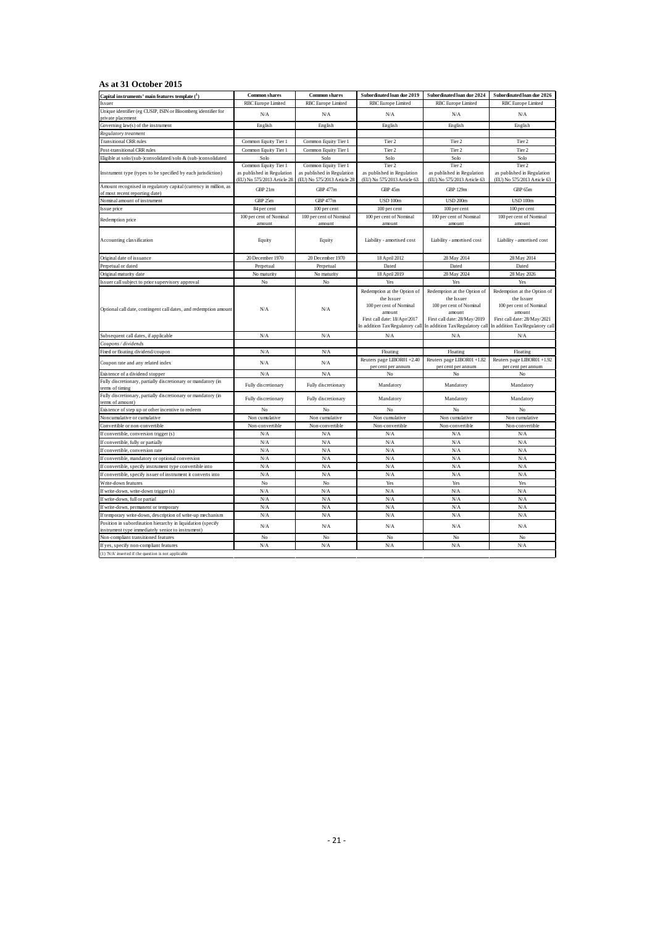#### **As at 31 October 2015**

| Capital instruments' main features template (1)                                                                  | <b>Common shares</b>              | <b>Common shares</b>              | Subordinated loan due 2019                                                                                                                        | Subordinated loan due 2024                                                                                                                        | Subordinated loan due 2026                                                                                                                        |
|------------------------------------------------------------------------------------------------------------------|-----------------------------------|-----------------------------------|---------------------------------------------------------------------------------------------------------------------------------------------------|---------------------------------------------------------------------------------------------------------------------------------------------------|---------------------------------------------------------------------------------------------------------------------------------------------------|
| Issuer                                                                                                           | RBC Europe Limited                | RBC Europe Limited                | RBC Europe Limited                                                                                                                                | RBC Europe Limited                                                                                                                                | RBC Europe Limited                                                                                                                                |
| Unique identifier (eg CUSIP, ISIN or Bloomberg identifier for<br>private placement                               | N/A                               | N/A                               | N/A                                                                                                                                               | N/A                                                                                                                                               | N/A                                                                                                                                               |
| Governing law(s) of the instrument                                                                               | English                           | English                           | English                                                                                                                                           | English                                                                                                                                           | English                                                                                                                                           |
| Regulatory treatment                                                                                             |                                   |                                   |                                                                                                                                                   |                                                                                                                                                   |                                                                                                                                                   |
| <b>Transitional CRR rules</b>                                                                                    | Common Equity Tier 1              | Common Equity Tier 1              | Tier 2                                                                                                                                            | Tier 2                                                                                                                                            | Tier 2                                                                                                                                            |
| Post-transitional CRR rules                                                                                      | Common Equity Tier 1              | Common Equity Tier 1              | Tier 2                                                                                                                                            | Tier 2                                                                                                                                            | Tier 2                                                                                                                                            |
| Eligible at solo/(sub-)consolidated/solo & (sub-)consolidated                                                    | Solo                              | Solo                              | Solo                                                                                                                                              | Solo                                                                                                                                              | Solo                                                                                                                                              |
|                                                                                                                  | Common Equity Tier 1              | Common Equity Tier 1              | Tier 2                                                                                                                                            | Tier 2                                                                                                                                            | Tier 2                                                                                                                                            |
| Instrument type (types to be specified by each jurisdiction)                                                     | as published in Regulation        | as published in Regulation        | as published in Regulation                                                                                                                        | as published in Regulation                                                                                                                        | as published in Regulation                                                                                                                        |
|                                                                                                                  | (EU) No 575/2013 Article 28       | (EU) No 575/2013 Article 28       | (EU) No 575/2013 Article 63                                                                                                                       | (EU) No 575/2013 Article 63                                                                                                                       | (EU) No 575/2013 Article 63                                                                                                                       |
| Amount recognised in regulatory capital (currency in million, as<br>of most recent reporting date)               | GBP 21m                           | GBP 477m                          | GBP 45m                                                                                                                                           | <b>GBP 129m</b>                                                                                                                                   | GBP 65m                                                                                                                                           |
| Nominal amount of instrument                                                                                     | GBP 25m                           | <b>GBP 477m</b>                   | <b>USD 100m</b>                                                                                                                                   | <b>USD 200m</b>                                                                                                                                   | <b>USD 100m</b>                                                                                                                                   |
| Issue price                                                                                                      | 84 per cent                       | 100 per cent                      | 100 per cent                                                                                                                                      | 100 per cent                                                                                                                                      | 100 per cent                                                                                                                                      |
| Redemption price                                                                                                 | 100 per cent of Nominal<br>amount | 100 per cent of Nominal<br>amount | 100 per cent of Nominal<br>amount                                                                                                                 | 100 per cent of Nominal<br>amount                                                                                                                 | 100 per cent of Nominal<br>amount                                                                                                                 |
| Accounting classification                                                                                        | Equity                            | Equity                            | Liability - amortised cost                                                                                                                        | Liability - amortised cost                                                                                                                        | Liability - amortised cost                                                                                                                        |
| Original date of issuance                                                                                        | 20 December 1970                  | 20 December 1970                  | 18 April 2012                                                                                                                                     | 28 May 2014                                                                                                                                       | 28 May 2014                                                                                                                                       |
| Perpetual or dated                                                                                               | Perpetual                         | Perpetual                         | Dated                                                                                                                                             | Dated                                                                                                                                             | Dated                                                                                                                                             |
| Original maturity date                                                                                           | No maturity                       | No maturity                       | 18 April 2019                                                                                                                                     | 28 May 2024                                                                                                                                       | 28 May 2026                                                                                                                                       |
| Issuer call subject to prior supervisory approval                                                                | No                                | No                                | Yes                                                                                                                                               | Yes                                                                                                                                               | Yes                                                                                                                                               |
| Optional call date, contingent call dates, and redemption amount                                                 | N/A                               | N/A                               | Redemption at the Option of<br>the Issuer<br>100 per cent of Nominal<br>amount<br>First call date: 18/Apr/2017<br>In addition Tax/Regulatory call | Redemption at the Option of<br>the Issuer<br>100 per cent of Nominal<br>amount<br>First call date: 28/May/2019<br>In addition Tax/Regulatory call | Redemption at the Option of<br>the Issuer<br>100 per cent of Nominal<br>amount<br>First call date: 28/May/2021<br>In addition Tax/Regulatory call |
| Subsequent call dates, if applicable                                                                             | N/A                               | N/A                               | N/A                                                                                                                                               | N/A                                                                                                                                               | N/A                                                                                                                                               |
| Coupons / dividends                                                                                              |                                   |                                   |                                                                                                                                                   |                                                                                                                                                   |                                                                                                                                                   |
| Fixed or floating dividend/coupon                                                                                | N/A                               | N/A                               | Floating                                                                                                                                          | Floating                                                                                                                                          | Floating                                                                                                                                          |
| Coupon rate and any related index                                                                                | N/A                               | N/A                               | Reuters page LIBOR01 +2.40<br>per cent per annum                                                                                                  | Reuters page LIBOR01 +1.82<br>per cent per annum                                                                                                  | Reuters page LIBOR01 +1.92<br>per cent per annum                                                                                                  |
| Existence of a dividend stopper                                                                                  | N/A                               | N/A                               | No                                                                                                                                                | No                                                                                                                                                | No                                                                                                                                                |
| Fully discretionary, partially discretionary or mandatory (in                                                    |                                   |                                   |                                                                                                                                                   |                                                                                                                                                   |                                                                                                                                                   |
| terms of timing                                                                                                  | Fully discretionary               | Fully discretionary               | Mandatory                                                                                                                                         | Mandatory                                                                                                                                         | Mandatory                                                                                                                                         |
| Fully discretionary, partially discretionary or mandatory (in<br>terms of amount)                                | Fully discretionary               | Fully discretionary               | Mandatory                                                                                                                                         | Mandatory                                                                                                                                         | Mandatory                                                                                                                                         |
| Existence of step up or other incentive to redeem                                                                | No                                | No                                | No                                                                                                                                                | No                                                                                                                                                | No                                                                                                                                                |
| Noncumulative or cumulative                                                                                      | Non cumulative                    | Non cumulative                    | Non cumulative                                                                                                                                    | Non cumulative                                                                                                                                    | Non cumulative                                                                                                                                    |
| Convertible or non-convertible                                                                                   | Non-convertible                   | Non-convertible                   | Non-convertible                                                                                                                                   | Non-convertible                                                                                                                                   | Non-convertible                                                                                                                                   |
| If convertible, conversion trigger (s)                                                                           | N/A                               | N/A                               | N/A                                                                                                                                               | N/A                                                                                                                                               | N/A                                                                                                                                               |
| If convertible, fully or partially                                                                               | N/A                               | N/A                               | N/A                                                                                                                                               | N/A                                                                                                                                               | N/A                                                                                                                                               |
| If convertible, conversion rate                                                                                  | N/A                               | N/A                               | N/A                                                                                                                                               | N/A                                                                                                                                               | N/A                                                                                                                                               |
| If convertible, mandatory or optional conversion                                                                 | N/A                               | N/A                               | N/A                                                                                                                                               | N/A                                                                                                                                               | N/A                                                                                                                                               |
| If convertible, specify instrument type convertible into                                                         | N/A                               | N/A                               | N/A                                                                                                                                               | N/A                                                                                                                                               | N/A                                                                                                                                               |
| If convertible, specify issuer of instrument it converts into                                                    | N/A                               | N/A                               | N/A                                                                                                                                               | N/A                                                                                                                                               | N/A                                                                                                                                               |
| Write-down features                                                                                              | No                                | No                                | Yes                                                                                                                                               | Yes                                                                                                                                               | Yes                                                                                                                                               |
| If write-down, write-down trigger (s)                                                                            | N/A                               | N/A                               | N/A                                                                                                                                               | N/A                                                                                                                                               | N/A                                                                                                                                               |
| If write-down, full or partial                                                                                   | N/A                               | N/A                               | N/A                                                                                                                                               | N/A                                                                                                                                               | N/A                                                                                                                                               |
| If write-down, permanent or temporary                                                                            | N/A                               | N/A                               | N/A                                                                                                                                               | N/A                                                                                                                                               | N/A                                                                                                                                               |
| If temporary write-down, description of write-up mechanism                                                       | N/A                               | N/A                               | N/A                                                                                                                                               | N/A                                                                                                                                               | N/A                                                                                                                                               |
| Position in subordination hierarchy in liquidation (specify<br>instrument type immediately senior to instrument) | N/A                               | N/A                               | N/A                                                                                                                                               | N/A                                                                                                                                               | N/A                                                                                                                                               |
| Non-compliant transitioned features                                                                              | No                                | No                                | No                                                                                                                                                | No                                                                                                                                                | No                                                                                                                                                |
| If yes, specify non-compliant features                                                                           | N/A                               | N/A                               | N/A                                                                                                                                               | N/A                                                                                                                                               | N/A                                                                                                                                               |
| (1) 'N/A' inserted if the question is not applicable                                                             |                                   |                                   |                                                                                                                                                   |                                                                                                                                                   |                                                                                                                                                   |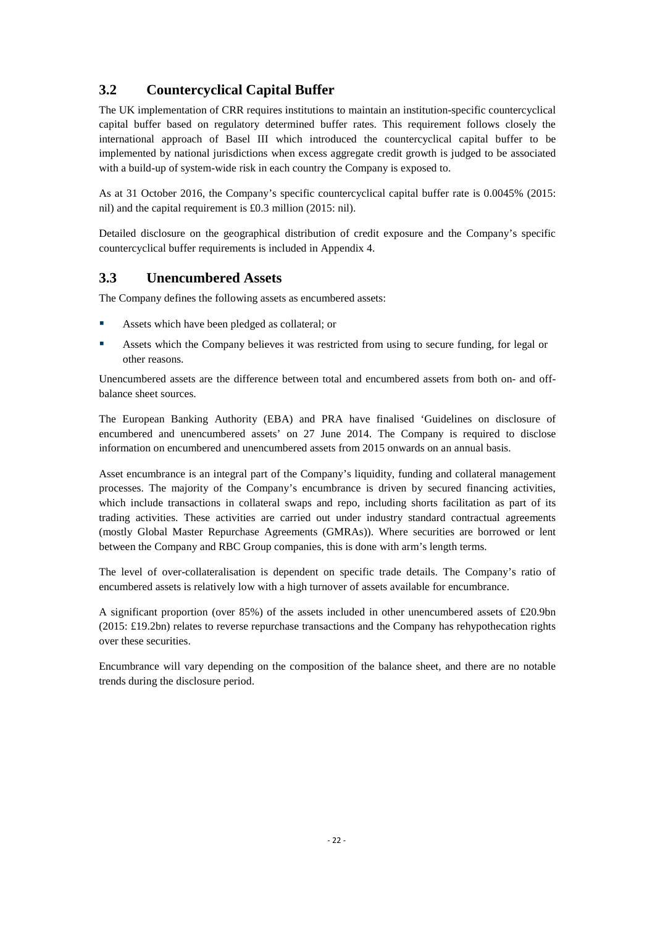## <span id="page-24-0"></span>**3.2 Countercyclical Capital Buffer**

The UK implementation of CRR requires institutions to maintain an institution-specific countercyclical capital buffer based on regulatory determined buffer rates. This requirement follows closely the international approach of Basel III which introduced the countercyclical capital buffer to be implemented by national jurisdictions when excess aggregate credit growth is judged to be associated with a build-up of system-wide risk in each country the Company is exposed to.

As at 31 October 2016, the Company's specific countercyclical capital buffer rate is 0.0045% (2015: nil) and the capital requirement is £0.3 million (2015: nil).

Detailed disclosure on the geographical distribution of credit exposure and the Company's specific countercyclical buffer requirements is included in Appendix 4.

## <span id="page-24-1"></span>**3.3 Unencumbered Assets**

The Company defines the following assets as encumbered assets:

- Assets which have been pledged as collateral; or
- Assets which the Company believes it was restricted from using to secure funding, for legal or other reasons.

Unencumbered assets are the difference between total and encumbered assets from both on- and offbalance sheet sources.

The European Banking Authority (EBA) and PRA have finalised 'Guidelines on disclosure of encumbered and unencumbered assets' on 27 June 2014. The Company is required to disclose information on encumbered and unencumbered assets from 2015 onwards on an annual basis.

Asset encumbrance is an integral part of the Company's liquidity, funding and collateral management processes. The majority of the Company's encumbrance is driven by secured financing activities, which include transactions in collateral swaps and repo, including shorts facilitation as part of its trading activities. These activities are carried out under industry standard contractual agreements (mostly Global Master Repurchase Agreements (GMRAs)). Where securities are borrowed or lent between the Company and RBC Group companies, this is done with arm's length terms.

The level of over-collateralisation is dependent on specific trade details. The Company's ratio of encumbered assets is relatively low with a high turnover of assets available for encumbrance.

A significant proportion (over 85%) of the assets included in other unencumbered assets of £20.9bn (2015: £19.2bn) relates to reverse repurchase transactions and the Company has rehypothecation rights over these securities.

Encumbrance will vary depending on the composition of the balance sheet, and there are no notable trends during the disclosure period.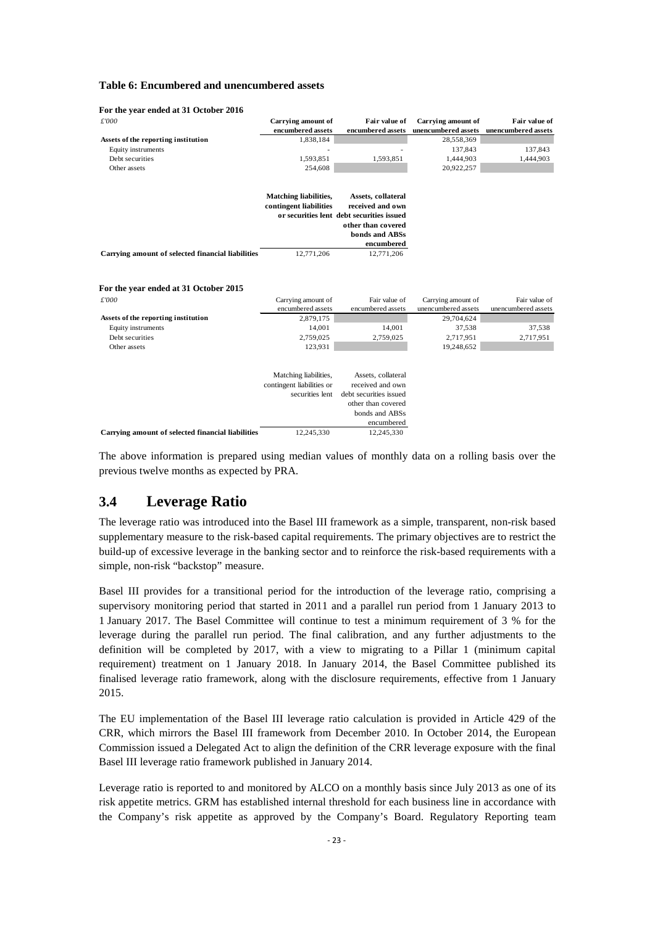#### <span id="page-25-1"></span>**Table 6: Encumbered and unencumbered assets**

| £'000                                             | <b>Carrying amount of</b><br>encumbered assets | Fair value of<br>encumbered assets        | <b>Carrying amount of</b><br>unencumbered assets | Fair value of<br>unencumbered assets |
|---------------------------------------------------|------------------------------------------------|-------------------------------------------|--------------------------------------------------|--------------------------------------|
| Assets of the reporting institution               | 1,838,184                                      |                                           | 28,558,369                                       |                                      |
| Equity instruments                                |                                                |                                           | 137,843                                          | 137,843                              |
| Debt securities                                   | 1,593,851                                      | 1,593,851                                 | 1,444,903                                        | 1,444,903                            |
| Other assets                                      | 254,608                                        |                                           | 20,922,257                                       |                                      |
|                                                   |                                                |                                           |                                                  |                                      |
|                                                   | <b>Matching liabilities,</b>                   | Assets, collateral                        |                                                  |                                      |
|                                                   | contingent liabilities                         | received and own                          |                                                  |                                      |
|                                                   |                                                | or securities lent debt securities issued |                                                  |                                      |
|                                                   |                                                | other than covered                        |                                                  |                                      |
|                                                   |                                                | bonds and ABSs                            |                                                  |                                      |
|                                                   |                                                | encumbered                                |                                                  |                                      |
| Carrying amount of selected financial liabilities | 12,771,206                                     | 12,771,206                                |                                                  |                                      |
| For the year ended at 31 October 2015             |                                                |                                           |                                                  |                                      |
| £'000                                             | Carrying amount of                             | Fair value of                             | Carrying amount of                               | Fair value of                        |
|                                                   | encumbered assets                              | encumbered assets                         | unencumbered assets                              | unencumbered assets                  |
| Assets of the reporting institution               | 2,879,175                                      |                                           | 29,704,624                                       |                                      |
| Equity instruments                                | 14,001                                         | 14,001                                    | 37,538                                           | 37,538                               |
| Debt securities                                   | 2,759,025                                      | 2,759,025                                 | 2,717,951                                        | 2,717,951                            |
| Other assets                                      | 123,931                                        |                                           | 19,248,652                                       |                                      |
|                                                   |                                                |                                           |                                                  |                                      |
|                                                   | Matching liabilities,                          | Assets, collateral                        |                                                  |                                      |
|                                                   | contingent liabilities or<br>securities lent   | received and own                          |                                                  |                                      |
|                                                   |                                                | debt securities issued                    |                                                  |                                      |
|                                                   |                                                | other than covered                        |                                                  |                                      |
|                                                   |                                                | bonds and ABSs                            |                                                  |                                      |
|                                                   |                                                | encumbered                                |                                                  |                                      |
| Carrying amount of selected financial liabilities | 12.245.330                                     | 12,245,330                                |                                                  |                                      |

#### **For the year ended at 31 October 2016**

The above information is prepared using median values of monthly data on a rolling basis over the previous twelve months as expected by PRA.

#### <span id="page-25-0"></span>**3.4 Leverage Ratio**

The leverage ratio was introduced into the Basel III framework as a simple, transparent, non-risk based supplementary measure to the risk-based capital requirements. The primary objectives are to restrict the build-up of excessive leverage in the banking sector and to reinforce the risk-based requirements with a simple, non-risk "backstop" measure.

Basel III provides for a transitional period for the introduction of the leverage ratio, comprising a supervisory monitoring period that started in 2011 and a parallel run period from 1 January 2013 to 1 January 2017. The Basel Committee will continue to test a minimum requirement of 3 % for the leverage during the parallel run period. The final calibration, and any further adjustments to the definition will be completed by 2017, with a view to migrating to a Pillar 1 (minimum capital requirement) treatment on 1 January 2018. In January 2014, the Basel Committee published its finalised leverage ratio framework, along with the disclosure requirements, effective from 1 January 2015.

The EU implementation of the Basel III leverage ratio calculation is provided in Article 429 of the CRR, which mirrors the Basel III framework from December 2010. In October 2014, the European Commission issued a Delegated Act to align the definition of the CRR leverage exposure with the final Basel III leverage ratio framework published in January 2014.

Leverage ratio is reported to and monitored by ALCO on a monthly basis since July 2013 as one of its risk appetite metrics. GRM has established internal threshold for each business line in accordance with the Company's risk appetite as approved by the Company's Board. Regulatory Reporting team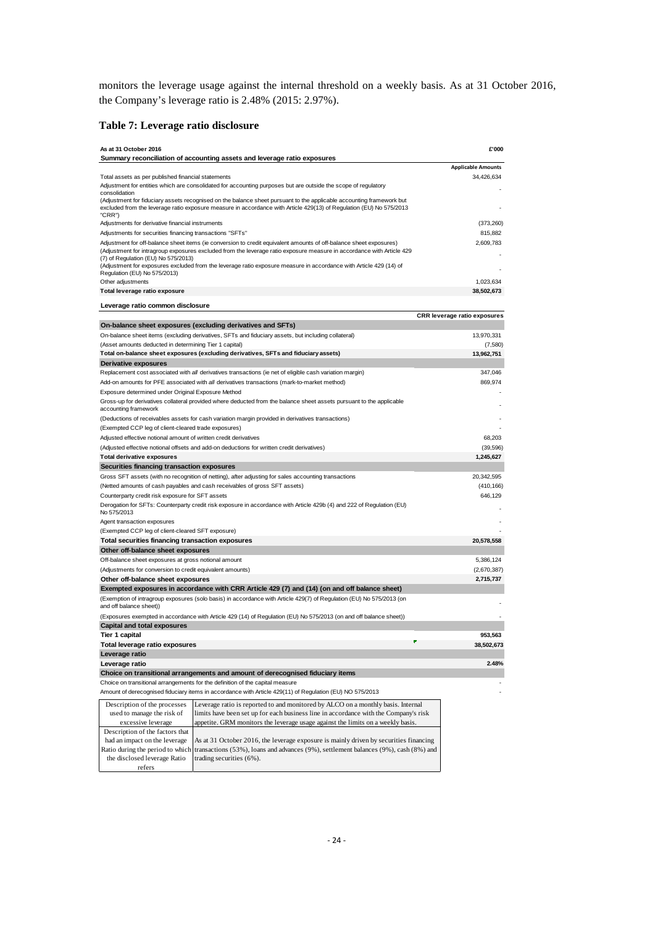monitors the leverage usage against the internal threshold on a weekly basis. As at 31 October 2016, the Company's leverage ratio is 2.48% (2015: 2.97%).

#### <span id="page-26-0"></span>**Table 7: Leverage ratio disclosure**

**Leverage ratio common disclosure**

refers

| As at 31 October 2016                                                                                                                                                                                                                                                                                                                                                                                                                    | £'000                     |
|------------------------------------------------------------------------------------------------------------------------------------------------------------------------------------------------------------------------------------------------------------------------------------------------------------------------------------------------------------------------------------------------------------------------------------------|---------------------------|
| Summary reconciliation of accounting assets and leverage ratio exposures                                                                                                                                                                                                                                                                                                                                                                 |                           |
|                                                                                                                                                                                                                                                                                                                                                                                                                                          | <b>Applicable Amounts</b> |
| Total assets as per published financial statements                                                                                                                                                                                                                                                                                                                                                                                       | 34,426,634                |
| Adjustment for entities which are consolidated for accounting purposes but are outside the scope of regulatory<br>consolidation                                                                                                                                                                                                                                                                                                          |                           |
| (Adjustment for fiduciary assets recognised on the balance sheet pursuant to the applicable accounting framework but<br>excluded from the leverage ratio exposure measure in accordance with Article 429(13) of Regulation (EU) No 575/2013<br>"CRR")                                                                                                                                                                                    |                           |
| Adjustments for derivative financial instruments                                                                                                                                                                                                                                                                                                                                                                                         | (373,260)                 |
| Adjustments for securities financing transactions "SFTs"                                                                                                                                                                                                                                                                                                                                                                                 | 815,882                   |
| Adjustment for off-balance sheet items (ie conversion to credit equivalent amounts of off-balance sheet exposures)<br>(Adjustment for intragroup exposures excluded from the leverage ratio exposure measure in accordance with Article 429<br>(7) of Regulation (EU) No 575/2013)<br>(Adjustment for exposures excluded from the leverage ratio exposure measure in accordance with Article 429 (14) of<br>Regulation (EU) No 575/2013) | 2,609,783                 |
| Other adjustments                                                                                                                                                                                                                                                                                                                                                                                                                        | 1.023.634                 |
| Total leverage ratio exposure                                                                                                                                                                                                                                                                                                                                                                                                            | 38.502.673                |

| Leverage ratio common disclosure                                                                                                                                                      |                                     |
|---------------------------------------------------------------------------------------------------------------------------------------------------------------------------------------|-------------------------------------|
|                                                                                                                                                                                       | <b>CRR</b> leverage ratio exposures |
| On-balance sheet exposures (excluding derivatives and SFTs)                                                                                                                           |                                     |
| On-balance sheet items (excluding derivatives, SFTs and fiduciary assets, but including collateral)                                                                                   | 13,970,331                          |
| (Asset amounts deducted in determining Tier 1 capital)<br>Total on-balance sheet exposures (excluding derivatives, SFTs and fiduciary assets)                                         | (7, 580)                            |
|                                                                                                                                                                                       | 13,962,751                          |
| Derivative exposures                                                                                                                                                                  | 347,046                             |
| Replacement cost associated with all derivatives transactions (ie net of eligible cash variation margin)                                                                              | 869,974                             |
| Add-on amounts for PFE associated with all derivatives transactions (mark-to-market method)<br>Exposure determined under Original Exposure Method                                     |                                     |
| Gross-up for derivatives collateral provided where deducted from the balance sheet assets pursuant to the applicable<br>accounting framework                                          |                                     |
| (Deductions of receivables assets for cash variation margin provided in derivatives transactions)                                                                                     |                                     |
| (Exempted CCP leg of client-cleared trade exposures)                                                                                                                                  |                                     |
| Adjusted effective notional amount of written credit derivatives                                                                                                                      | 68,203                              |
| (Adjusted effective notional offsets and add-on deductions for written credit derivatives)                                                                                            | (39, 596)                           |
| <b>Total derivative exposures</b>                                                                                                                                                     | 1,245,627                           |
| Securities financing transaction exposures                                                                                                                                            |                                     |
| Gross SFT assets (with no recognition of netting), after adjusting for sales accounting transactions                                                                                  | 20,342,595                          |
| (Netted amounts of cash payables and cash receivables of gross SFT assets)                                                                                                            | (410, 166)                          |
| Counterparty credit risk exposure for SFT assets                                                                                                                                      | 646,129                             |
| Derogation for SFTs: Counterparty credit risk exposure in accordance with Article 429b (4) and 222 of Regulation (EU)<br>No 575/2013                                                  |                                     |
| Agent transaction exposures                                                                                                                                                           |                                     |
| (Exempted CCP leg of client-cleared SFT exposure)                                                                                                                                     |                                     |
| Total securities financing transaction exposures                                                                                                                                      | 20,578,558                          |
| Other off-balance sheet exposures                                                                                                                                                     |                                     |
| Off-balance sheet exposures at gross notional amount                                                                                                                                  | 5,386,124                           |
| (Adjustments for conversion to credit equivalent amounts)                                                                                                                             | (2,670,387)                         |
| Other off-balance sheet exposures                                                                                                                                                     | 2,715,737                           |
| Exempted exposures in accordance with CRR Article 429 (7) and (14) (on and off balance sheet)                                                                                         |                                     |
| (Exemption of intragroup exposures (solo basis) in accordance with Article 429(7) of Regulation (EU) No 575/2013 (on<br>and off balance sheet))                                       |                                     |
| (Exposures exempted in accordance with Article 429 (14) of Regulation (EU) No 575/2013 (on and off balance sheet))                                                                    |                                     |
| <b>Capital and total exposures</b>                                                                                                                                                    |                                     |
| Tier 1 capital                                                                                                                                                                        | 953,563                             |
| Total leverage ratio exposures                                                                                                                                                        | 38,502,673                          |
| Leverage ratio                                                                                                                                                                        |                                     |
| Leverage ratio                                                                                                                                                                        | 2.48%                               |
| Choice on transitional arrangements and amount of derecognised fiduciary items                                                                                                        |                                     |
| Choice on transitional arrangements for the definition of the capital measure                                                                                                         |                                     |
| Amount of derecognised fiduciary items in accordance with Article 429(11) of Regulation (EU) NO 575/2013                                                                              |                                     |
| Description of the processes<br>Leverage ratio is reported to and monitored by ALCO on a monthly basis. Internal                                                                      |                                     |
| used to manage the risk of<br>limits have been set up for each business line in accordance with the Company's risk                                                                    |                                     |
| appetite. GRM monitors the leverage usage against the limits on a weekly basis.<br>excessive leverage                                                                                 |                                     |
| Description of the factors that                                                                                                                                                       |                                     |
| had an impact on the leverage<br>As at 31 October 2016, the leverage exposure is mainly driven by securities financing                                                                |                                     |
| Ratio during the period to which transactions (53%), loans and advances (9%), settlement balances (9%), cash (8%) and<br>the disclosed leverage Ratio<br>trading securities $(6\%)$ . |                                     |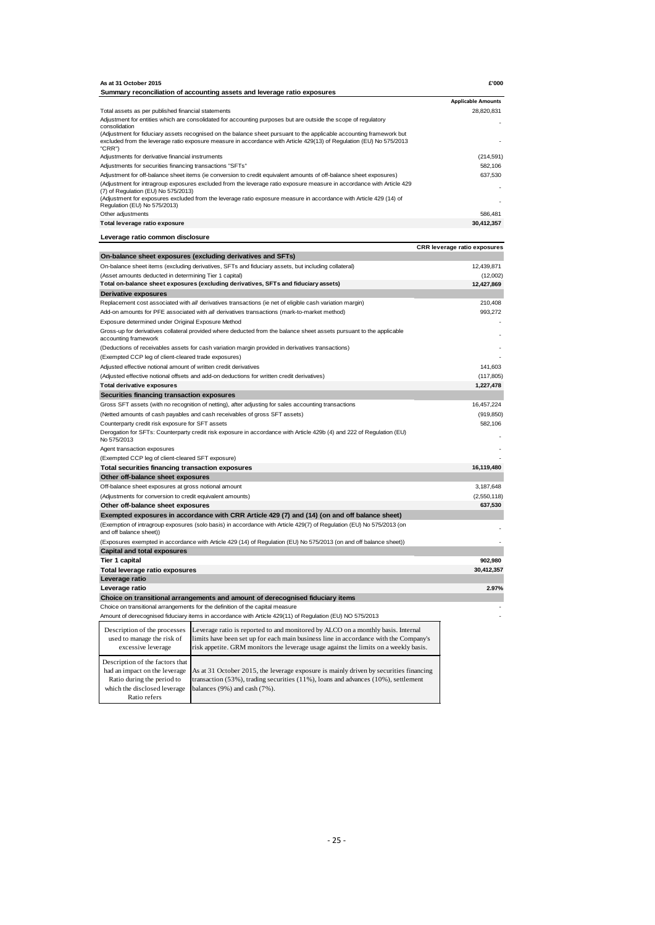| As at 31 October 2015                                                                                                                                                      | £'000                        |
|----------------------------------------------------------------------------------------------------------------------------------------------------------------------------|------------------------------|
| Summary reconciliation of accounting assets and leverage ratio exposures                                                                                                   |                              |
|                                                                                                                                                                            | <b>Applicable Amounts</b>    |
| Total assets as per published financial statements                                                                                                                         | 28.820.831                   |
| Adjustment for entities which are consolidated for accounting purposes but are outside the scope of regulatory<br>consolidation                                            |                              |
| (Adjustment for fiduciary assets recognised on the balance sheet pursuant to the applicable accounting framework but                                                       |                              |
| excluded from the leverage ratio exposure measure in accordance with Article 429(13) of Regulation (EU) No 575/2013                                                        |                              |
| "CRR")<br>Adjustments for derivative financial instruments                                                                                                                 | (214, 591)                   |
| Adjustments for securities financing transactions "SFTs"                                                                                                                   | 582,106                      |
| Adjustment for off-balance sheet items (ie conversion to credit equivalent amounts of off-balance sheet exposures)                                                         | 637,530                      |
| (Adjustment for intragroup exposures excluded from the leverage ratio exposure measure in accordance with Article 429                                                      |                              |
| (7) of Regulation (EU) No 575/2013)                                                                                                                                        |                              |
| (Adjustment for exposures excluded from the leverage ratio exposure measure in accordance with Article 429 (14) of                                                         |                              |
| Regulation (EU) No 575/2013)<br>Other adjustments                                                                                                                          | 586.481                      |
| Total leverage ratio exposure                                                                                                                                              | 30,412,357                   |
|                                                                                                                                                                            |                              |
| Leverage ratio common disclosure                                                                                                                                           |                              |
|                                                                                                                                                                            | CRR leverage ratio exposures |
| On-balance sheet exposures (excluding derivatives and SFTs)                                                                                                                |                              |
| On-balance sheet items (excluding derivatives, SFTs and fiduciary assets, but including collateral)                                                                        | 12,439,871                   |
| (Asset amounts deducted in determining Tier 1 capital)                                                                                                                     | (12,002)                     |
| Total on-balance sheet exposures (excluding derivatives, SFTs and fiduciary assets)                                                                                        | 12,427,869                   |
| <b>Derivative exposures</b>                                                                                                                                                |                              |
| Replacement cost associated with all derivatives transactions (ie net of eligible cash variation margin)                                                                   | 210,408                      |
| Add-on amounts for PFE associated with all derivatives transactions (mark-to-market method)                                                                                | 993,272                      |
| Exposure determined under Original Exposure Method<br>Gross-up for derivatives collateral provided where deducted from the balance sheet assets pursuant to the applicable |                              |
| accounting framework                                                                                                                                                       |                              |
| (Deductions of receivables assets for cash variation margin provided in derivatives transactions)                                                                          |                              |
| (Exempted CCP leg of client-cleared trade exposures)                                                                                                                       |                              |
| Adjusted effective notional amount of written credit derivatives                                                                                                           | 141,603                      |
| (Adjusted effective notional offsets and add-on deductions for written credit derivatives)                                                                                 | (117, 805)                   |
| <b>Total derivative exposures</b>                                                                                                                                          | 1,227,478                    |
| Securities financing transaction exposures                                                                                                                                 |                              |
| Gross SFT assets (with no recognition of netting), after adjusting for sales accounting transactions                                                                       | 16,457,224                   |
| (Netted amounts of cash payables and cash receivables of gross SFT assets)                                                                                                 | (919, 850)                   |
| Counterparty credit risk exposure for SFT assets                                                                                                                           | 582,106                      |
| Derogation for SFTs: Counterparty credit risk exposure in accordance with Article 429b (4) and 222 of Regulation (EU)                                                      |                              |
| No 575/2013                                                                                                                                                                |                              |
| Agent transaction exposures                                                                                                                                                |                              |
| (Exempted CCP leg of client-cleared SFT exposure)                                                                                                                          |                              |
| Total securities financing transaction exposures                                                                                                                           | 16,119,480                   |
| Other off-balance sheet exposures                                                                                                                                          |                              |
| Off-balance sheet exposures at gross notional amount                                                                                                                       | 3,187,648                    |
| (Adjustments for conversion to credit equivalent amounts)<br>Other off-balance sheet exposures                                                                             | (2,550,118)<br>637,530       |
| Exempted exposures in accordance with CRR Article 429 (7) and (14) (on and off balance sheet)                                                                              |                              |
| (Exemption of intragroup exposures (solo basis) in accordance with Article 429(7) of Regulation (EU) No 575/2013 (on                                                       |                              |
| and off balance sheet))                                                                                                                                                    |                              |
| (Exposures exempted in accordance with Article 429 (14) of Regulation (EU) No 575/2013 (on and off balance sheet))                                                         |                              |
| <b>Capital and total exposures</b>                                                                                                                                         |                              |
| Tier 1 capital                                                                                                                                                             | 902,980                      |
| Total leverage ratio exposures                                                                                                                                             | 30,412,357                   |
| Leverage ratio                                                                                                                                                             |                              |
| Leverage ratio                                                                                                                                                             | 2.97%                        |

**Choice on transitional arrangements and amount of derecognised fiduciary items** Choice on transitional arrangements for the definition of the capital measure -

Amount of derecognised fiduciary items in accordance with Article 429(11) of Regulation (EU) NO 575/2013 -----

| Description of the processes                                                                                                                   | Leverage ratio is reported to and monitored by ALCO on a monthly basis. Internal                                                                                                                                  |
|------------------------------------------------------------------------------------------------------------------------------------------------|-------------------------------------------------------------------------------------------------------------------------------------------------------------------------------------------------------------------|
| used to manage the risk of                                                                                                                     | limits have been set up for each main business line in accordance with the Company's                                                                                                                              |
| excessive leverage                                                                                                                             | risk appetite. GRM monitors the leverage usage against the limits on a weekly basis.                                                                                                                              |
| Description of the factors that<br>had an impact on the leverage<br>Ratio during the period to<br>which the disclosed leverage<br>Ratio refers | As at 31 October 2015, the leverage exposure is mainly driven by securities financing<br>transaction (53%), trading securities (11%), loans and advances (10%), settlement<br>balances $(9\%)$ and cash $(7\%)$ . |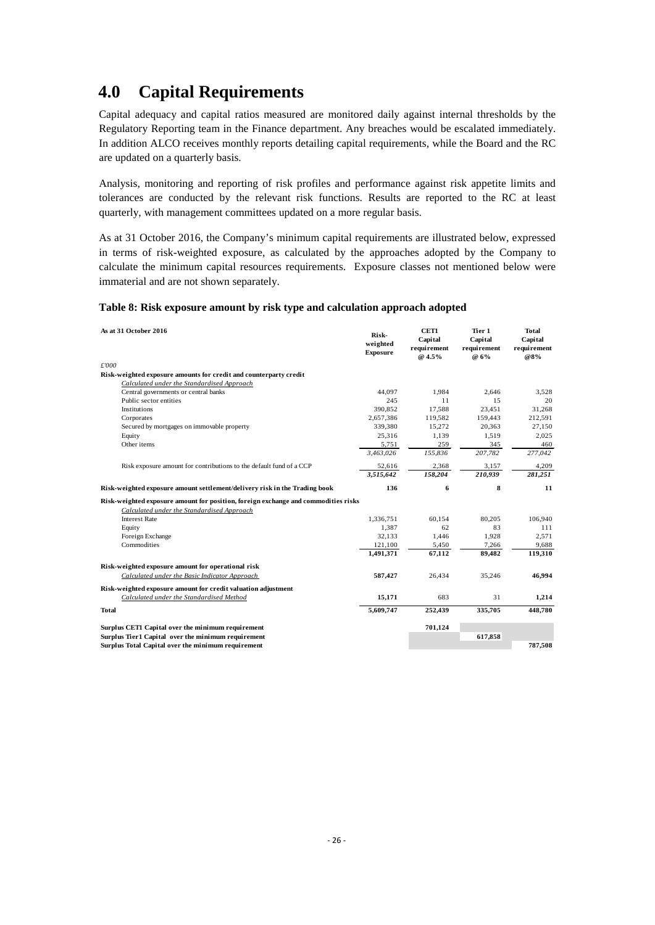## <span id="page-28-0"></span>**4.0 Capital Requirements**

Capital adequacy and capital ratios measured are monitored daily against internal thresholds by the Regulatory Reporting team in the Finance department. Any breaches would be escalated immediately. In addition ALCO receives monthly reports detailing capital requirements, while the Board and the RC are updated on a quarterly basis.

Analysis, monitoring and reporting of risk profiles and performance against risk appetite limits and tolerances are conducted by the relevant risk functions. Results are reported to the RC at least quarterly, with management committees updated on a more regular basis.

As at 31 October 2016, the Company's minimum capital requirements are illustrated below, expressed in terms of risk-weighted exposure, as calculated by the approaches adopted by the Company to calculate the minimum capital resources requirements. Exposure classes not mentioned below were immaterial and are not shown separately.

#### <span id="page-28-1"></span>**Table 8: Risk exposure amount by risk type and calculation approach adopted**

| As at 31 October 2016                                                              | Risk-<br>weighted<br><b>Exposure</b> | CET1<br>Capital<br>requirement<br>@ 4.5% | Tier 1<br>Capital<br>requirement<br>@ 6% | <b>Total</b><br>Capital<br>requirement<br>@8% |
|------------------------------------------------------------------------------------|--------------------------------------|------------------------------------------|------------------------------------------|-----------------------------------------------|
| £'000                                                                              |                                      |                                          |                                          |                                               |
| Risk-weighted exposure amounts for credit and counterparty credit                  |                                      |                                          |                                          |                                               |
| Calculated under the Standardised Approach                                         |                                      |                                          |                                          |                                               |
| Central governments or central banks                                               | 44.097                               | 1.984                                    | 2.646                                    | 3,528                                         |
| Public sector entities                                                             | 245                                  | 11                                       | 15                                       | 20                                            |
| Institutions                                                                       | 390,852                              | 17,588                                   | 23,451                                   | 31,268                                        |
| Corporates                                                                         | 2,657,386                            | 119,582                                  | 159,443                                  | 212,591                                       |
| Secured by mortgages on immovable property                                         | 339,380                              | 15,272                                   | 20,363                                   | 27,150                                        |
| Equity                                                                             | 25,316                               | 1,139                                    | 1,519                                    | 2,025                                         |
| Other items                                                                        | 5,751                                | 259                                      | 345                                      | 460                                           |
|                                                                                    | 3,463,026                            | 155,836                                  | 207,782                                  | 277,042                                       |
| Risk exposure amount for contributions to the default fund of a CCP                | 52,616                               | 2,368                                    | 3,157                                    | 4,209                                         |
|                                                                                    | 3,515,642                            | 158,204                                  | 210,939                                  | 281,251                                       |
| Risk-weighted exposure amount settlement/delivery risk in the Trading book         | 136                                  | 6                                        | 8                                        | 11                                            |
| Risk-weighted exposure amount for position, foreign exchange and commodities risks |                                      |                                          |                                          |                                               |
| Calculated under the Standardised Approach                                         |                                      |                                          |                                          |                                               |
| <b>Interest Rate</b>                                                               | 1,336,751                            | 60,154                                   | 80,205                                   | 106,940                                       |
| Equity                                                                             | 1,387                                | 62                                       | 83                                       | 111                                           |
| Foreign Exchange                                                                   | 32,133                               | 1,446                                    | 1,928                                    | 2.571                                         |
| Commodities                                                                        | 121,100                              | 5,450                                    | 7,266                                    | 9,688                                         |
|                                                                                    | 1,491,371                            | 67,112                                   | 89,482                                   | 119,310                                       |
| Risk-weighted exposure amount for operational risk                                 |                                      |                                          |                                          |                                               |
| Calculated under the Basic Indicator Approach                                      | 587,427                              | 26,434                                   | 35,246                                   | 46,994                                        |
| Risk-weighted exposure amount for credit valuation adjustment                      |                                      |                                          |                                          |                                               |
| Calculated under the Standardised Method                                           | 15,171                               | 683                                      | 31                                       | 1,214                                         |
| <b>Total</b>                                                                       | 5,609,747                            | 252,439                                  | 335,705                                  | 448,780                                       |
| Surplus CET1 Capital over the minimum requirement                                  |                                      | 701,124                                  |                                          |                                               |
| Surplus Tier1 Capital over the minimum requirement                                 |                                      |                                          | 617,858                                  |                                               |
| Surplus Total Capital over the minimum requirement                                 |                                      |                                          |                                          | 787,508                                       |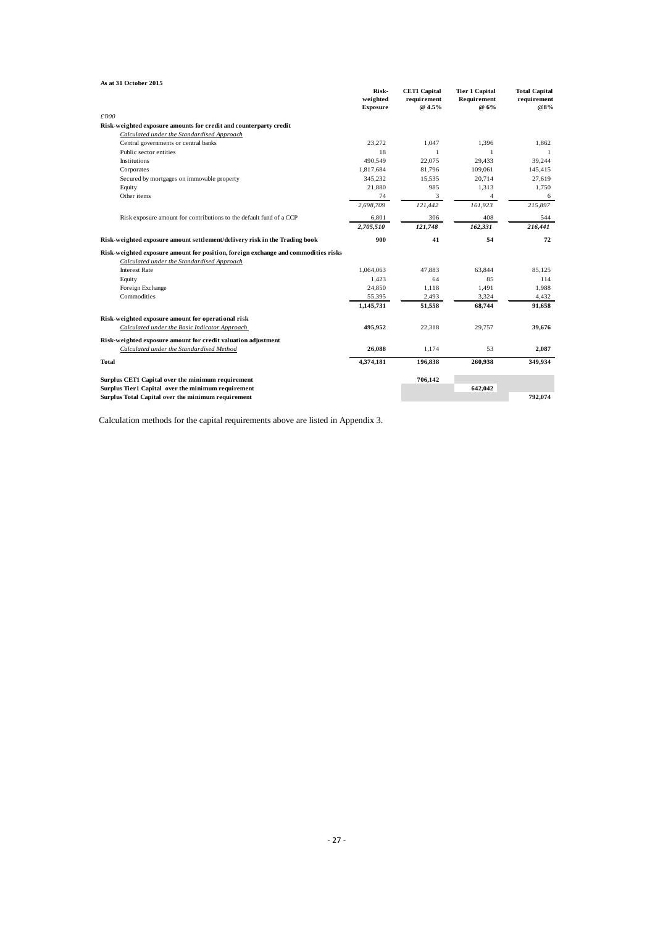| As at 31 October 2015                                                              |                                      |                                              |                                              |                                            |
|------------------------------------------------------------------------------------|--------------------------------------|----------------------------------------------|----------------------------------------------|--------------------------------------------|
|                                                                                    | Risk-<br>weighted<br><b>Exposure</b> | <b>CET1 Capital</b><br>requirement<br>@ 4.5% | <b>Tier 1 Capital</b><br>Requirement<br>@ 6% | <b>Total Capital</b><br>requirement<br>@8% |
| £'000                                                                              |                                      |                                              |                                              |                                            |
| Risk-weighted exposure amounts for credit and counterparty credit                  |                                      |                                              |                                              |                                            |
| Calculated under the Standardised Approach                                         |                                      |                                              |                                              |                                            |
| Central governments or central banks                                               | 23,272                               | 1,047                                        | 1,396                                        | 1,862                                      |
| Public sector entities                                                             | 18                                   | 1                                            | 1                                            | -1                                         |
| Institutions                                                                       | 490.549                              | 22.075                                       | 29.433                                       | 39,244                                     |
| Corporates                                                                         | 1,817,684                            | 81,796                                       | 109,061                                      | 145,415                                    |
| Secured by mortgages on immovable property                                         | 345,232                              | 15,535                                       | 20,714                                       | 27,619                                     |
| Equity                                                                             | 21,880                               | 985                                          | 1,313                                        | 1,750                                      |
| Other items                                                                        | 74                                   | 3                                            | $\overline{4}$                               | 6                                          |
|                                                                                    | 2,698,709                            | 121,442                                      | 161,923                                      | 215,897                                    |
| Risk exposure amount for contributions to the default fund of a CCP                | 6,801                                | 306                                          | 408                                          | 544                                        |
|                                                                                    | 2,705,510                            | 121,748                                      | 162,331                                      | 216,441                                    |
| Risk-weighted exposure amount settlement/delivery risk in the Trading book         | 900                                  | 41                                           | 54                                           | 72                                         |
| Risk-weighted exposure amount for position, foreign exchange and commodities risks |                                      |                                              |                                              |                                            |
| Calculated under the Standardised Approach                                         |                                      |                                              |                                              |                                            |
| <b>Interest Rate</b>                                                               | 1,064,063                            | 47,883                                       | 63,844                                       | 85,125                                     |
| Equity                                                                             | 1,423                                | 64                                           | 85                                           | 114                                        |
| Foreign Exchange                                                                   | 24,850                               | 1.118                                        | 1,491                                        | 1,988                                      |
| Commodities                                                                        | 55,395                               | 2,493                                        | 3,324                                        | 4,432                                      |
|                                                                                    | 1,145,731                            | 51,558                                       | 68,744                                       | 91,658                                     |
| Risk-weighted exposure amount for operational risk                                 |                                      |                                              |                                              |                                            |
| Calculated under the Basic Indicator Approach                                      | 495,952                              | 22,318                                       | 29,757                                       | 39,676                                     |
| Risk-weighted exposure amount for credit valuation adjustment                      |                                      |                                              |                                              |                                            |
| Calculated under the Standardised Method                                           | 26,088                               | 1,174                                        | 53                                           | 2,087                                      |
| <b>Total</b>                                                                       | 4,374,181                            | 196,838                                      | 260,938                                      | 349,934                                    |
| Surplus CET1 Capital over the minimum requirement                                  |                                      | 706,142                                      |                                              |                                            |
| Surplus Tier1 Capital over the minimum requirement                                 |                                      |                                              | 642,042                                      |                                            |
| Surplus Total Capital over the minimum requirement                                 |                                      |                                              |                                              | 792.074                                    |

Calculation methods for the capital requirements above are listed in Appendix 3.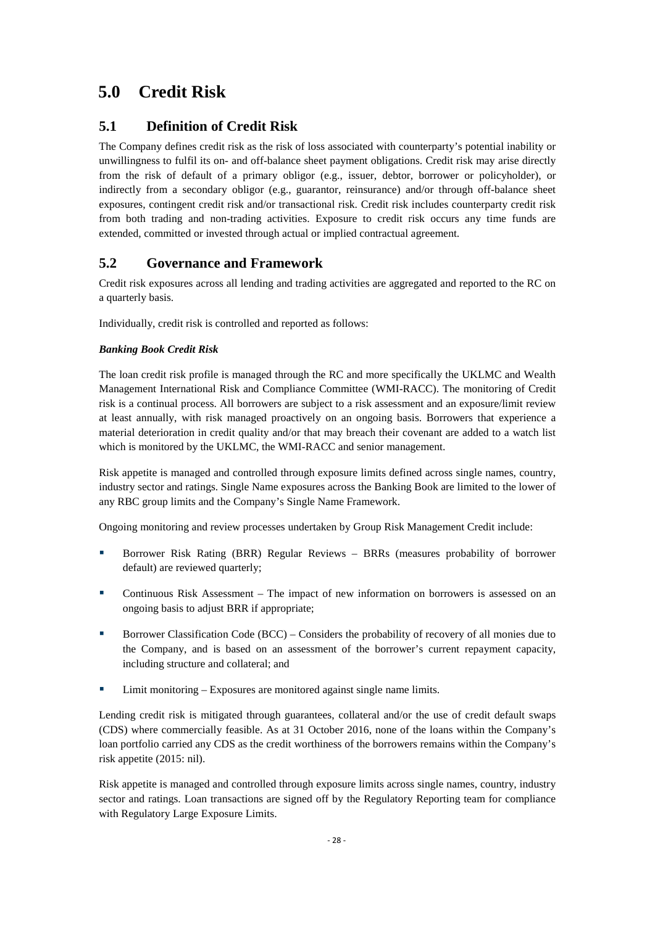# <span id="page-30-0"></span>**5.0 Credit Risk**

## <span id="page-30-1"></span>**5.1 Definition of Credit Risk**

The Company defines credit risk as the risk of loss associated with counterparty's potential inability or unwillingness to fulfil its on- and off-balance sheet payment obligations. Credit risk may arise directly from the risk of default of a primary obligor (e.g., issuer, debtor, borrower or policyholder), or indirectly from a secondary obligor (e.g., guarantor, reinsurance) and/or through off-balance sheet exposures, contingent credit risk and/or transactional risk. Credit risk includes counterparty credit risk from both trading and non-trading activities. Exposure to credit risk occurs any time funds are extended, committed or invested through actual or implied contractual agreement.

## <span id="page-30-2"></span>**5.2 Governance and Framework**

Credit risk exposures across all lending and trading activities are aggregated and reported to the RC on a quarterly basis.

Individually, credit risk is controlled and reported as follows:

#### *Banking Book Credit Risk*

The loan credit risk profile is managed through the RC and more specifically the UKLMC and Wealth Management International Risk and Compliance Committee (WMI-RACC). The monitoring of Credit risk is a continual process. All borrowers are subject to a risk assessment and an exposure/limit review at least annually, with risk managed proactively on an ongoing basis. Borrowers that experience a material deterioration in credit quality and/or that may breach their covenant are added to a watch list which is monitored by the UKLMC, the WMI-RACC and senior management.

Risk appetite is managed and controlled through exposure limits defined across single names, country, industry sector and ratings. Single Name exposures across the Banking Book are limited to the lower of any RBC group limits and the Company's Single Name Framework.

Ongoing monitoring and review processes undertaken by Group Risk Management Credit include:

- Borrower Risk Rating (BRR) Regular Reviews BRRs (measures probability of borrower default) are reviewed quarterly;
- Continuous Risk Assessment The impact of new information on borrowers is assessed on an ongoing basis to adjust BRR if appropriate;
- **Borrower Classification Code (BCC) Considers the probability of recovery of all monies due to** the Company, and is based on an assessment of the borrower's current repayment capacity, including structure and collateral; and
- Limit monitoring Exposures are monitored against single name limits.

Lending credit risk is mitigated through guarantees, collateral and/or the use of credit default swaps (CDS) where commercially feasible. As at 31 October 2016, none of the loans within the Company's loan portfolio carried any CDS as the credit worthiness of the borrowers remains within the Company's risk appetite (2015: nil).

Risk appetite is managed and controlled through exposure limits across single names, country, industry sector and ratings. Loan transactions are signed off by the Regulatory Reporting team for compliance with Regulatory Large Exposure Limits.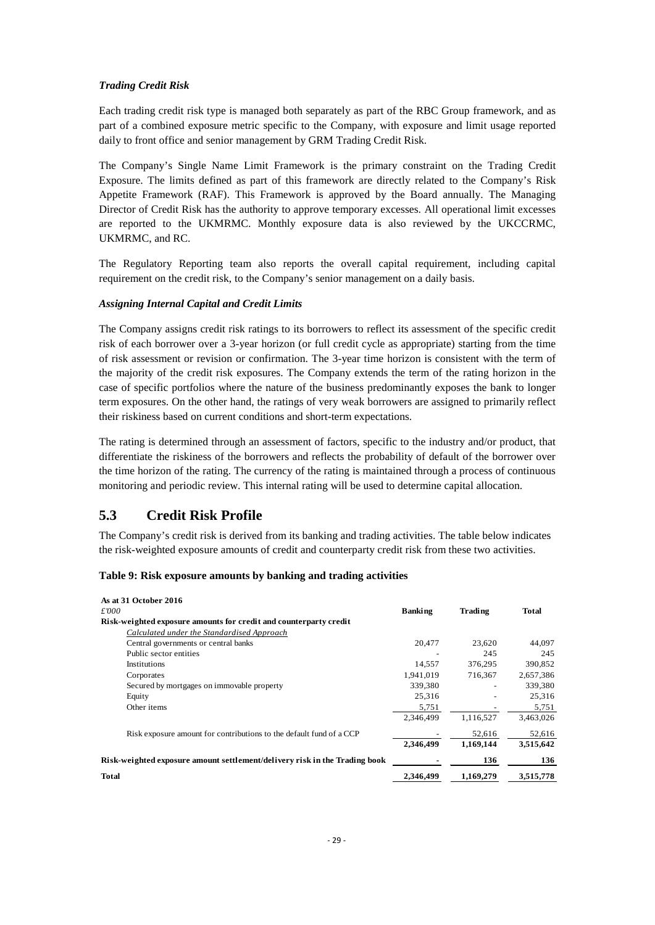#### *Trading Credit Risk*

Each trading credit risk type is managed both separately as part of the RBC Group framework, and as part of a combined exposure metric specific to the Company, with exposure and limit usage reported daily to front office and senior management by GRM Trading Credit Risk.

The Company's Single Name Limit Framework is the primary constraint on the Trading Credit Exposure. The limits defined as part of this framework are directly related to the Company's Risk Appetite Framework (RAF). This Framework is approved by the Board annually. The Managing Director of Credit Risk has the authority to approve temporary excesses. All operational limit excesses are reported to the UKMRMC. Monthly exposure data is also reviewed by the UKCCRMC, UKMRMC, and RC.

The Regulatory Reporting team also reports the overall capital requirement, including capital requirement on the credit risk, to the Company's senior management on a daily basis.

#### *Assigning Internal Capital and Credit Limits*

The Company assigns credit risk ratings to its borrowers to reflect its assessment of the specific credit risk of each borrower over a 3-year horizon (or full credit cycle as appropriate) starting from the time of risk assessment or revision or confirmation. The 3-year time horizon is consistent with the term of the majority of the credit risk exposures. The Company extends the term of the rating horizon in the case of specific portfolios where the nature of the business predominantly exposes the bank to longer term exposures. On the other hand, the ratings of very weak borrowers are assigned to primarily reflect their riskiness based on current conditions and short-term expectations.

The rating is determined through an assessment of factors, specific to the industry and/or product, that differentiate the riskiness of the borrowers and reflects the probability of default of the borrower over the time horizon of the rating. The currency of the rating is maintained through a process of continuous monitoring and periodic review. This internal rating will be used to determine capital allocation.

## <span id="page-31-0"></span>**5.3 Credit Risk Profile**

The Company's credit risk is derived from its banking and trading activities. The table below indicates the risk-weighted exposure amounts of credit and counterparty credit risk from these two activities.

<span id="page-31-1"></span>

| As at 31 October 2016                                                      |                |           |           |
|----------------------------------------------------------------------------|----------------|-----------|-----------|
| £000                                                                       | <b>Banking</b> | Trading   | Total     |
| Risk-weighted exposure amounts for credit and counterparty credit          |                |           |           |
| Calculated under the Standardised Approach                                 |                |           |           |
| Central governments or central banks                                       | 20,477         | 23.620    | 44.097    |
| Public sector entities                                                     |                | 245       | 245       |
| <b>Institutions</b>                                                        | 14,557         | 376,295   | 390,852   |
| Corporates                                                                 | 1,941,019      | 716,367   | 2,657,386 |
| Secured by mortgages on immovable property                                 | 339,380        |           | 339,380   |
| Equity                                                                     | 25,316         |           | 25,316    |
| Other items                                                                | 5,751          |           | 5,751     |
|                                                                            | 2.346.499      | 1,116,527 | 3,463,026 |
| Risk exposure amount for contributions to the default fund of a CCP        |                | 52,616    | 52,616    |
|                                                                            | 2,346,499      | 1,169,144 | 3,515,642 |
| Risk-weighted exposure amount settlement/delivery risk in the Trading book |                | 136       | 136       |
| <b>Total</b>                                                               | 2.346.499      | 1.169.279 | 3,515,778 |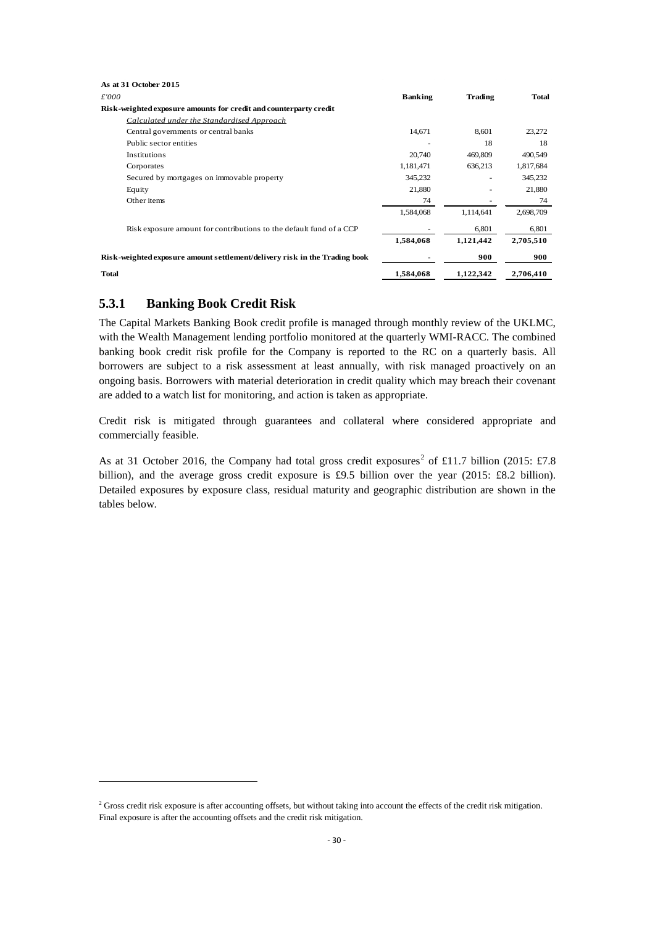| As at 31 October 2015                                                      |                |           |           |
|----------------------------------------------------------------------------|----------------|-----------|-----------|
| £'000                                                                      | <b>Banking</b> | Trading   | Total     |
| Risk-weighted exposure amounts for credit and counterparty credit          |                |           |           |
| Calculated under the Standardised Approach                                 |                |           |           |
| Central governments or central banks                                       | 14,671         | 8,601     | 23,272    |
| Public sector entities                                                     |                | 18        | 18        |
| Institutions                                                               | 20,740         | 469,809   | 490,549   |
| Corporates                                                                 | 1,181,471      | 636,213   | 1,817,684 |
| Secured by mortgages on immovable property                                 | 345,232        |           | 345,232   |
| Equity                                                                     | 21,880         |           | 21,880    |
| Other items                                                                | 74             |           | 74        |
|                                                                            | 1,584,068      | 1,114,641 | 2,698,709 |
| Risk exposure amount for contributions to the default fund of a CCP        |                | 6,801     | 6,801     |
|                                                                            | 1,584,068      | 1,121,442 | 2,705,510 |
| Risk-weighted exposure amount settlement/delivery risk in the Trading book |                | 900       | 900       |
| <b>Total</b>                                                               | 1,584,068      | 1,122,342 | 2,706,410 |

#### <span id="page-32-0"></span>**5.3.1 Banking Book Credit Risk**

 $\overline{a}$ 

The Capital Markets Banking Book credit profile is managed through monthly review of the UKLMC, with the Wealth Management lending portfolio monitored at the quarterly WMI-RACC. The combined banking book credit risk profile for the Company is reported to the RC on a quarterly basis. All borrowers are subject to a risk assessment at least annually, with risk managed proactively on an ongoing basis. Borrowers with material deterioration in credit quality which may breach their covenant are added to a watch list for monitoring, and action is taken as appropriate.

Credit risk is mitigated through guarantees and collateral where considered appropriate and commercially feasible.

As at 31 October [2](#page-32-1)016, the Company had total gross credit exposures<sup>2</sup> of £11.7 billion (2015: £7.8) billion), and the average gross credit exposure is £9.5 billion over the year (2015: £8.2 billion). Detailed exposures by exposure class, residual maturity and geographic distribution are shown in the tables below.

<span id="page-32-1"></span><sup>&</sup>lt;sup>2</sup> Gross credit risk exposure is after accounting offsets, but without taking into account the effects of the credit risk mitigation. Final exposure is after the accounting offsets and the credit risk mitigation.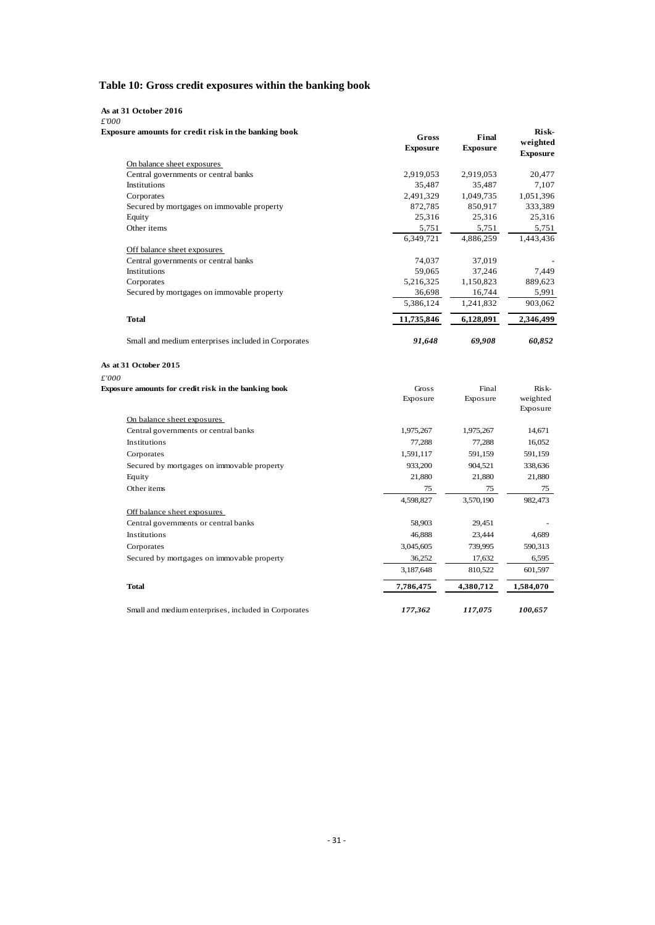#### <span id="page-33-0"></span>**Table 10: Gross credit exposures within the banking book**

#### **As at 31 October 2016**

| £'000 |   |  |
|-------|---|--|
|       | . |  |

| Exposure amounts for credit risk in the banking book | Gross           | Final           | Risk-                       |
|------------------------------------------------------|-----------------|-----------------|-----------------------------|
|                                                      | <b>Exposure</b> | <b>Exposure</b> | weighted<br><b>Exposure</b> |
| On balance sheet exposures                           |                 |                 |                             |
| Central governments or central banks                 | 2,919,053       | 2,919,053       | 20,477                      |
| Institutions                                         | 35,487          | 35,487          | 7,107                       |
| Corporates                                           | 2,491,329       | 1,049,735       | 1,051,396                   |
| Secured by mortgages on immovable property           | 872,785         | 850,917         | 333,389                     |
| Equity                                               | 25,316          | 25,316          | 25,316                      |
| Other items                                          | 5,751           | 5,751           | 5,751                       |
|                                                      | 6,349,721       | 4,886,259       | 1,443,436                   |
| Off balance sheet exposures                          |                 |                 |                             |
| Central governments or central banks                 | 74,037          | 37,019          |                             |
| Institutions                                         | 59,065          | 37,246          | 7,449                       |
| Corporates                                           | 5,216,325       | 1,150,823       | 889,623                     |
| Secured by mortgages on immovable property           | 36,698          | 16,744          | 5,991                       |
|                                                      | 5,386,124       | 1,241,832       | 903,062                     |
| <b>Total</b>                                         | 11,735,846      | 6,128,091       | 2,346,499                   |
| Small and medium enterprises included in Corporates  | 91,648          | 69,908          | 60,852                      |
| As at 31 October 2015                                |                 |                 |                             |
| £'000                                                |                 |                 |                             |
| Exposure amounts for credit risk in the banking book | Gross           | Final           | Risk-                       |
|                                                      | Exposure        | Exposure        | weighted                    |
|                                                      |                 |                 | Exposure                    |
| On balance sheet exposures                           |                 |                 |                             |
| Central governments or central banks                 | 1,975,267       | 1,975,267       | 14,671                      |
| Institutions                                         | 77,288          | 77,288          | 16,052                      |
| Corporates                                           | 1,591,117       | 591,159         | 591,159                     |
| Secured by mortgages on immovable property           | 933,200         | 904,521         | 338,636                     |
| Equity                                               | 21,880          | 21,880          | 21,880                      |
| Other items                                          | 75              | 75              | 75                          |
|                                                      | 4,598,827       | 3,570,190       | 982,473                     |
| Off balance sheet exposures                          |                 |                 |                             |
| Central governments or central banks                 | 58,903          | 29,451          |                             |
| Institutions                                         | 46,888          | 23,444          | 4,689                       |
| Corporates                                           | 3,045,605       | 739,995         | 590,313                     |
| Secured by mortgages on immovable property           | 36.252          | 17.632          | 6.595                       |

3,187,648 810,522 601,597

## Small and medium enterprises, included in Corporates *177,362 117,075 100,657*

**Total 7,786,475 4,380,712 1,584,070**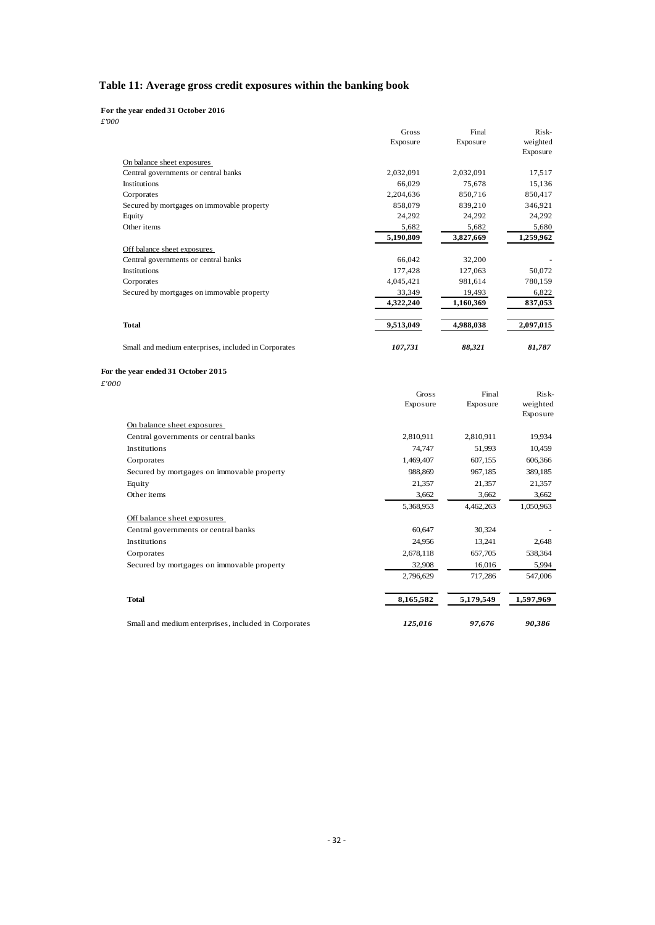#### <span id="page-34-0"></span>**Table 11: Average gross credit exposures within the banking book**

**For the year ended 31 October 2016**

*£'000*

|                                                      | Gross     | Final     | Risk-                |
|------------------------------------------------------|-----------|-----------|----------------------|
|                                                      | Exposure  | Exposure  | weighted<br>Exposure |
| On balance sheet exposures                           |           |           |                      |
| Central governments or central banks                 | 2,032,091 | 2,032,091 | 17,517               |
| Institutions                                         | 66,029    | 75,678    | 15,136               |
| Corporates                                           | 2,204,636 | 850,716   | 850,417              |
| Secured by mortgages on immovable property           | 858,079   | 839,210   | 346,921              |
| Equity                                               | 24,292    | 24,292    | 24,292               |
| Other items                                          | 5,682     | 5,682     | 5,680                |
|                                                      | 5,190,809 | 3,827,669 | 1,259,962            |
| Off balance sheet exposures                          |           |           |                      |
| Central governments or central banks                 | 66,042    | 32,200    |                      |
| Institutions                                         | 177,428   | 127,063   | 50,072               |
| Corporates                                           | 4,045,421 | 981,614   | 780,159              |
| Secured by mortgages on immovable property           | 33,349    | 19,493    | 6,822                |
|                                                      | 4,322,240 | 1,160,369 | 837,053              |
| <b>Total</b>                                         | 9,513,049 | 4,988,038 | 2,097,015            |
| Small and medium enterprises, included in Corporates | 107,731   | 88,321    | 81,787               |

#### **For the year ended 31 October 2015**

*£'000*

|                                                      | Gross     | Final     | Risk-     |
|------------------------------------------------------|-----------|-----------|-----------|
|                                                      | Exposure  | Exposure  | weighted  |
|                                                      |           |           | Exposure  |
| On balance sheet exposures                           |           |           |           |
| Central governments or central banks                 | 2,810,911 | 2,810,911 | 19,934    |
| <b>Institutions</b>                                  | 74,747    | 51,993    | 10,459    |
| Corporates                                           | 1,469,407 | 607,155   | 606,366   |
| Secured by mortgages on immovable property           | 988,869   | 967,185   | 389,185   |
| Equity                                               | 21,357    | 21,357    | 21,357    |
| Other items                                          | 3,662     | 3,662     | 3,662     |
|                                                      | 5,368,953 | 4,462,263 | 1,050,963 |
| Off balance sheet exposures                          |           |           |           |
| Central governments or central banks                 | 60,647    | 30,324    |           |
| Institutions                                         | 24,956    | 13,241    | 2,648     |
| Corporates                                           | 2,678,118 | 657,705   | 538,364   |
| Secured by mortgages on immovable property           | 32,908    | 16,016    | 5,994     |
|                                                      | 2,796,629 | 717,286   | 547,006   |
| <b>Total</b>                                         | 8,165,582 | 5,179,549 | 1,597,969 |
| Small and medium enterprises, included in Corporates | 125,016   | 97,676    | 90,386    |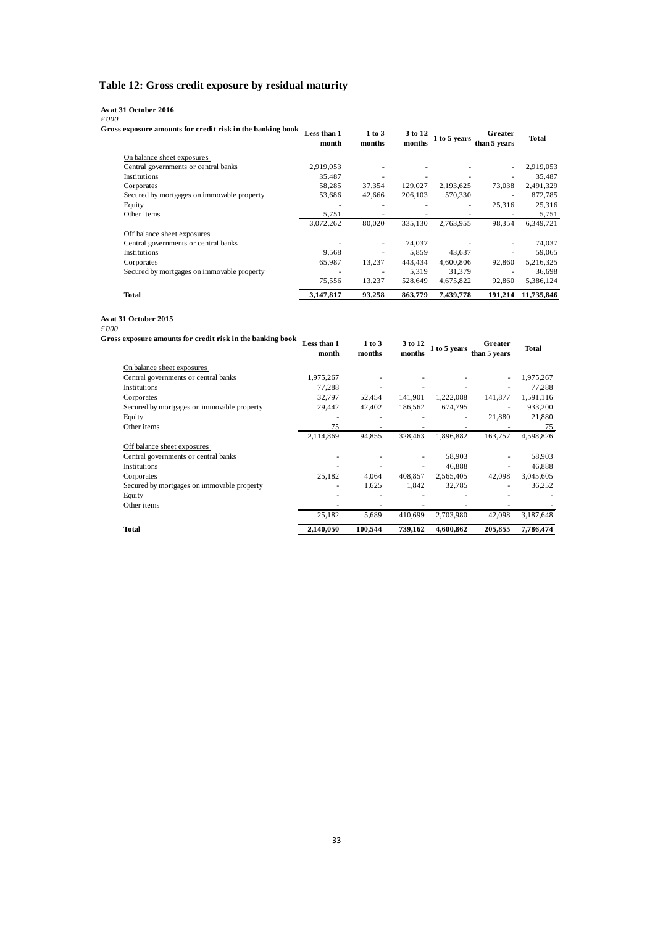#### <span id="page-35-0"></span>**Table 12: Gross credit exposure by residual maturity**

#### **As at 31 October 2016**

*£'000*

| Gross exposure amounts for credit risk in the banking book | Less than 1<br>month     | 1 to 3<br>months | 3 to 12<br>months | 1 to 5 years | Greater<br>than 5 years | Total      |
|------------------------------------------------------------|--------------------------|------------------|-------------------|--------------|-------------------------|------------|
| On balance sheet exposures                                 |                          |                  |                   |              |                         |            |
| Central governments or central banks                       | 2,919,053                |                  |                   |              | ٠                       | 2,919,053  |
| Institutions                                               | 35,487                   |                  |                   |              |                         | 35,487     |
| Corporates                                                 | 58,285                   | 37,354           | 129.027           | 2,193,625    | 73,038                  | 2,491,329  |
| Secured by mortgages on immovable property                 | 53,686                   | 42,666           | 206,103           | 570,330      | ٠                       | 872,785    |
| Equity                                                     | ۰                        | ٠                |                   | ۰            | 25,316                  | 25,316     |
| Other items                                                | 5,751                    | ٠                |                   |              | ۰                       | 5,751      |
|                                                            | 3,072,262                | 80,020           | 335.130           | 2.763.955    | 98.354                  | 6,349,721  |
| Off balance sheet exposures                                |                          |                  |                   |              |                         |            |
| Central governments or central banks                       |                          | ٠                | 74,037            |              | ٠                       | 74,037     |
| Institutions                                               | 9,568                    | ٠                | 5,859             | 43,637       | ٠                       | 59,065     |
| Corporates                                                 | 65,987                   | 13.237           | 443,434           | 4,600,806    | 92,860                  | 5,216,325  |
| Secured by mortgages on immovable property                 | $\overline{\phantom{a}}$ | ٠                | 5,319             | 31,379       |                         | 36,698     |
|                                                            | 75,556                   | 13,237           | 528,649           | 4,675,822    | 92,860                  | 5,386,124  |
| Total                                                      | 3,147,817                | 93,258           | 863,779           | 7,439,778    | 191.214                 | 11,735,846 |

#### **As at 31 October 2015**

*£'000*

<span id="page-35-1"></span>

| 'U<br>ss exposure amounts for credit risk in the banking book | Less than 1<br>month | 1 to 3<br>months | 3 to 12<br>months | 1 to 5 years | Greater<br>than 5 years  | <b>Total</b> |
|---------------------------------------------------------------|----------------------|------------------|-------------------|--------------|--------------------------|--------------|
| On balance sheet exposures                                    |                      |                  |                   |              |                          |              |
| Central governments or central banks                          | 1,975,267            |                  |                   |              |                          | 1,975,267    |
| Institutions                                                  | 77,288               |                  |                   |              |                          | 77,288       |
| Corporates                                                    | 32,797               | 52,454           | 141.901           | 1,222,088    | 141,877                  | 1,591,116    |
| Secured by mortgages on immovable property                    | 29,442               | 42,402           | 186,562           | 674,795      | $\overline{\phantom{a}}$ | 933,200      |
| Equity                                                        |                      |                  |                   |              | 21,880                   | 21,880       |
| Other items                                                   | 75                   |                  |                   |              |                          | 75           |
|                                                               | 2,114,869            | 94,855           | 328.463           | 1,896,882    | 163,757                  | 4,598,826    |
| Off balance sheet exposures                                   |                      |                  |                   |              |                          |              |
| Central governments or central banks                          |                      |                  | ٠                 | 58,903       |                          | 58,903       |
| Institutions                                                  |                      |                  | ٠                 | 46,888       |                          | 46,888       |
| Corporates                                                    | 25,182               | 4,064            | 408.857           | 2,565,405    | 42,098                   | 3,045,605    |
| Secured by mortgages on immovable property                    |                      | 1,625            | 1,842             | 32,785       |                          | 36,252       |
| Equity                                                        |                      |                  |                   |              |                          |              |
| Other items                                                   |                      |                  |                   |              |                          |              |
|                                                               | 25,182               | 5,689            | 410,699           | 2,703,980    | 42,098                   | 3,187,648    |
| Total                                                         | 2.140.050            | 100.544          | 739.162           | 4,600,862    | 205,855                  | 7,786,474    |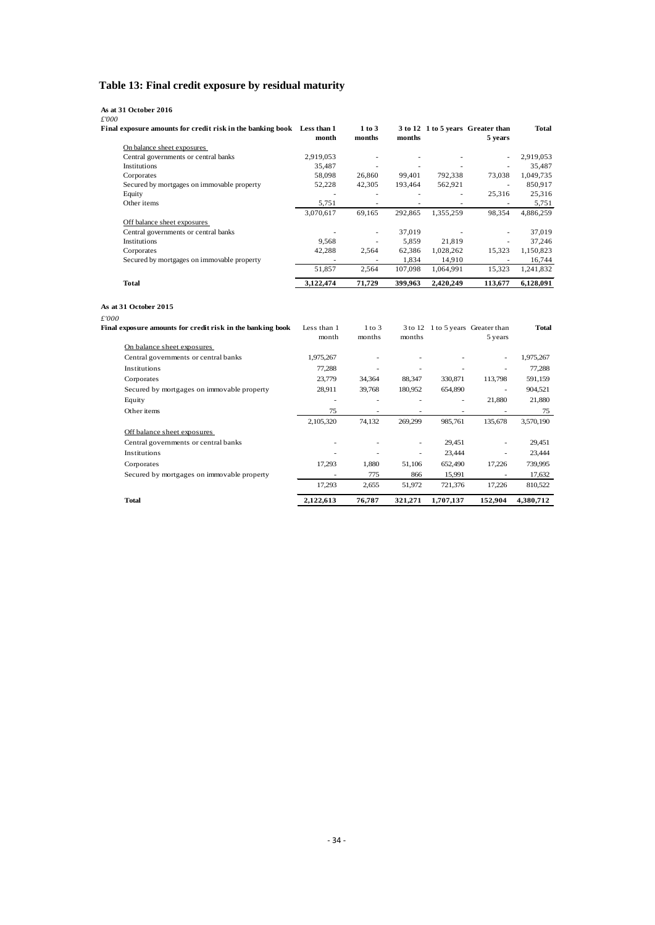## **Table 13: Final credit exposure by residual maturity**

#### **As at 31 October 2016**

*£'000*

| Final exposure amounts for credit risk in the banking book Less than 1 | month     | 1 to 3<br>months | months                   |           | 3 to 12 1 to 5 years Greater than<br>5 years | <b>Total</b> |
|------------------------------------------------------------------------|-----------|------------------|--------------------------|-----------|----------------------------------------------|--------------|
| On balance sheet exposures                                             |           |                  |                          |           |                                              |              |
| Central governments or central banks                                   | 2,919,053 | ۰                |                          |           | $\overline{\phantom{a}}$                     | 2,919,053    |
| <b>Institutions</b>                                                    | 35,487    | ٠                | $\overline{\phantom{a}}$ |           |                                              | 35,487       |
| Corporates                                                             | 58,098    | 26,860           | 99.401                   | 792,338   | 73,038                                       | 1,049,735    |
| Secured by mortgages on immovable property                             | 52,228    | 42,305           | 193.464                  | 562,921   | ٠                                            | 850,917      |
| Equity                                                                 |           |                  |                          | ٠         | 25,316                                       | 25,316       |
| Other items                                                            | 5,751     | ۰                |                          |           |                                              | 5,751        |
|                                                                        | 3,070,617 | 69,165           | 292.865                  | 1,355,259 | 98,354                                       | 4,886,259    |
| Off balance sheet exposures                                            |           |                  |                          |           |                                              |              |
| Central governments or central banks                                   |           | ٠                | 37,019                   |           |                                              | 37,019       |
| <b>Institutions</b>                                                    | 9,568     | ٠                | 5,859                    | 21.819    |                                              | 37.246       |
| Corporates                                                             | 42,288    | 2,564            | 62,386                   | 1,028,262 | 15,323                                       | 1,150,823    |
| Secured by mortgages on immovable property                             | ۰         | ٠                | 1,834                    | 14,910    |                                              | 16,744       |
|                                                                        | 51,857    | 2.564            | 107.098                  | 1.064.991 | 15.323                                       | 1,241,832    |
| Total                                                                  | 3,122,474 | 71,729           | 399,963                  | 2,420,249 | 113,677                                      | 6,128,091    |

#### **As at 31 October 2015**

*£'000*

| Final exposure amounts for credit risk in the banking book | Less than 1<br>month | $1$ to $3$<br>months | months  |                          | 3 to 12 1 to 5 years Greater than<br>5 years | <b>Total</b> |
|------------------------------------------------------------|----------------------|----------------------|---------|--------------------------|----------------------------------------------|--------------|
| On balance sheet exposures                                 |                      |                      |         |                          |                                              |              |
| Central governments or central banks                       | 1,975,267            |                      |         |                          | $\sim$                                       | 1,975,267    |
| Institutions                                               | 77,288               | ۰                    |         |                          |                                              | 77,288       |
| Corporates                                                 | 23,779               | 34,364               | 88,347  | 330,871                  | 113,798                                      | 591,159      |
| Secured by mortgages on immovable property                 | 28,911               | 39,768               | 180,952 | 654,890                  | ٠                                            | 904,521      |
| Equity                                                     |                      |                      |         | $\overline{\phantom{a}}$ | 21,880                                       | 21,880       |
| Other items                                                | 75                   |                      |         |                          |                                              | 75           |
|                                                            | 2,105,320            | 74.132               | 269,299 | 985,761                  | 135,678                                      | 3,570,190    |
| Off balance sheet exposures                                |                      |                      |         |                          |                                              |              |
| Central governments or central banks                       |                      |                      |         | 29,451                   |                                              | 29,451       |
| Institutions                                               |                      |                      |         | 23,444                   |                                              | 23,444       |
| Corporates                                                 | 17,293               | 1.880                | 51,106  | 652,490                  | 17,226                                       | 739,995      |
| Secured by mortgages on immovable property                 |                      | 775                  | 866     | 15,991                   |                                              | 17,632       |
|                                                            | 17,293               | 2,655                | 51,972  | 721,376                  | 17,226                                       | 810,522      |
| <b>Total</b>                                               | 2,122,613            | 76,787               | 321,271 | 1,707,137                | 152.904                                      | 4,380,712    |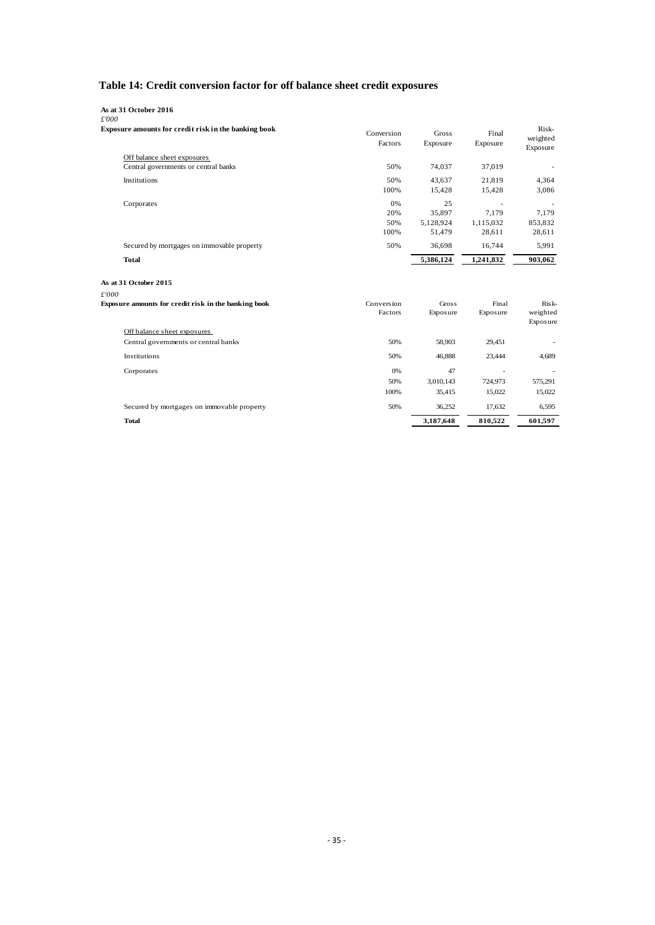## **Table 14: Credit conversion factor for off balance sheet credit exposures**

| As at 31 October 2016                                         |                       |                   |                   |                               |
|---------------------------------------------------------------|-----------------------|-------------------|-------------------|-------------------------------|
| £'000<br>Exposure amounts for credit risk in the banking book | Conversion<br>Factors | Gross<br>Exposure | Final<br>Exposure | Risk-<br>weighted<br>Exposure |
| Off balance sheet exposures                                   |                       |                   |                   |                               |
| Central governments or central banks                          | 50%                   | 74,037            | 37,019            |                               |
| Institutions                                                  | 50%                   | 43,637            | 21,819            | 4,364                         |
|                                                               | 100%                  | 15,428            | 15,428            | 3,086                         |
| Corporates                                                    | 0%                    | 25                |                   |                               |
|                                                               | 20%                   | 35,897            | 7.179             | 7,179                         |
|                                                               | 50%                   | 5,128,924         | 1,115,032         | 853,832                       |
|                                                               | 100%                  | 51,479            | 28,611            | 28,611                        |
| Secured by mortgages on immovable property                    | 50%                   | 36,698            | 16,744            | 5,991                         |
| <b>Total</b>                                                  |                       | 5,386,124         | 1,241,832         | 903,062                       |
| As at 31 October 2015                                         |                       |                   |                   |                               |
| £'000                                                         |                       |                   |                   |                               |
| Exposure amounts for credit risk in the banking book          | Conversion            | Gross             | Final             | Risk-                         |
|                                                               | Factors               | Exposure          | Exposure          | weighted<br>Exposure          |
| Off balance sheet exposures                                   |                       |                   |                   |                               |
| Central governments or central banks                          | 50%                   | 58,903            | 29,451            |                               |
| Institutions                                                  | 50%                   | 46.888            | 23,444            | 4,689                         |
| Corporates                                                    | 0%                    | 47                |                   |                               |
|                                                               | 50%                   | 3,010,143         | 724,973           | 575,291                       |
|                                                               | 100%                  | 35,415            | 15,022            | 15,022                        |
| Secured by mortgages on immovable property                    | 50%                   | 36,252            | 17,632            | 6,595                         |
| <b>Total</b>                                                  |                       | 3,187,648         | 810,522           | 601,597                       |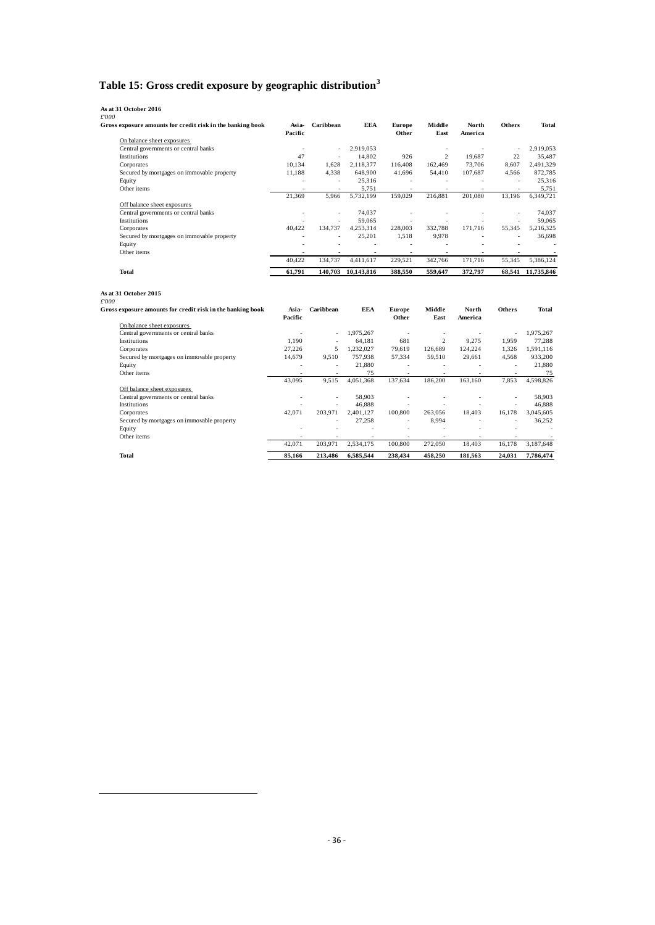## **Table 15: Gross credit exposure by geographic distribution[3](#page-38-0)**

| Gross exposure amounts for credit risk in the banking book                                   | Asia-<br>Pacific | Caribbean            | EEA        | <b>Europe</b><br>Other | Middle<br>East           | North<br>America | <b>Others</b>        | Total      |
|----------------------------------------------------------------------------------------------|------------------|----------------------|------------|------------------------|--------------------------|------------------|----------------------|------------|
| On balance sheet exposures                                                                   |                  |                      |            |                        |                          |                  |                      |            |
| Central governments or central banks                                                         | ä,               | ä,                   | 2,919,053  |                        | $\sim$                   | $\sim$           | $\ddot{\phantom{1}}$ | 2,919,053  |
| Institutions                                                                                 | 47               | ä,                   | 14,802     | 926                    | $\overline{2}$           | 19,687           | 22                   | 35,487     |
| Corporates                                                                                   | 10.134           | 1.628                | 2,118,377  | 116,408                | 162,469                  | 73,706           | 8,607                | 2,491,329  |
| Secured by mortgages on immovable property                                                   | 11,188           | 4,338                | 648,900    | 41,696                 | 54,410                   | 107,687          | 4,566                | 872,785    |
| Equity                                                                                       |                  | $\sim$               | 25,316     | $\sim$                 | $\sim$                   |                  | $\blacksquare$       | 25,316     |
| Other items                                                                                  |                  | ÷.                   | 5,751      | $\sim$                 | $\sim$                   |                  | ä,                   | 5,751      |
|                                                                                              | 21,369           | 5,966                | 5,732,199  | 159,029                | 216,881                  | 201,080          | 13,196               | 6,349,721  |
| Off balance sheet exposures                                                                  |                  |                      |            |                        |                          |                  |                      |            |
| Central governments or central banks                                                         | ٠                | ÷,                   | 74,037     | $\sim$                 | $\sim$                   |                  | ÷,                   | 74,037     |
| Institutions                                                                                 |                  | ÷.                   | 59,065     | $\sim$                 | ÷.                       |                  | $\ddot{\phantom{1}}$ | 59,065     |
| Corporates                                                                                   | 40,422           | 134,737              | 4,253,314  | 228,003                | 332,788                  | 171,716          | 55,345               | 5,216,325  |
| Secured by mortgages on immovable property                                                   |                  | ä,                   | 25,201     | 1,518                  | 9,978                    |                  | $\ddot{\phantom{1}}$ | 36,698     |
| Equity                                                                                       |                  |                      | $\sim$     | $\sim$                 | $\sim$                   |                  |                      |            |
| Other items                                                                                  |                  |                      |            |                        |                          |                  |                      |            |
|                                                                                              | 40,422           | 134,737              | 4,411,617  | 229,521                | 342,766                  | 171,716          | 55,345               | 5,386,124  |
| Total                                                                                        | 61.791           | 140,703              | 10.143.816 | 388.550                | 559.647                  | 372.797          | 68.541               | 11.735.846 |
|                                                                                              |                  |                      |            |                        |                          |                  |                      |            |
| As at 31 October 2015<br>£'000<br>Gross exposure amounts for credit risk in the banking book | Asia-<br>Pacific | Caribbean            | <b>EEA</b> | <b>Europe</b><br>Other | Middle<br>East           | North<br>America | <b>Others</b>        | Total      |
| On balance sheet exposures                                                                   |                  |                      |            |                        |                          |                  |                      |            |
| Central governments or central banks                                                         | $\sim$           | $\ddot{\phantom{1}}$ | 1,975,267  | $\sim$                 | ÷,                       | $\sim$           |                      | 1,975,267  |
| Institutions                                                                                 | 1,190            |                      | 64,181     | 681                    | $\overline{c}$           | 9,275            | 1,959                | 77,288     |
| Corporates                                                                                   | 27,226           | 5                    | 1,232,027  | 79,619                 | 126,689                  | 124,224          | 1,326                | 1,591,116  |
| Secured by mortgages on immovable property                                                   | 14,679           | 9,510                | 757,938    | 57,334                 | 59,510                   | 29,661           | 4,568                | 933,200    |
| Equity                                                                                       |                  | ÷.                   | 21,880     | ÷.                     | ä,                       |                  | ÷.                   | 21,880     |
| Other items                                                                                  |                  | ÷.                   | 75         | ÷.                     | $\sim$                   | ÷.               | ÷.                   | 75         |
|                                                                                              | 43,095           | 9,515                | 4,051,368  | 137,634                | 186,200                  | 163,160          | 7,853                | 4,598,826  |
| Off balance sheet exposures                                                                  |                  |                      |            |                        |                          |                  |                      |            |
| Central governments or central banks                                                         |                  |                      | 58,903     |                        |                          |                  |                      | 58,903     |
| Institutions                                                                                 |                  | $\sim$               | 46.888     | $\sim$                 | $\overline{\phantom{a}}$ | $\sim$           | $\sim$               | 46.888     |
| Corporates                                                                                   | 42,071           | 203,971              | 2,401,127  | 100,800                | 263,056                  | 18,403           | 16.178               | 3,045,605  |
| Secured by mortgages on immovable property                                                   |                  |                      | 27,258     | ÷.                     | 8,994                    |                  |                      | 36,252     |
| Equity<br>Other items                                                                        |                  |                      |            | ÷                      |                          |                  |                      |            |

**Total 85,166 213,486 6,585,544 238,434 458,250 181,563 24,031 7,786,474**

<span id="page-38-0"></span> $\overline{\phantom{a}}$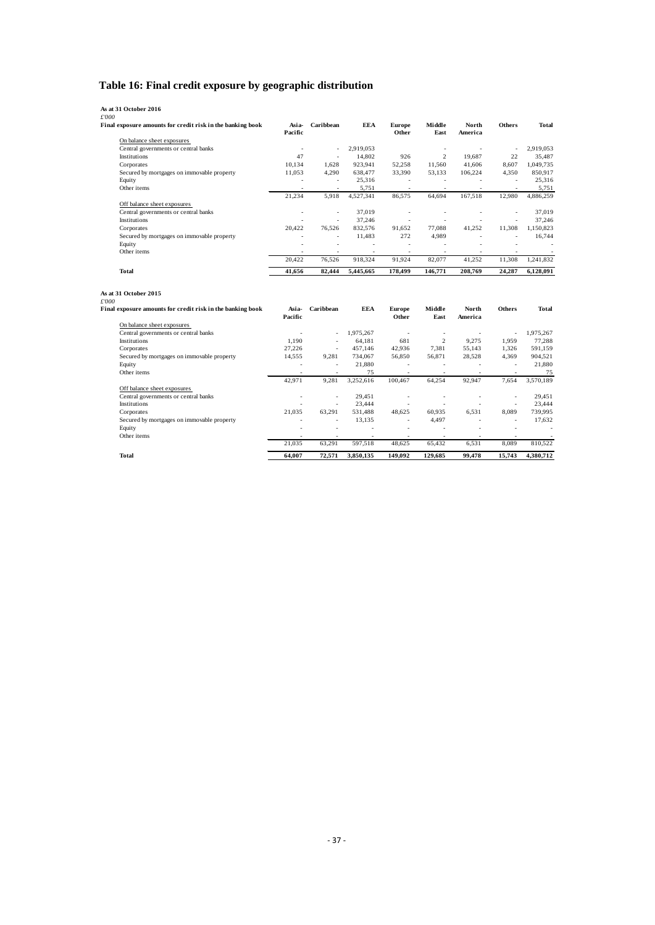## **Table 16: Final credit exposure by geographic distribution**

| Final exposure amounts for credit risk in the banking book | Asia-<br>Pacific | Caribbean        | <b>EEA</b>        | <b>Europe</b><br>Other             | Middle<br>East   | North<br>America              | <b>Others</b>            | Total                              |
|------------------------------------------------------------|------------------|------------------|-------------------|------------------------------------|------------------|-------------------------------|--------------------------|------------------------------------|
| On balance sheet exposures                                 |                  |                  |                   |                                    |                  |                               |                          |                                    |
| Central governments or central banks                       | $\sim$           | $\sim$           | 2,919,053         |                                    | $\sim$           | $\sim$                        | $\overline{\phantom{a}}$ | 2,919,053                          |
| Institutions                                               | 47               | ÷,               | 14,802            | 926                                | $\overline{2}$   | 19,687                        | 22                       | 35,487                             |
| Corporates                                                 | 10,134           | 1,628            | 923,941           | 52,258                             | 11,560           | 41,606                        | 8,607                    | 1,049,735                          |
| Secured by mortgages on immovable property                 | 11.053           | 4,290            | 638,477           | 33,390                             | 53.133           | 106,224                       | 4.350                    | 850.917                            |
| Equity                                                     | J.               | ÷,               | 25,316            | $\sim$                             | $\omega$         | $\sim$                        | $\overline{\phantom{a}}$ | 25,316                             |
| Other items                                                | з.               | ٠                | 5,751             | $\sim$                             | $\sim$           | $\sim$                        | ٠                        | 5,751                              |
|                                                            | 21.234           | 5,918            | 4,527,341         | 86,575                             | 64,694           | 167,518                       | 12,980                   | 4,886,259                          |
| Off balance sheet exposures                                |                  |                  |                   |                                    |                  |                               |                          |                                    |
| Central governments or central banks                       |                  | ä,               | 37,019            | $\sim$                             | $\sim$           | $\ddot{\phantom{1}}$          | $\sim$                   | 37,019                             |
| Institutions                                               | ÷.               | $\bar{a}$        | 37,246            | ÷.                                 | ÷                |                               | L.                       | 37,246                             |
| Corporates                                                 | 20,422           | 76,526           | 832,576           | 91,652                             | 77,088           | 41,252                        | 11,308                   | 1,150,823                          |
| Secured by mortgages on immovable property                 |                  | ÷                | 11,483            | 272                                | 4,989            | ٠                             | ÷.                       | 16,744                             |
| Equity                                                     |                  | ÷.               | $\sim$            | ÷.                                 | ÷,               | $\ddot{\phantom{1}}$          | ÷,                       |                                    |
| Other items                                                |                  |                  |                   | $\overline{\phantom{a}}$           |                  |                               |                          |                                    |
|                                                            | 20,422           | 76,526           | 918,324           | 91,924                             | 82,077           | 41,252                        | 11,308                   | 1,241,832                          |
| Total                                                      | 41,656           | 82,444           | 5,445,665         | 178,499                            | 146,771          | 208,769                       | 24,287                   | 6,128,091                          |
| As at 31 October 2015                                      |                  |                  |                   |                                    |                  |                               |                          |                                    |
| Final exposure amounts for credit risk in the banking book | Asia-            | Caribbean        | EEA               | <b>Europe</b>                      | Middle           | North                         | <b>Others</b>            | Total                              |
|                                                            | Pacific          |                  |                   | Other                              | East             | America                       |                          |                                    |
| On balance sheet exposures                                 |                  |                  |                   |                                    |                  |                               |                          |                                    |
| Central governments or central banks                       |                  | ÷,               | 1,975,267         | $\sim$                             | ÷,               | ÷,                            | $\sim$                   | 1,975,267                          |
| Institutions                                               | 1.190            | L.               | 64,181            | 681                                | 2                | 9.275                         | 1.959                    | 77,288                             |
| Corporates                                                 | 27,226           | $\sim$           | 457,146           | 42,936                             | 7,381            | 55,143                        | 1,326                    | 591,159                            |
| Secured by mortgages on immovable property                 | 14,555           | 9,281            | 734,067           | 56,850                             | 56,871           | 28,528                        | 4,369                    | 904,521                            |
| Equity                                                     | $\sim$           | ä,               | 21,880            | $\sim$                             | ÷,               | $\ddot{\phantom{1}}$          | $\sim$                   | 21,880                             |
| Other items                                                | $\sim$           | $\sim$           | 75                | $\sim$                             | $\sim$           | $\sim$                        | $\sim$                   | 75                                 |
|                                                            | 42,971           | 9,281            | 3,252,616         | 100,467                            | 64,254           | 92,947                        | 7,654                    | 3,570,189                          |
| Off balance sheet exposures                                |                  |                  |                   |                                    |                  |                               |                          |                                    |
| Central governments or central banks                       | $\sim$           | ÷                | 29,451            | ÷.                                 | ٠                | ٠                             | $\sim$                   | 29,451                             |
| Institutions                                               |                  | ÷,               | 23,444            |                                    |                  |                               | $\sim$                   | 23,444                             |
| Corporates                                                 | 21.035<br>÷      | 63,291           | 531,488           | 48.625                             | 60,935           | 6.531<br>$\ddot{\phantom{1}}$ | 8.089                    | 739,995                            |
| Secured by mortgages on immovable property                 | ÷.               | ä,<br>٠          | 13,135<br>٠       | $\overline{\phantom{a}}$<br>$\sim$ | 4,497<br>٠       |                               | $\sim$<br>٠              | 17,632<br>$\overline{\phantom{a}}$ |
| Equity                                                     |                  |                  |                   |                                    |                  |                               |                          | $\overline{\phantom{a}}$           |
| Other items                                                | 21,035           | $\sim$<br>63,291 | $\sim$<br>597,518 | $\sim$<br>48,625                   | $\sim$<br>65,432 | 6,531                         | 8,089                    | 810,522                            |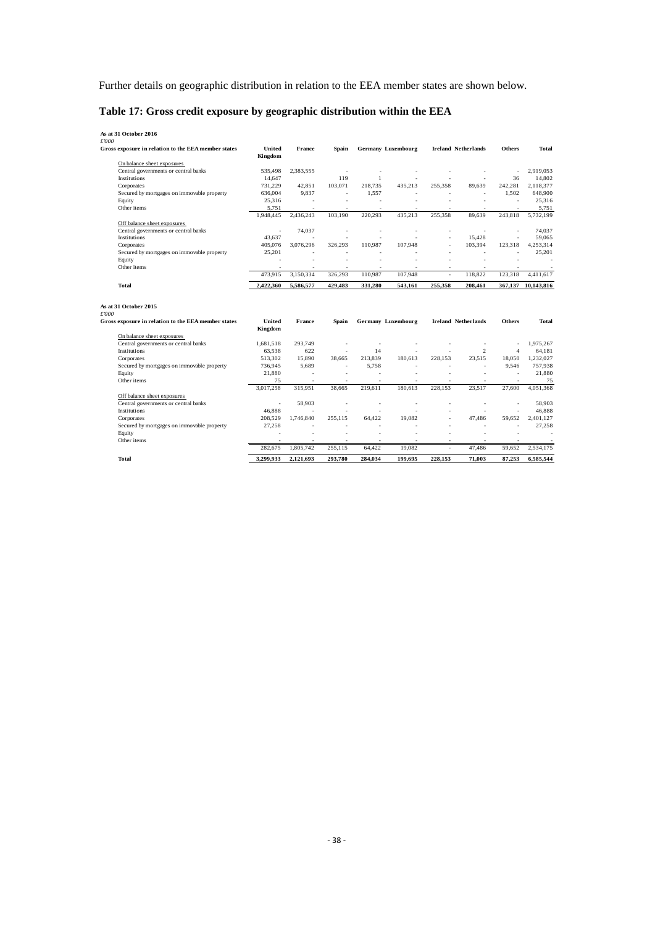Further details on geographic distribution in relation to the EEA member states are shown below.

## **Table 17: Gross credit exposure by geographic distribution within the EEA**

| As at 31 October 2016                               |           |           |                          |                          |                           |           |                            |                |                    |
|-----------------------------------------------------|-----------|-----------|--------------------------|--------------------------|---------------------------|-----------|----------------------------|----------------|--------------------|
| £'000                                               |           |           |                          |                          |                           |           |                            |                |                    |
| Gross exposure in relation to the EEA member states | United    | France    | Spain                    |                          | <b>Germany Luxembourg</b> |           | <b>Ireland Netherlands</b> | <b>Others</b>  | <b>Total</b>       |
|                                                     | Kingdom   |           |                          |                          |                           |           |                            |                |                    |
| On balance sheet exposures                          |           |           |                          |                          |                           |           |                            |                |                    |
| Central governments or central banks                | 535,498   | 2,383,555 |                          | ٠                        | $\overline{\phantom{a}}$  | ٠         | ٠                          |                | 2,919,053          |
| Institutions                                        | 14.647    |           | 119                      | 1                        | ÷,                        |           |                            | 36             | 14,802             |
| Corporates                                          | 731.229   | 42.851    | 103.071                  | 218,735                  | 435.213                   | 255,358   | 89.639                     | 242.281        | 2.118.377          |
| Secured by mortgages on immovable property          | 636,004   | 9.837     | $\sim$                   | 1.557                    | ä,                        |           | $\sim$                     | 1.502          | 648,900            |
| Equity                                              | 25,316    | ÷         |                          | ٠                        | ÷                         |           |                            | ÷.             | 25,316             |
| Other items                                         | 5.751     | ÷         | ×                        | ×                        | ×                         | ×         | $\sim$                     | ×              | 5.751              |
|                                                     | 1.948.445 | 2,436,243 | 103.190                  | 220.293                  | 435.213                   | 255,358   | 89.639                     | 243.818        | 5.732.199          |
| Off balance sheet exposures                         |           |           |                          |                          |                           |           |                            |                |                    |
| Central governments or central banks                | $\sim$    | 74.037    |                          | ٠                        | ÷.                        |           | ×.                         | ÷.             | 74.037             |
| <b>Institutions</b>                                 | 43.637    |           |                          |                          |                           |           | 15.428                     |                | 59.065             |
| Corporates                                          | 405.076   | 3.076.296 | 326.293                  | 110.987                  | 107.948                   | ä,        | 103,394                    | 123.318        | 4,253,314          |
| Secured by mortgages on immovable property          | 25,201    | ٠         |                          | ٠                        |                           | ٠         | ٠                          |                | 25,201             |
| Equity                                              |           |           |                          |                          |                           |           |                            |                |                    |
| Other items                                         |           |           |                          |                          |                           |           |                            |                |                    |
|                                                     | 473,915   | 3,150,334 | 326,293                  | 110,987                  | 107,948                   | ä,        | 118,822                    | 123,318        | 4,411,617          |
| <b>Total</b>                                        | 2,422,360 | 5,586,577 | 429,483                  | 331,280                  | 543,161                   | 255,358   | 208,461                    |                | 367,137 10,143,816 |
| As at 31 October 2015<br>£'000                      |           |           |                          |                          |                           |           |                            |                |                    |
| Gross exposure in relation to the EEA member states | United    | France    | Spain                    |                          | Germany Luxembourg        |           | <b>Ireland Netherlands</b> | <b>Others</b>  | Total              |
|                                                     | Kingdom   |           |                          |                          |                           |           |                            |                |                    |
| On balance sheet exposures                          |           |           |                          |                          |                           |           |                            |                |                    |
| Central governments or central banks                | 1,681,518 | 293,749   |                          | ÷,                       | ٠                         |           | $\overline{\phantom{a}}$   | ٠              | 1,975,267          |
| <b>Institutions</b>                                 | 63.538    | 622       | ä,                       | 14                       | ٠                         |           | 2                          | $\overline{4}$ | 64.181             |
| Corporates                                          | 513.302   | 15,890    | 38.665                   | 213.839                  | 180,613                   | 228.153   | 23,515                     | 18.050         | 1,232,027          |
| Secured by mortgages on immovable property          | 736,945   | 5,689     | J.                       | 5.758                    |                           |           | ×,                         | 9,546          | 757,938            |
| Equity                                              | 21,880    | $\sim$    | ÷,                       | ÷,                       | ٠                         | ×         | $\sim$                     | $\sim$         | 21,880             |
| Other items                                         | 75        | ٠         | $\overline{\phantom{a}}$ | $\overline{\phantom{a}}$ | ٠                         | ٠         | ٠                          |                | 75                 |
|                                                     | 3,017,258 | 315.951   | 38.665                   | 219.611                  | 180.613                   | 228,153   | 23,517                     | 27,600         | 4.051.368          |
| Off balance sheet exposures                         |           |           |                          |                          |                           |           |                            |                |                    |
| Central governments or central banks                | ٠         | 58,903    |                          | ٠                        | i.                        |           | ٠                          |                | 58,903             |
| <b>Institutions</b>                                 | 46.888    | ä,        |                          |                          |                           |           |                            | ä,             | 46,888             |
| Corporates                                          | 208,529   | 1.746.840 | 255.115                  | 64.422                   | 19.082                    | ×,        | 47.486                     | 59.652         | 2,401,127          |
| Secured by mortgages on immovable property          | 27,258    |           |                          |                          |                           |           |                            |                | 27,258             |
| Equity                                              |           | ٠         | ä,                       | ٠                        | ٠                         |           | $\sim$                     | $\sim$         |                    |
| Other items                                         |           | ÷         | ÷.                       |                          | ÷                         |           | $\sim$                     | ×.             |                    |
|                                                     | 282.675   | 1.805.742 | 255.115                  | 64.422                   | 19.082                    | $\bar{a}$ | 47.486                     | 59.652         | 2.534.175          |
| <b>Total</b>                                        | 3.299.933 | 2.121.693 | 293.780                  | 284.034                  | 199.695                   | 228.153   | 71.003                     | 87.253         | 6.585.544          |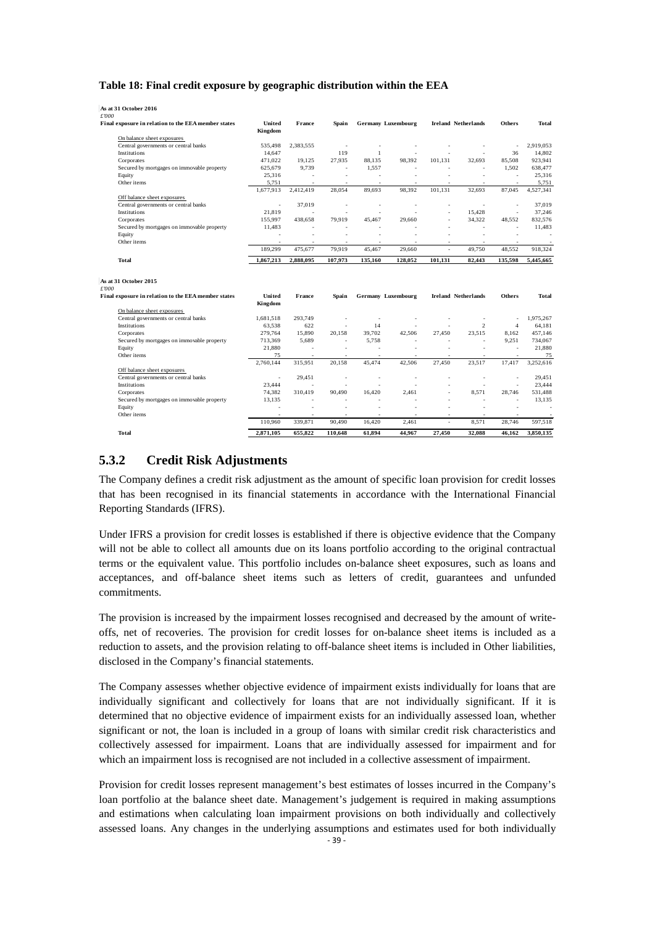#### **Table 18: Final credit exposure by geographic distribution within the EEA**

| As at 31 October 2016                                                                 |                          |           |                          |                          |                           |                          |                            |                          |              |
|---------------------------------------------------------------------------------------|--------------------------|-----------|--------------------------|--------------------------|---------------------------|--------------------------|----------------------------|--------------------------|--------------|
| £'000                                                                                 | United                   | France    |                          |                          |                           |                          |                            | <b>Others</b>            | <b>Total</b> |
| Final exposure in relation to the EEA member states                                   | Kingdom                  |           | Spain                    |                          | <b>Germany Luxembourg</b> |                          | <b>Ireland Netherlands</b> |                          |              |
| On balance sheet exposures                                                            |                          |           |                          |                          |                           |                          |                            |                          |              |
| Central governments or central banks                                                  | 535.498                  | 2,383,555 | $\sim$                   |                          |                           |                          |                            | $\overline{\phantom{a}}$ | 2,919,053    |
| <b>Institutions</b>                                                                   | 14,647                   |           | 119                      | $\mathbf{1}$             |                           | ä,                       | $\sim$                     | 36                       | 14.802       |
| Corporates                                                                            | 471.022                  | 19.125    | 27,935                   | 88.135                   | 98,392                    | 101,131                  | 32,693                     | 85,508                   | 923,941      |
| Secured by mortgages on immovable property                                            | 625,679                  | 9,739     | $\sim$                   | 1,557                    | $\overline{\phantom{a}}$  |                          | ×.                         | 1,502                    | 638,477      |
| Equity                                                                                | 25,316                   | $\sim$    | $\sim$                   | $\sim$                   | $\overline{\phantom{a}}$  | $\sim$                   | $\sim$                     | $\sim$                   | 25,316       |
| Other items                                                                           | 5,751                    |           |                          | ÷.                       |                           |                          | ÷                          |                          | 5,751        |
|                                                                                       | 1,677,913                | 2,412,419 | 28,054                   | 89.693                   | 98,392                    | 101.131                  | 32.693                     | 87,045                   | 4,527,341    |
| Off balance sheet exposures                                                           |                          |           |                          |                          |                           |                          |                            |                          |              |
| Central governments or central banks                                                  | ÷,                       | 37,019    | ٠                        | $\overline{\phantom{a}}$ | $\sim$                    | $\overline{\phantom{a}}$ | $\overline{\phantom{a}}$   | ÷,                       | 37,019       |
| <b>Institutions</b>                                                                   | 21.819                   |           |                          |                          |                           | ÷.                       | 15,428                     | ×,                       | 37,246       |
| Corporates                                                                            | 155.997                  | 438.658   | 79.919                   | 45.467                   | 29,660                    | ٠                        | 34.322                     | 48.552                   | 832,576      |
| Secured by mortgages on immovable property                                            | 11.483                   |           |                          |                          |                           | ٠                        | $\sim$                     | $\sim$                   | 11,483       |
| Equity                                                                                |                          |           |                          |                          |                           |                          | ×.                         | ÷.                       |              |
| Other items                                                                           | $\sim$                   | $\sim$    | ٠                        | ٠                        | ٠                         | ÷.                       | $\sim$                     | $\sim$                   | $\sim$       |
|                                                                                       | 189,299                  | 475,677   | 79,919                   | 45,467                   | 29,660                    | $\overline{\phantom{a}}$ | 49.750                     | 48,552                   | 918,324      |
| Total                                                                                 | 1,867,213                | 2,888,095 | 107,973                  | 135,160                  | 128,052                   | 101,131                  | 82,443                     | 135,598                  | 5,445,665    |
| As at 31 October 2015<br>£'000<br>Final exposure in relation to the EEA member states | United                   | France    | Spain                    |                          | Germany Luxembourg        |                          | <b>Ireland Netherlands</b> | <b>Others</b>            | <b>Total</b> |
|                                                                                       | Kingdom                  |           |                          |                          |                           |                          |                            |                          |              |
| On balance sheet exposures                                                            |                          |           |                          |                          |                           |                          |                            |                          |              |
| Central governments or central banks                                                  | 1.681.518                | 293.749   | ٠                        | ×,                       |                           | ٠                        | $\overline{\phantom{a}}$   | ٠                        | 1.975.267    |
| Institutions                                                                          | 63,538                   | 622       | $\overline{\phantom{a}}$ | 14                       | ٠                         | ٠                        | 2                          | $\overline{4}$           | 64,181       |
| Corporates                                                                            | 279,764                  | 15,890    | 20,158                   | 39,702                   | 42,506                    | 27,450                   | 23,515                     | 8,162                    | 457,146      |
| Secured by mortgages on immovable property                                            | 713,369                  | 5.689     | $\sim$                   | 5.758                    | $\sim$                    |                          | ×.                         | 9,251                    | 734,067      |
| Equity                                                                                | 21,880                   | $\sim$    | $\overline{\phantom{a}}$ | ä,                       | ٠                         | ٠                        | $\sim$                     | $\sim$                   | 21,880       |
| Other items                                                                           | 75                       | $\sim$    | $\sim$                   | $\sim$                   | $\sim$                    | $\sim$                   | $\sim$                     | ×,                       | 75           |
|                                                                                       | 2.760.144                | 315.951   | 20.158                   | 45.474                   | 42.506                    | 27.450                   | 23,517                     | 17,417                   | 3.252.616    |
| Off balance sheet exposures                                                           |                          |           |                          |                          |                           |                          |                            |                          |              |
| Central governments or central banks                                                  | $\overline{\phantom{a}}$ | 29.451    | $\sim$                   | ×                        | ä,                        | $\overline{\phantom{a}}$ | $\sim$                     | ٠                        | 29.451       |
| Institutions                                                                          | 23.444                   |           |                          |                          |                           |                          | ٠                          | ×,                       | 23.444       |
| Corporates                                                                            | 74,382                   | 310.419   | 90.490                   | 16,420                   | 2.461                     | ä,                       | 8,571                      | 28,746                   | 531,488      |
| Secured by mortgages on immovable property                                            | 13.135                   | $\sim$    | $\overline{\phantom{a}}$ | ä,                       |                           | ä,                       | $\sim$                     | ×,                       | 13,135       |
| Equity                                                                                |                          | ٠         | ٠                        |                          |                           |                          | ÷,                         | ×,                       | ×.           |
| Other items                                                                           | $\sim$                   | $\sim$    | ٠                        |                          | $\sim$                    | ٠                        | $\sim$                     |                          |              |
|                                                                                       | 110,960                  | 339,871   | 90,490                   | 16,420                   | 2,461                     | $\overline{\phantom{a}}$ | 8,571                      | 28,746                   | 597,518      |
| <b>Total</b>                                                                          | 2,871,105                | 655,822   | 110,648                  | 61.894                   | 44.967                    | 27,450                   | 32,088                     | 46,162                   | 3,850,135    |

### **5.3.2 Credit Risk Adjustments**

The Company defines a credit risk adjustment as the amount of specific loan provision for credit losses that has been recognised in its financial statements in accordance with the International Financial Reporting Standards (IFRS).

Under IFRS a provision for credit losses is established if there is objective evidence that the Company will not be able to collect all amounts due on its loans portfolio according to the original contractual terms or the equivalent value. This portfolio includes on-balance sheet exposures, such as loans and acceptances, and off-balance sheet items such as letters of credit, guarantees and unfunded commitments.

The provision is increased by the impairment losses recognised and decreased by the amount of writeoffs, net of recoveries. The provision for credit losses for on-balance sheet items is included as a reduction to assets, and the provision relating to off-balance sheet items is included in Other liabilities, disclosed in the Company's financial statements.

The Company assesses whether objective evidence of impairment exists individually for loans that are individually significant and collectively for loans that are not individually significant. If it is determined that no objective evidence of impairment exists for an individually assessed loan, whether significant or not, the loan is included in a group of loans with similar credit risk characteristics and collectively assessed for impairment. Loans that are individually assessed for impairment and for which an impairment loss is recognised are not included in a collective assessment of impairment.

Provision for credit losses represent management's best estimates of losses incurred in the Company's loan portfolio at the balance sheet date. Management's judgement is required in making assumptions and estimations when calculating loan impairment provisions on both individually and collectively assessed loans. Any changes in the underlying assumptions and estimates used for both individually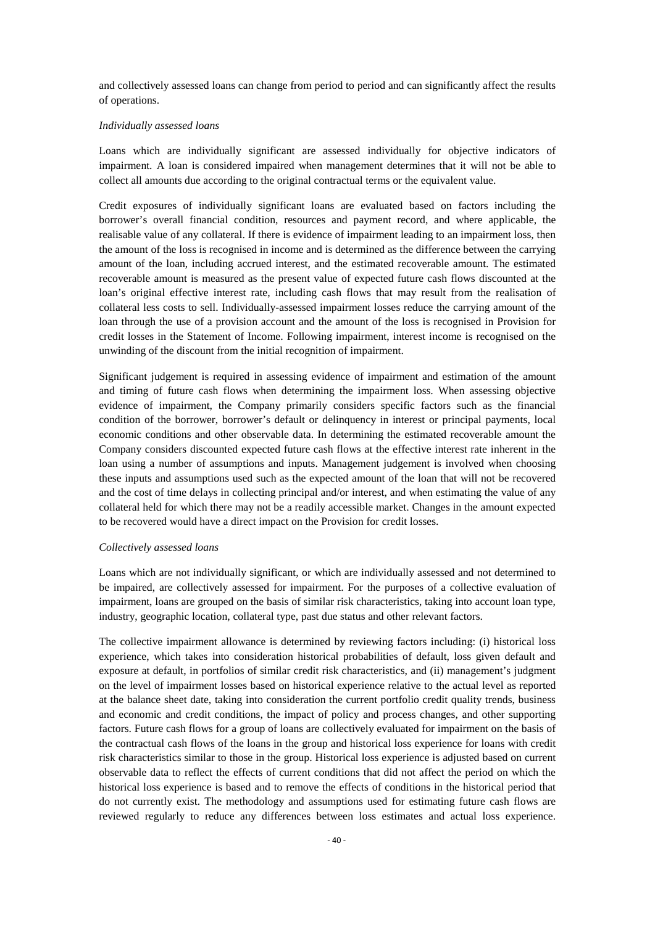and collectively assessed loans can change from period to period and can significantly affect the results of operations.

#### *Individually assessed loans*

Loans which are individually significant are assessed individually for objective indicators of impairment. A loan is considered impaired when management determines that it will not be able to collect all amounts due according to the original contractual terms or the equivalent value.

Credit exposures of individually significant loans are evaluated based on factors including the borrower's overall financial condition, resources and payment record, and where applicable, the realisable value of any collateral. If there is evidence of impairment leading to an impairment loss, then the amount of the loss is recognised in income and is determined as the difference between the carrying amount of the loan, including accrued interest, and the estimated recoverable amount. The estimated recoverable amount is measured as the present value of expected future cash flows discounted at the loan's original effective interest rate, including cash flows that may result from the realisation of collateral less costs to sell. Individually-assessed impairment losses reduce the carrying amount of the loan through the use of a provision account and the amount of the loss is recognised in Provision for credit losses in the Statement of Income. Following impairment, interest income is recognised on the unwinding of the discount from the initial recognition of impairment.

Significant judgement is required in assessing evidence of impairment and estimation of the amount and timing of future cash flows when determining the impairment loss. When assessing objective evidence of impairment, the Company primarily considers specific factors such as the financial condition of the borrower, borrower's default or delinquency in interest or principal payments, local economic conditions and other observable data. In determining the estimated recoverable amount the Company considers discounted expected future cash flows at the effective interest rate inherent in the loan using a number of assumptions and inputs. Management judgement is involved when choosing these inputs and assumptions used such as the expected amount of the loan that will not be recovered and the cost of time delays in collecting principal and/or interest, and when estimating the value of any collateral held for which there may not be a readily accessible market. Changes in the amount expected to be recovered would have a direct impact on the Provision for credit losses.

#### *Collectively assessed loans*

Loans which are not individually significant, or which are individually assessed and not determined to be impaired, are collectively assessed for impairment. For the purposes of a collective evaluation of impairment, loans are grouped on the basis of similar risk characteristics, taking into account loan type, industry, geographic location, collateral type, past due status and other relevant factors.

The collective impairment allowance is determined by reviewing factors including: (i) historical loss experience, which takes into consideration historical probabilities of default, loss given default and exposure at default, in portfolios of similar credit risk characteristics, and (ii) management's judgment on the level of impairment losses based on historical experience relative to the actual level as reported at the balance sheet date, taking into consideration the current portfolio credit quality trends, business and economic and credit conditions, the impact of policy and process changes, and other supporting factors. Future cash flows for a group of loans are collectively evaluated for impairment on the basis of the contractual cash flows of the loans in the group and historical loss experience for loans with credit risk characteristics similar to those in the group. Historical loss experience is adjusted based on current observable data to reflect the effects of current conditions that did not affect the period on which the historical loss experience is based and to remove the effects of conditions in the historical period that do not currently exist. The methodology and assumptions used for estimating future cash flows are reviewed regularly to reduce any differences between loss estimates and actual loss experience.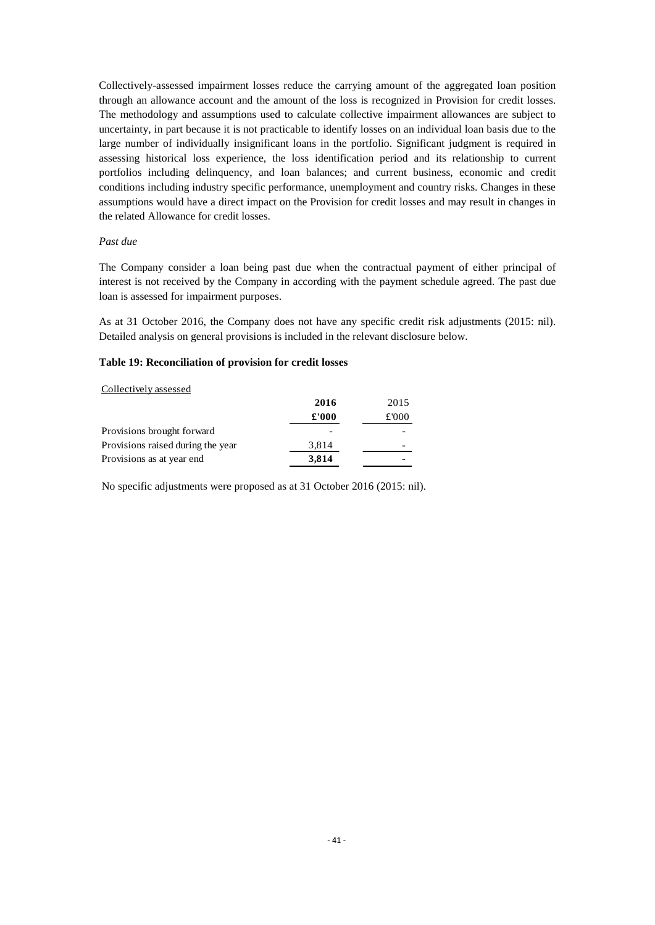Collectively-assessed impairment losses reduce the carrying amount of the aggregated loan position through an allowance account and the amount of the loss is recognized in Provision for credit losses. The methodology and assumptions used to calculate collective impairment allowances are subject to uncertainty, in part because it is not practicable to identify losses on an individual loan basis due to the large number of individually insignificant loans in the portfolio. Significant judgment is required in assessing historical loss experience, the loss identification period and its relationship to current portfolios including delinquency, and loan balances; and current business, economic and credit conditions including industry specific performance, unemployment and country risks. Changes in these assumptions would have a direct impact on the Provision for credit losses and may result in changes in the related Allowance for credit losses.

#### *Past due*

The Company consider a loan being past due when the contractual payment of either principal of interest is not received by the Company in according with the payment schedule agreed. The past due loan is assessed for impairment purposes.

As at 31 October 2016, the Company does not have any specific credit risk adjustments (2015: nil). Detailed analysis on general provisions is included in the relevant disclosure below.

#### **Table 19: Reconciliation of provision for credit losses**

#### Collectively assessed

|                                   | 2016  | 2015 |
|-----------------------------------|-------|------|
|                                   | £'000 | £000 |
| Provisions brought forward        |       |      |
| Provisions raised during the year | 3,814 |      |
| Provisions as at year end         | 3,814 |      |

No specific adjustments were proposed as at 31 October 2016 (2015: nil).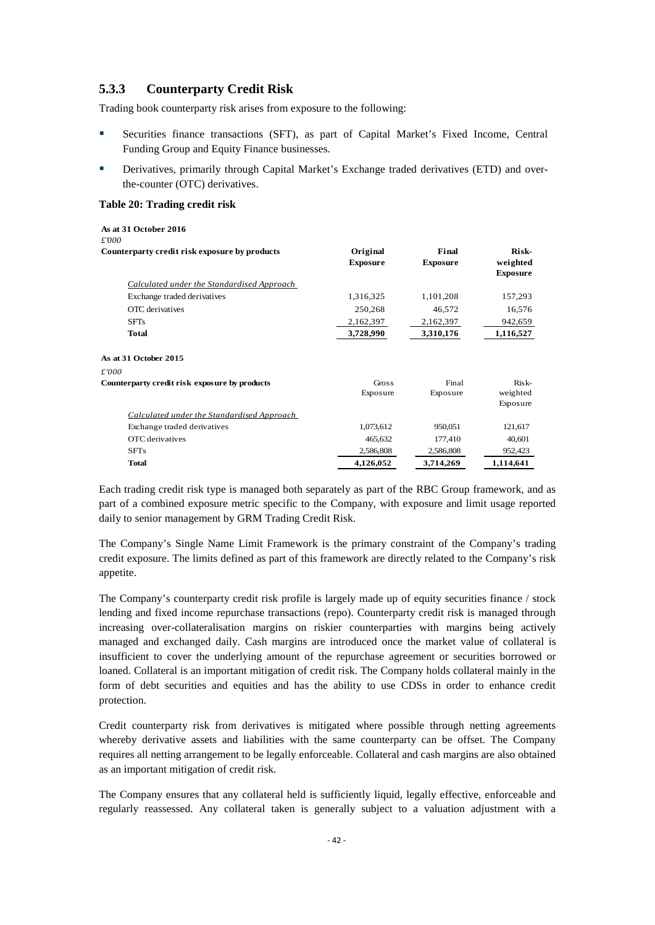#### **5.3.3 Counterparty Credit Risk**

Trading book counterparty risk arises from exposure to the following:

- Securities finance transactions (SFT), as part of Capital Market's Fixed Income, Central Funding Group and Equity Finance businesses.
- Derivatives, primarily through Capital Market's Exchange traded derivatives (ETD) and overthe-counter (OTC) derivatives.

#### **Table 20: Trading credit risk**

| As at 31 October 2016<br>£'000                    |                             |                          |                                      |
|---------------------------------------------------|-----------------------------|--------------------------|--------------------------------------|
| Counterparty credit risk exposure by products     | Original<br><b>Exposure</b> | Final<br><b>Exposure</b> | Risk-<br>weighted<br><b>Exposure</b> |
| Calculated under the Standardised Approach        |                             |                          |                                      |
| Exchange traded derivatives                       | 1,316,325                   | 1,101,208                | 157,293                              |
| OTC derivatives                                   | 250,268                     | 46,572                   | 16,576                               |
| <b>SFTs</b>                                       | 2,162,397                   | 2,162,397                | 942,659                              |
| Total                                             | 3,728,990                   | 3,310,176                | 1,116,527                            |
| As at 31 October 2015                             |                             |                          |                                      |
| £'000                                             |                             |                          |                                      |
| Counterparty credit risk exposure by products     | Gross                       | Final                    | Risk-                                |
|                                                   | Exposure                    | Exposure                 | weighted<br>Exposure                 |
| <b>Calculated under the Standardised Approach</b> |                             |                          |                                      |
| Exchange traded derivatives                       | 1,073,612                   | 950,051                  | 121,617                              |
| OTC derivatives                                   | 465,632                     | 177,410                  | 40,601                               |
| <b>SFTs</b>                                       | 2,586,808                   | 2,586,808                | 952,423                              |
| <b>Total</b>                                      | 4,126,052                   | 3,714,269                | 1,114,641                            |

Each trading credit risk type is managed both separately as part of the RBC Group framework, and as part of a combined exposure metric specific to the Company, with exposure and limit usage reported daily to senior management by GRM Trading Credit Risk.

The Company's Single Name Limit Framework is the primary constraint of the Company's trading credit exposure. The limits defined as part of this framework are directly related to the Company's risk appetite.

The Company's counterparty credit risk profile is largely made up of equity securities finance / stock lending and fixed income repurchase transactions (repo). Counterparty credit risk is managed through increasing over-collateralisation margins on riskier counterparties with margins being actively managed and exchanged daily. Cash margins are introduced once the market value of collateral is insufficient to cover the underlying amount of the repurchase agreement or securities borrowed or loaned. Collateral is an important mitigation of credit risk. The Company holds collateral mainly in the form of debt securities and equities and has the ability to use CDSs in order to enhance credit protection.

Credit counterparty risk from derivatives is mitigated where possible through netting agreements whereby derivative assets and liabilities with the same counterparty can be offset. The Company requires all netting arrangement to be legally enforceable. Collateral and cash margins are also obtained as an important mitigation of credit risk.

The Company ensures that any collateral held is sufficiently liquid, legally effective, enforceable and regularly reassessed. Any collateral taken is generally subject to a valuation adjustment with a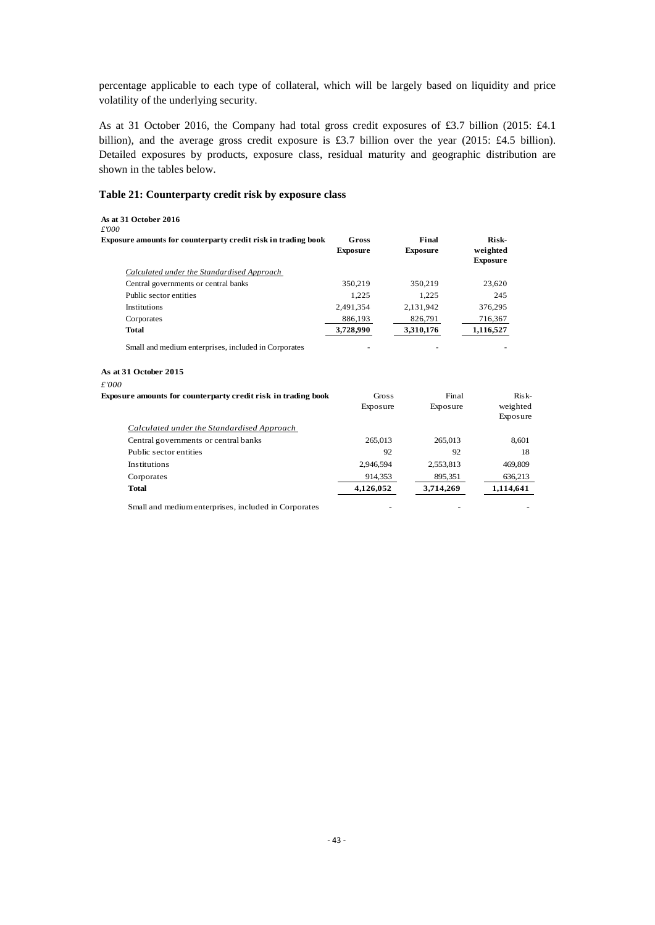percentage applicable to each type of collateral, which will be largely based on liquidity and price volatility of the underlying security.

As at 31 October 2016, the Company had total gross credit exposures of £3.7 billion (2015: £4.1 billion), and the average gross credit exposure is £3.7 billion over the year (2015: £4.5 billion). Detailed exposures by products, exposure class, residual maturity and geographic distribution are shown in the tables below.

#### **Table 21: Counterparty credit risk by exposure class**

**As at 31 October 2016**

| £'000                                                                                  |                          |                          |                                      |
|----------------------------------------------------------------------------------------|--------------------------|--------------------------|--------------------------------------|
| Exposure amounts for counterparty credit risk in trading book                          | Gross<br><b>Exposure</b> | Final<br><b>Exposure</b> | Risk-<br>weighted<br><b>Exposure</b> |
| Calculated under the Standardised Approach                                             |                          |                          |                                      |
| Central governments or central banks                                                   | 350,219                  | 350,219                  | 23,620                               |
| Public sector entities                                                                 | 1,225                    | 1,225                    | 245                                  |
| Institutions                                                                           | 2,491,354                | 2,131,942                | 376,295                              |
| Corporates                                                                             | 886,193                  | 826,791                  | 716,367                              |
| <b>Total</b>                                                                           | 3,728,990                | 3,310,176                | 1,116,527                            |
| Small and medium enterprises, included in Corporates<br>As at 31 October 2015<br>£'000 |                          |                          |                                      |
| Exposure amounts for counterparty credit risk in trading book                          | Gross                    | Final                    | $Risk-$                              |
|                                                                                        | Exposure                 | Exposure                 | weighted<br>Exposure                 |
| Calculated under the Standardised Approach                                             |                          |                          |                                      |
| Central governments or central banks                                                   | 265,013                  | 265,013                  | 8,601                                |
| Public sector entities                                                                 | 92                       | 92                       | 18                                   |
| Institutions                                                                           | 2,946,594                | 2,553,813                | 469,809                              |
| Corporates                                                                             | 914,353                  | 895,351                  | 636,213                              |
| <b>Total</b>                                                                           | 4,126,052                | 3,714,269                | 1,114,641                            |

Small and medium enterprises, included in Corporates - - -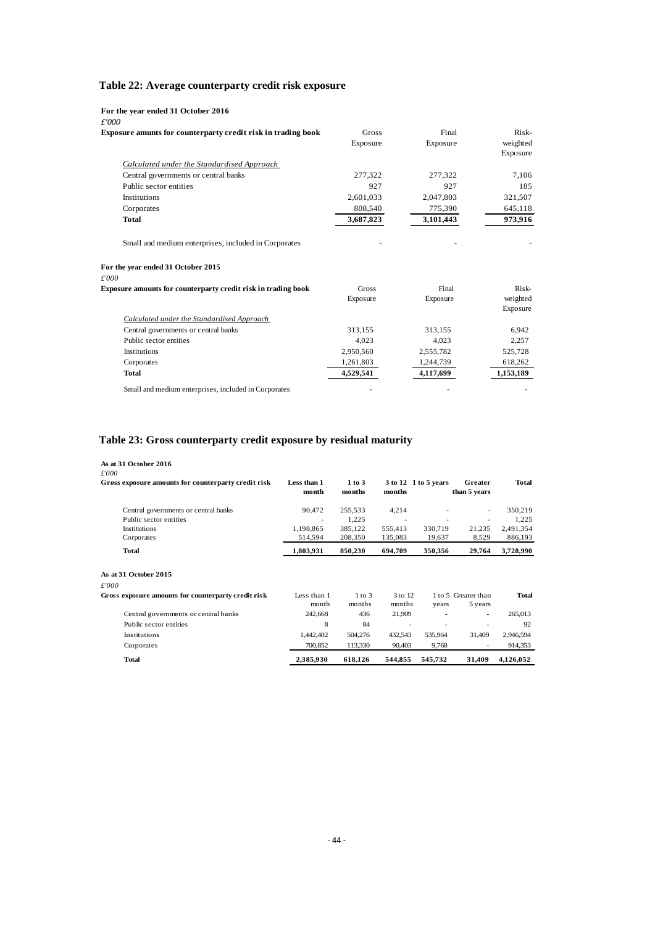## **Table 22: Average counterparty credit risk exposure**

| For the year ended 31 October 2016<br>£'000                                                         |              |           |           |
|-----------------------------------------------------------------------------------------------------|--------------|-----------|-----------|
| Exposure amunts for counterparty credit risk in trading book                                        | <b>Gross</b> | Final     | Risk-     |
|                                                                                                     | Exposure     | Exposure  | weighted  |
|                                                                                                     |              |           | Exposure  |
| Calculated under the Standardised Approach                                                          |              |           |           |
| Central governments or central banks                                                                | 277,322      | 277,322   | 7,106     |
| Public sector entities                                                                              | 927          | 927       | 185       |
| Institutions                                                                                        | 2,601,033    | 2,047,803 | 321,507   |
| Corporates                                                                                          | 808,540      | 775,390   | 645,118   |
| Total                                                                                               | 3,687,823    | 3,101,443 | 973,916   |
| Small and medium enterprises, included in Corporates<br>For the year ended 31 October 2015<br>£'000 |              |           |           |
| Exposure amounts for counterparty credit risk in trading book                                       | Gross        | Final     | Risk-     |
|                                                                                                     | Exposure     | Exposure  | weighted  |
|                                                                                                     |              |           | Exposure  |
| Calculated under the Standardised Approach                                                          |              |           |           |
| Central governments or central banks                                                                | 313,155      | 313,155   | 6,942     |
| Public sector entities                                                                              | 4.023        | 4,023     | 2,257     |
| Institutions                                                                                        | 2,950,560    | 2,555,782 | 525,728   |
| Corporates                                                                                          | 1,261,803    | 1,244,739 | 618,262   |
| <b>Total</b>                                                                                        | 4,529,541    | 4,117,699 | 1,153,189 |
| Small and medium enterprises, included in Corporates                                                |              |           |           |

## **Table 23: Gross counterparty credit exposure by residual maturity**

## **As at 31 October 2016**

| £'000                                               |                      |                  |                          |                      |                          |           |
|-----------------------------------------------------|----------------------|------------------|--------------------------|----------------------|--------------------------|-----------|
| Gross exposure amounts for counterparty credit risk | Less than 1<br>month | 1 to 3<br>months | months                   | 3 to 12 1 to 5 years | Greater<br>than 5 years  | Total     |
| Central governments or central banks                | 90,472               | 255,533          | 4,214                    |                      | ٠                        | 350,219   |
| Public sector entities                              | ٠                    | 1,225            | ٠                        | ٠                    | ٠                        | 1,225     |
| Institutions                                        | 1,198,865            | 385,122          | 555,413                  | 330,719              | 21,235                   | 2,491,354 |
| Corporates                                          | 514,594              | 208,350          | 135,083                  | 19,637               | 8,529                    | 886,193   |
| <b>Total</b>                                        | 1,803,931            | 850,230          | 694,709                  | 350,356              | 29,764                   | 3,728,990 |
| As at 31 October 2015                               |                      |                  |                          |                      |                          |           |
| £'000                                               |                      |                  |                          |                      |                          |           |
| Gross exposure amounts for counterparty credit risk | Less than 1          | $1$ to $3$       | 3 to 12                  |                      | 1 to 5 Greater than      | Total     |
|                                                     | month                | months           | months                   | years                | 5 years                  |           |
| Central governments or central banks                | 242,668              | 436              | 21,909                   |                      | $\overline{\phantom{a}}$ | 265,013   |
| Public sector entities                              | 8                    | 84               | $\overline{\phantom{a}}$ |                      |                          | 92        |
| Institutions                                        | 1,442,402            | 504,276          | 432,543                  | 535,964              | 31,409                   | 2,946,594 |
| Corporates                                          | 700,852              | 113,330          | 90,403                   | 9,768                | ٠                        | 914,353   |
| <b>Total</b>                                        | 2,385,930            | 618,126          | 544,855                  | 545,732              | 31,409                   | 4,126,052 |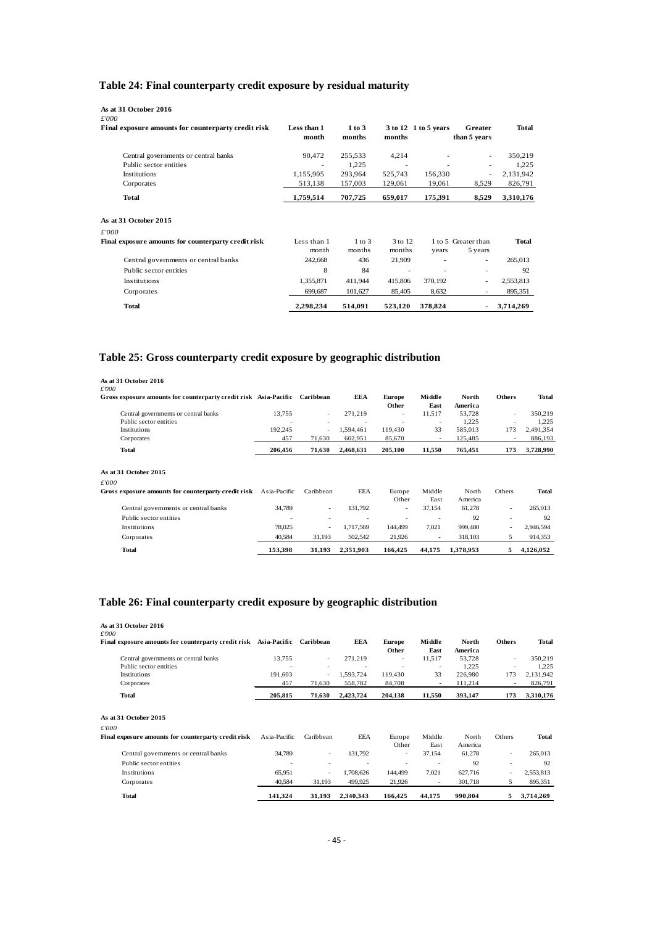## **Table 24: Final counterparty credit exposure by residual maturity**

| As at 31 October 2016<br>£'000<br>Final exposure amounts for counterparty credit risk | Less than 1<br>month | $1$ to $3$<br>months | months            | 3 to 12 1 to 5 years | Greater<br>than 5 years        | <b>Total</b> |
|---------------------------------------------------------------------------------------|----------------------|----------------------|-------------------|----------------------|--------------------------------|--------------|
|                                                                                       |                      |                      |                   |                      |                                |              |
| Central governments or central banks                                                  | 90,472               | 255,533              | 4,214             |                      | $\overline{\phantom{a}}$       | 350,219      |
| Public sector entities                                                                | ٠                    | 1.225                | ٠                 | ٠                    | ٠                              | 1,225        |
| <b>Institutions</b>                                                                   | 1,155,905            | 293,964              | 525,743           | 156,330              | ٠                              | 2,131,942    |
| Corporates                                                                            | 513,138              | 157,003              | 129,061           | 19,061               | 8,529                          | 826,791      |
| Total                                                                                 | 1,759,514            | 707,725              | 659,017           | 175,391              | 8,529                          | 3,310,176    |
| As at 31 October 2015                                                                 |                      |                      |                   |                      |                                |              |
| £'000                                                                                 |                      |                      |                   |                      |                                |              |
| Final exposure amounts for counterparty credit risk                                   | Less than 1<br>month | $1$ to $3$<br>months | 3 to 12<br>months | years                | 1 to 5 Greater than<br>5 years | <b>Total</b> |
| Central governments or central banks                                                  | 242,668              | 436                  | 21,909            |                      | $\sim$                         | 265,013      |
| Public sector entities                                                                | 8                    | 84                   | $\sim$            | ۰                    |                                | 92           |
| Institutions                                                                          | 1,355,871            | 411,944              | 415,806           | 370,192              | $\overline{\phantom{a}}$       | 2,553,813    |
| Corporates                                                                            | 699,687              | 101,627              | 85,405            | 8,632                |                                | 895,351      |
| <b>Total</b>                                                                          | 2.298.234            | 514.091              | 523,120           | 378,824              | $\sim$                         | 3,714,269    |

## **Table 25: Gross counterparty credit exposure by geographic distribution**

| As at 31 October 2016                                                      |              |           |            |               |        |           |                          |              |
|----------------------------------------------------------------------------|--------------|-----------|------------|---------------|--------|-----------|--------------------------|--------------|
| £'000                                                                      |              |           |            |               |        |           |                          |              |
| Gross exposure amounts for counterparty credit risk Asia-Pacific Caribbean |              |           | <b>EEA</b> | <b>Europe</b> | Middle | North     | <b>Others</b>            | <b>Total</b> |
|                                                                            |              |           |            | Other         | East   | America   |                          |              |
| Central governments or central banks                                       | 13,755       | $\sim$    | 271,219    | ۰             | 11,517 | 53,728    | ٠                        | 350,219      |
| Public sector entities                                                     |              |           |            |               | ٠      | 1,225     | ٠                        | 1,225        |
| Institutions                                                               | 192,245      | ٠         | 1,594,461  | 119,430       | 33     | 585,013   | 173                      | 2,491,354    |
| Corporates                                                                 | 457          | 71,630    | 602,951    | 85,670        | ٠      | 125,485   | ۰                        | 886,193      |
| Total                                                                      | 206,456      | 71,630    | 2,468,631  | 205,100       | 11,550 | 765,451   | 173                      | 3,728,990    |
|                                                                            |              |           |            |               |        |           |                          |              |
| As at 31 October 2015                                                      |              |           |            |               |        |           |                          |              |
| £'000                                                                      |              |           |            |               |        |           |                          |              |
| Gross exposure amounts for counterparty credit risk                        | Asia-Pacific | Caribbean | EEA        | Europe        | Middle | North     | Others                   | <b>Total</b> |
|                                                                            |              |           |            | Other         | East   | America   |                          |              |
| Central governments or central banks                                       | 34,789       | ٠         | 131,792    | ٠             | 37,154 | 61,278    | $\overline{\phantom{a}}$ | 265,013      |
| Public sector entities                                                     | -            | ٠         | ٠          |               |        | 92        | $\overline{\phantom{a}}$ | 92           |
| Institutions                                                               | 78,025       | ٠         | 1,717,569  | 144,499       | 7,021  | 999,480   |                          | 2,946,594    |
| Corporates                                                                 | 40,584       | 31,193    | 502,542    | 21,926        |        | 318,103   | 5                        | 914,353      |
| <b>Total</b>                                                               | 153.398      | 31.193    | 2.351.903  | 166.425       | 44.175 | 1,378,953 | 5                        | 4,126,052    |

## **Table 26: Final counterparty credit exposure by geographic distribution**

| As at 31 October 2016<br>£'000                                   |              |           |            |               |                          |         |                          |              |
|------------------------------------------------------------------|--------------|-----------|------------|---------------|--------------------------|---------|--------------------------|--------------|
| Final exposure amounts for counterparty credit risk Asia-Pacific |              | Caribbean | <b>EEA</b> | <b>Europe</b> | Middle                   | North   | <b>Others</b>            | <b>Total</b> |
|                                                                  |              |           |            | Other         | East                     | America |                          |              |
| Central governments or central banks                             | 13,755       | $\sim$    | 271,219    | $\sim$        | 11,517                   | 53,728  | $\sim$                   | 350,219      |
| Public sector entities                                           |              |           |            |               | $\overline{\phantom{a}}$ | 1,225   | ٠                        | 1,225        |
| Institutions                                                     | 191,603      |           | 1,593,724  | 119,430       | 33                       | 226,980 | 173                      | 2,131,942    |
| Corporates                                                       | 457          | 71,630    | 558,782    | 84,708        | ÷.                       | 111,214 | ٠                        | 826,791      |
| Total                                                            | 205,815      | 71,630    | 2,423,724  | 204,138       | 11,550                   | 393,147 | 173                      | 3,310,176    |
| As at 31 October 2015<br>£'000                                   |              |           |            |               |                          |         |                          |              |
| Final exposure amounts for counterparty credit risk              | Asia-Pacific | Caribbean | EEA        | Europe        | Middle                   | North   | Others                   | Total        |
|                                                                  |              |           |            | Other         | East                     | America |                          |              |
| Central governments or central banks                             | 34,789       | ٠         | 131,792    | ٠             | 37,154                   | 61,278  | $\overline{\phantom{a}}$ | 265,013      |
| Public sector entities                                           |              | ٠         |            |               |                          | 92      |                          | 92           |
| Institutions                                                     | 65,951       | ٠         | 1,708,626  | 144,499       | 7,021                    | 627,716 |                          | 2,553,813    |
| Corporates                                                       | 40,584       | 31,193    | 499,925    | 21,926        |                          | 301,718 | 5                        | 895,351      |
| <b>Total</b>                                                     | 141,324      | 31,193    | 2,340,343  | 166,425       | 44,175                   | 990.804 | 5                        | 3,714,269    |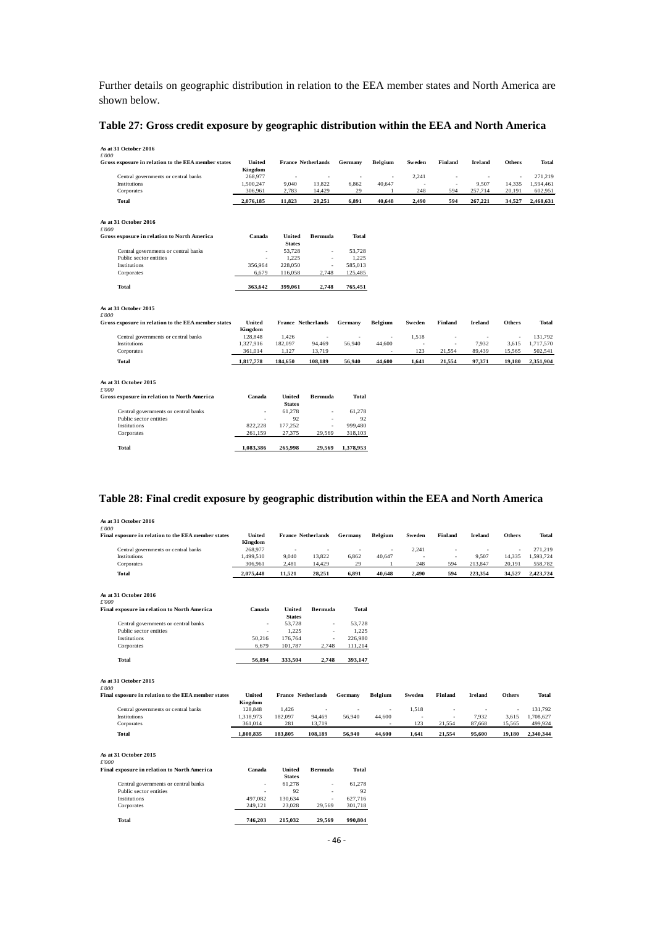Further details on geographic distribution in relation to the EEA member states and North America are shown below.

#### **Table 27: Gross credit exposure by geographic distribution within the EEA and North America**

| As at 31 October 2016<br>£'000                      |                   |                         |                           |           |                          |                          |                          |                |               |           |
|-----------------------------------------------------|-------------------|-------------------------|---------------------------|-----------|--------------------------|--------------------------|--------------------------|----------------|---------------|-----------|
| Gross exposure in relation to the EEA member states | United            |                         | <b>France Netherlands</b> | Germany   | Belgium                  | Sweden                   | Finland                  | <b>Ireland</b> | <b>Others</b> | Total     |
|                                                     | Kingdom           |                         |                           |           |                          |                          |                          |                |               |           |
| Central governments or central banks                | 268,977           | $\sim$                  | ٠                         | ٠         | $\overline{\phantom{a}}$ | 2,241                    | $\overline{\phantom{a}}$ | $\sim$         | ä,            | 271,219   |
| Institutions                                        | 1,500,247         | 9,040                   | 13,822                    | 6,862     | 40,647                   | ÷.                       | ×.                       | 9,507          | 14,335        | 1,594,461 |
| Corporates                                          | 306,961           | 2,783                   | 14,429                    | 29        | 1                        | 248                      | 594                      | 257,714        | 20,191        | 602,951   |
| <b>Total</b>                                        | 2,076,185         | 11,823                  | 28,251                    | 6,891     | 40,648                   | 2.490                    | 594                      | 267,221        | 34,527        | 2,468,631 |
| As at 31 October 2016                               |                   |                         |                           |           |                          |                          |                          |                |               |           |
| £'000                                               |                   |                         |                           |           |                          |                          |                          |                |               |           |
| Gross exposure in relation to North America         | Canada            | United                  | <b>Bermuda</b>            | Total     |                          |                          |                          |                |               |           |
|                                                     |                   | <b>States</b>           |                           |           |                          |                          |                          |                |               |           |
| Central governments or central banks                | ٠                 | 53,728                  | $\overline{\phantom{a}}$  | 53,728    |                          |                          |                          |                |               |           |
| Public sector entities                              | ÷.                | 1,225                   | $\sim$                    | 1,225     |                          |                          |                          |                |               |           |
| Institutions                                        | 356,964           | 228,050                 | ×                         | 585,013   |                          |                          |                          |                |               |           |
| Corporates                                          | 6,679             | 116,058                 | 2,748                     | 125,485   |                          |                          |                          |                |               |           |
| <b>Total</b>                                        | 363,642           | 399,061                 | 2,748                     | 765,451   |                          |                          |                          |                |               |           |
| As at 31 October 2015<br>£'000                      |                   |                         |                           |           |                          |                          |                          |                |               |           |
| Gross exposure in relation to the EEA member states | United<br>Kingdom |                         | France Netherlands        | Germany   | Belgium                  | Sweden                   | Finland                  | <b>Ireland</b> | <b>Others</b> | Total     |
| Central governments or central banks                | 128,848           | 1,426                   | ٠                         | ٠         | $\sim$                   | 1,518                    | $\overline{\phantom{a}}$ | $\sim$         | ٠             | 131,792   |
| Institutions                                        | 1,327,916         | 182,097                 | 94,469                    | 56,940    | 44,600                   | $\overline{\phantom{a}}$ | ×                        | 7,932          | 3,615         | 1,717,570 |
| Corporates                                          | 361,014           | 1,127                   | 13,719                    |           | ٠                        | 123                      | 21,554                   | 89,439         | 15,565        | 502,541   |
| <b>Total</b>                                        | 1,817,778         | 184,650                 | 108,189                   | 56,940    | 44,600                   | 1,641                    | 21,554                   | 97,371         | 19,180        | 2,351,904 |
| As at 31 October 2015                               |                   |                         |                           |           |                          |                          |                          |                |               |           |
| £'000                                               |                   |                         |                           |           |                          |                          |                          |                |               |           |
| Gross exposure in relation to North America         | Canada            | United<br><b>States</b> | <b>Bermuda</b>            | Total     |                          |                          |                          |                |               |           |
| Central governments or central banks                | ٠                 | 61,278                  | ä,                        | 61,278    |                          |                          |                          |                |               |           |
| Public sector entities                              | ä,                | 92                      | ÷.                        | 92        |                          |                          |                          |                |               |           |
| Institutions                                        | 822,228           | 177,252                 | ×,                        | 999,480   |                          |                          |                          |                |               |           |
| Corporates                                          | 261,159           | 27,375                  | 29,569                    | 318,103   |                          |                          |                          |                |               |           |
| <b>Total</b>                                        | 1,083,386         | 265,998                 | 29,569                    | 1,378,953 |                          |                          |                          |                |               |           |
|                                                     |                   |                         |                           |           |                          |                          |                          |                |               |           |

## **Table 28: Final credit exposure by geographic distribution within the EEA and North America**

| As at 31 October 2016                                                |                   |                           |                           |                          |                          |                          |                          |                |                          |           |
|----------------------------------------------------------------------|-------------------|---------------------------|---------------------------|--------------------------|--------------------------|--------------------------|--------------------------|----------------|--------------------------|-----------|
| $\pounds 000$<br>Final exposure in relation to the EEA member states | United<br>Kingdom |                           | <b>France Netherlands</b> | Germany                  | Belgium                  | Sweden                   | Finland                  | Ireland        | <b>Others</b>            | Total     |
| Central governments or central banks                                 | 268,977           | ٠                         | $\sim$                    | ٠                        | $\overline{\phantom{a}}$ | 2,241                    | $\overline{\phantom{a}}$ | ٠              | ×,                       | 271,219   |
| Institutions                                                         | 1,499,510         | 9,040                     | 13,822                    | 6,862                    | 40,647                   | ä,                       | J.                       | 9,507          | 14,335                   | 1,593,724 |
| Corporates                                                           | 306,961           | 2,481                     | 14,429                    | 29                       | 1                        | 248                      | 594                      | 213,847        | 20,191                   | 558,782   |
| Total                                                                | 2,075,448         | 11,521                    | 28,251                    | 6,891                    | 40,648                   | 2,490                    | 594                      | 223,354        | 34,527                   | 2,423,724 |
| As at 31 October 2016                                                |                   |                           |                           |                          |                          |                          |                          |                |                          |           |
| £'000                                                                |                   |                           |                           |                          |                          |                          |                          |                |                          |           |
| Final exposure in relation to North America                          | Canada            | United<br><b>States</b>   | <b>Bermuda</b>            | Total                    |                          |                          |                          |                |                          |           |
| Central governments or central banks                                 | ä,                | 53,728                    | ٠                         | 53,728                   |                          |                          |                          |                |                          |           |
| Public sector entities                                               | ×                 | 1,225                     | ×,                        | 1,225                    |                          |                          |                          |                |                          |           |
| Institutions                                                         | 50.216            | 176,764                   | ×,                        | 226,980                  |                          |                          |                          |                |                          |           |
| Corporates                                                           | 6,679             | 101,787                   | 2,748                     | 111,214                  |                          |                          |                          |                |                          |           |
| Total                                                                | 56,894            | 333,504                   | 2,748                     | 393,147                  |                          |                          |                          |                |                          |           |
| As at 31 October 2015                                                |                   |                           |                           |                          |                          |                          |                          |                |                          |           |
| £'000                                                                |                   |                           |                           |                          |                          |                          |                          |                |                          |           |
| Final exposure in relation to the EEA member states                  | United            | <b>France Netherlands</b> |                           | Germany                  | Belgium                  | Sweden                   | Finland                  | <b>Ireland</b> | <b>Others</b>            | Total     |
|                                                                      | Kingdom           |                           |                           |                          |                          |                          |                          |                |                          |           |
| Central governments or central banks                                 | 128,848           | 1,426                     | $\overline{\phantom{a}}$  | $\overline{\phantom{a}}$ | ٠                        | 1,518                    | $\overline{\phantom{a}}$ | $\sim$         | $\overline{\phantom{a}}$ | 131,792   |
| Institutions                                                         | 1,318,973         | 182,097                   | 94,469                    | 56,940                   | 44,600                   | $\overline{\phantom{a}}$ | $\overline{\phantom{a}}$ | 7,932          | 3,615                    | 1,708,627 |
| Corporates                                                           | 361,014           | 281                       | 13,719                    |                          |                          | 123                      | 21,554                   | 87,668         | 15,565                   | 499,924   |
| Total                                                                | 1.808.835         | 183,805                   | 108.189                   | 56.940                   | 44.600                   | 1,641                    | 21,554                   | 95,600         | 19.180                   | 2,340,344 |
| As at 31 October 2015                                                |                   |                           |                           |                          |                          |                          |                          |                |                          |           |
| £'000                                                                |                   |                           |                           |                          |                          |                          |                          |                |                          |           |
| Final exposure in relation to North America                          | Canada            | United<br><b>States</b>   | <b>Bermuda</b>            | <b>Total</b>             |                          |                          |                          |                |                          |           |
| Central governments or central banks                                 | $\sim$            | 61,278                    | $\sim$                    | 61,278                   |                          |                          |                          |                |                          |           |
| Public sector entities                                               |                   | 92                        | $\overline{\phantom{a}}$  | 92                       |                          |                          |                          |                |                          |           |
| Institutions                                                         | 497.082           | 130,634                   | ä,                        | 627,716                  |                          |                          |                          |                |                          |           |
| Corporates                                                           | 249,121           | 23,028                    | 29,569                    | 301,718                  |                          |                          |                          |                |                          |           |
| <b>Total</b>                                                         | 746,203           | 215,032                   | 29,569                    | 990.804                  |                          |                          |                          |                |                          |           |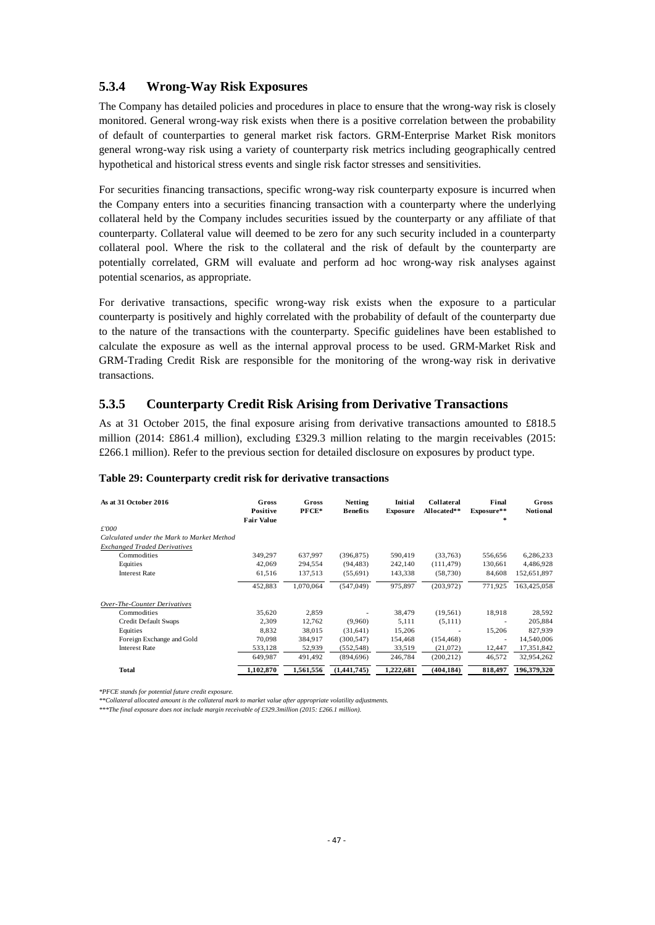## **5.3.4 Wrong-Way Risk Exposures**

The Company has detailed policies and procedures in place to ensure that the wrong-way risk is closely monitored. General wrong-way risk exists when there is a positive correlation between the probability of default of counterparties to general market risk factors. GRM-Enterprise Market Risk monitors general wrong-way risk using a variety of counterparty risk metrics including geographically centred hypothetical and historical stress events and single risk factor stresses and sensitivities.

For securities financing transactions, specific wrong-way risk counterparty exposure is incurred when the Company enters into a securities financing transaction with a counterparty where the underlying collateral held by the Company includes securities issued by the counterparty or any affiliate of that counterparty. Collateral value will deemed to be zero for any such security included in a counterparty collateral pool. Where the risk to the collateral and the risk of default by the counterparty are potentially correlated, GRM will evaluate and perform ad hoc wrong-way risk analyses against potential scenarios, as appropriate.

For derivative transactions, specific wrong-way risk exists when the exposure to a particular counterparty is positively and highly correlated with the probability of default of the counterparty due to the nature of the transactions with the counterparty. Specific guidelines have been established to calculate the exposure as well as the internal approval process to be used. GRM-Market Risk and GRM-Trading Credit Risk are responsible for the monitoring of the wrong-way risk in derivative transactions.

#### **5.3.5 Counterparty Credit Risk Arising from Derivative Transactions**

As at 31 October 2015, the final exposure arising from derivative transactions amounted to £818.5 million (2014: £861.4 million), excluding £329.3 million relating to the margin receivables (2015: £266.1 million). Refer to the previous section for detailed disclosure on exposures by product type.

| As at 31 October 2016                      | Gross<br><b>Positive</b><br><b>Fair Value</b> | Gross<br>PFCE* | <b>Netting</b><br><b>Benefits</b> | Initial<br><b>Exposure</b> | <b>Collateral</b><br>Allocated** | Final<br>Exposure**<br>$\frac{1}{2}$ | Gross<br><b>Notional</b> |
|--------------------------------------------|-----------------------------------------------|----------------|-----------------------------------|----------------------------|----------------------------------|--------------------------------------|--------------------------|
| £'000                                      |                                               |                |                                   |                            |                                  |                                      |                          |
| Calculated under the Mark to Market Method |                                               |                |                                   |                            |                                  |                                      |                          |
| <b>Exchanged Traded Derivatives</b>        |                                               |                |                                   |                            |                                  |                                      |                          |
| Commodities                                | 349,297                                       | 637,997        | (396, 875)                        | 590,419                    | (33,763)                         | 556,656                              | 6,286,233                |
| Equities                                   | 42,069                                        | 294,554        | (94, 483)                         | 242,140                    | (111, 479)                       | 130,661                              | 4,486,928                |
| <b>Interest Rate</b>                       | 61,516                                        | 137,513        | (55,691)                          | 143,338                    | (58, 730)                        | 84,608                               | 152,651,897              |
|                                            | 452,883                                       | 1.070.064      | (547, 049)                        | 975.897                    | (203,972)                        | 771.925                              | 163,425,058              |
| Over-The-Counter Derivatives               |                                               |                |                                   |                            |                                  |                                      |                          |
| Commodities                                | 35,620                                        | 2,859          |                                   | 38,479                     | (19, 561)                        | 18,918                               | 28,592                   |
| Credit Default Swaps                       | 2.309                                         | 12,762         | (9.960)                           | 5.111                      | (5,111)                          | $\overline{\phantom{a}}$             | 205,884                  |
| Equities                                   | 8.832                                         | 38,015         | (31,641)                          | 15.206                     | $\overline{\phantom{a}}$         | 15.206                               | 827.939                  |
| Foreign Exchange and Gold                  | 70,098                                        | 384,917        | (300, 547)                        | 154,468                    | (154, 468)                       | ٠                                    | 14,540,006               |
| <b>Interest Rate</b>                       | 533,128                                       | 52,939         | (552, 548)                        | 33,519                     | (21,072)                         | 12,447                               | 17,351,842               |
|                                            | 649.987                                       | 491.492        | (894, 696)                        | 246,784                    | (200, 212)                       | 46,572                               | 32,954,262               |
| <b>Total</b>                               | 1,102,870                                     | 1,561,556      | (1,441,745)                       | 1,222,681                  | (404.184)                        | 818.497                              | 196,379,320              |

#### **Table 29: Counterparty credit risk for derivative transactions**

*\*PFCE stands for potential future credit exposure.* 

*\*\*Collateral allocated amount is the collateral mark to market value after appropriate volatility adjustments.*

*\*\*\*The final exposure does not include margin receivable of £329.3million (2015: £266.1 million).*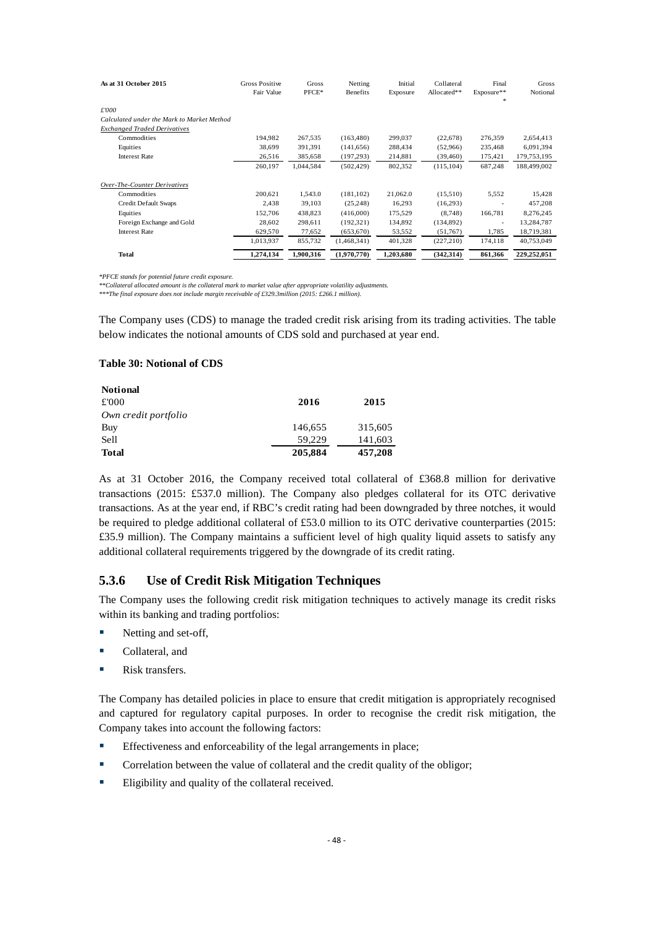| As at 31 October 2015                      | <b>Gross Positive</b><br>Fair Value | Gross<br>PFCE* | Netting<br><b>Benefits</b> | Initial<br>Exposure | Collateral<br>Allocated** | Final<br>Exposure**<br>* | Gross<br>Notional |
|--------------------------------------------|-------------------------------------|----------------|----------------------------|---------------------|---------------------------|--------------------------|-------------------|
| £'000                                      |                                     |                |                            |                     |                           |                          |                   |
| Calculated under the Mark to Market Method |                                     |                |                            |                     |                           |                          |                   |
| <b>Exchanged Traded Derivatives</b>        |                                     |                |                            |                     |                           |                          |                   |
| Commodities                                | 194,982                             | 267,535        | (163, 480)                 | 299,037             | (22,678)                  | 276,359                  | 2,654,413         |
| Equities                                   | 38,699                              | 391,391        | (141, 656)                 | 288,434             | (52,966)                  | 235,468                  | 6,091,394         |
| <b>Interest Rate</b>                       | 26,516                              | 385,658        | (197, 293)                 | 214,881             | (39, 460)                 | 175,421                  | 179,753,195       |
|                                            | 260,197                             | 1,044,584      | (502, 429)                 | 802,352             | (115, 104)                | 687,248                  | 188,499,002       |
| Over-The-Counter Derivatives               |                                     |                |                            |                     |                           |                          |                   |
| Commodities                                | 200,621                             | 1,543.0        | (181, 102)                 | 21,062.0            | (15,510)                  | 5,552                    | 15,428            |
| Credit Default Swaps                       | 2,438                               | 39,103         | (25, 248)                  | 16,293              | (16,293)                  |                          | 457,208           |
| Equities                                   | 152,706                             | 438,823        | (416,000)                  | 175,529             | (8,748)                   | 166,781                  | 8,276,245         |
| Foreign Exchange and Gold                  | 28,602                              | 298,611        | (192, 321)                 | 134,892             | (134,892)                 | $\overline{\phantom{a}}$ | 13,284,787        |
| <b>Interest Rate</b>                       | 629,570                             | 77,652         | (653, 670)                 | 53,552              | (51,767)                  | 1,785                    | 18,719,381        |
|                                            | 1,013,937                           | 855,732        | (1,468,341)                | 401,328             | (227, 210)                | 174.118                  | 40,753,049        |
| Total                                      | 1.274.134                           | 1.900.316      | (1,970,770)                | 1,203,680           | (342, 314)                | 861,366                  | 229,252,051       |

*\*PFCE stands for potential future credit exposure.* 

*\*\*Collateral allocated amount is the collateral mark to market value after appropriate volatility adjustments.*

*\*\*\*The final exposure does not include margin receivable of £329.3million (2015: £266.1 million).* 

The Company uses (CDS) to manage the traded credit risk arising from its trading activities. The table below indicates the notional amounts of CDS sold and purchased at year end.

#### **Table 30: Notional of CDS**

| <b>Notional</b>      |         |         |
|----------------------|---------|---------|
| £'000                | 2016    | 2015    |
| Own credit portfolio |         |         |
| Buy                  | 146,655 | 315,605 |
| Sell                 | 59.229  | 141,603 |
| <b>Total</b>         | 205,884 | 457,208 |

As at 31 October 2016, the Company received total collateral of £368.8 million for derivative transactions (2015: £537.0 million). The Company also pledges collateral for its OTC derivative transactions. As at the year end, if RBC's credit rating had been downgraded by three notches, it would be required to pledge additional collateral of £53.0 million to its OTC derivative counterparties (2015: £35.9 million). The Company maintains a sufficient level of high quality liquid assets to satisfy any additional collateral requirements triggered by the downgrade of its credit rating.

## **5.3.6 Use of Credit Risk Mitigation Techniques**

The Company uses the following credit risk mitigation techniques to actively manage its credit risks within its banking and trading portfolios:

- Netting and set-off,
- Collateral, and
- **Risk transfers.**

The Company has detailed policies in place to ensure that credit mitigation is appropriately recognised and captured for regulatory capital purposes. In order to recognise the credit risk mitigation, the Company takes into account the following factors:

- Effectiveness and enforceability of the legal arrangements in place;
- **Correlation between the value of collateral and the credit quality of the obligor;**
- Eligibility and quality of the collateral received.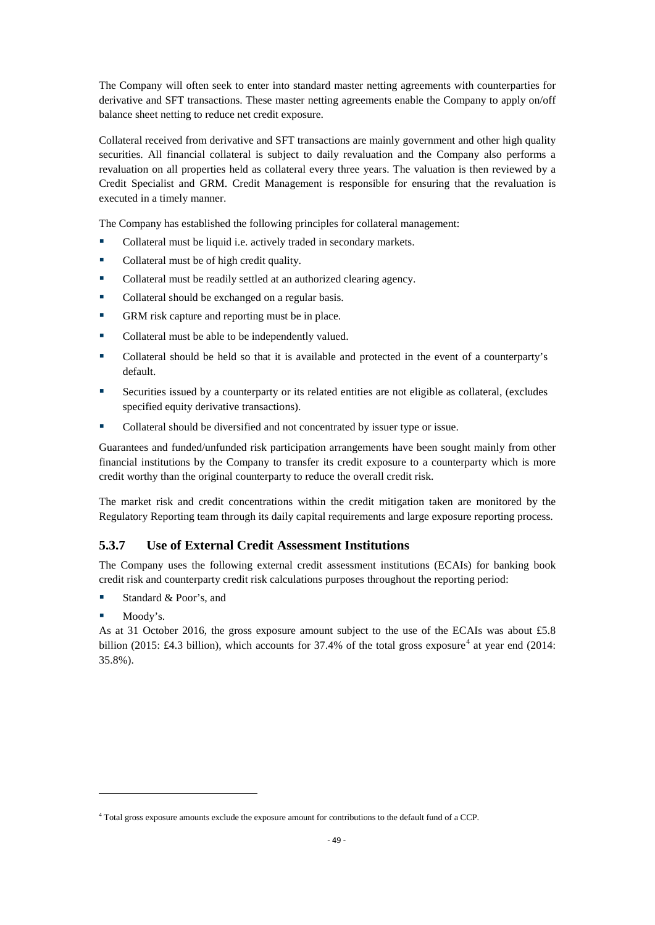The Company will often seek to enter into standard master netting agreements with counterparties for derivative and SFT transactions. These master netting agreements enable the Company to apply on/off balance sheet netting to reduce net credit exposure.

Collateral received from derivative and SFT transactions are mainly government and other high quality securities. All financial collateral is subject to daily revaluation and the Company also performs a revaluation on all properties held as collateral every three years. The valuation is then reviewed by a Credit Specialist and GRM. Credit Management is responsible for ensuring that the revaluation is executed in a timely manner.

The Company has established the following principles for collateral management:

- Collateral must be liquid i.e. actively traded in secondary markets.
- Collateral must be of high credit quality.
- Collateral must be readily settled at an authorized clearing agency.
- Collateral should be exchanged on a regular basis.
- GRM risk capture and reporting must be in place.
- Collateral must be able to be independently valued.
- Collateral should be held so that it is available and protected in the event of a counterparty's default.
- Securities issued by a counterparty or its related entities are not eligible as collateral, (excludes specified equity derivative transactions).
- Collateral should be diversified and not concentrated by issuer type or issue.

Guarantees and funded/unfunded risk participation arrangements have been sought mainly from other financial institutions by the Company to transfer its credit exposure to a counterparty which is more credit worthy than the original counterparty to reduce the overall credit risk.

The market risk and credit concentrations within the credit mitigation taken are monitored by the Regulatory Reporting team through its daily capital requirements and large exposure reporting process.

## **5.3.7 Use of External Credit Assessment Institutions**

The Company uses the following external credit assessment institutions (ECAIs) for banking book credit risk and counterparty credit risk calculations purposes throughout the reporting period:

- Standard & Poor's, and
- **Moody's.**

 $\overline{\phantom{a}}$ 

As at 31 October 2016, the gross exposure amount subject to the use of the ECAIs was about £5.8 billion (2015: £[4](#page-51-0).3 billion), which accounts for  $37.4\%$  of the total gross exposure<sup>4</sup> at year end (2014: 35.8%).

<span id="page-51-0"></span><sup>4</sup> Total gross exposure amounts exclude the exposure amount for contributions to the default fund of a CCP.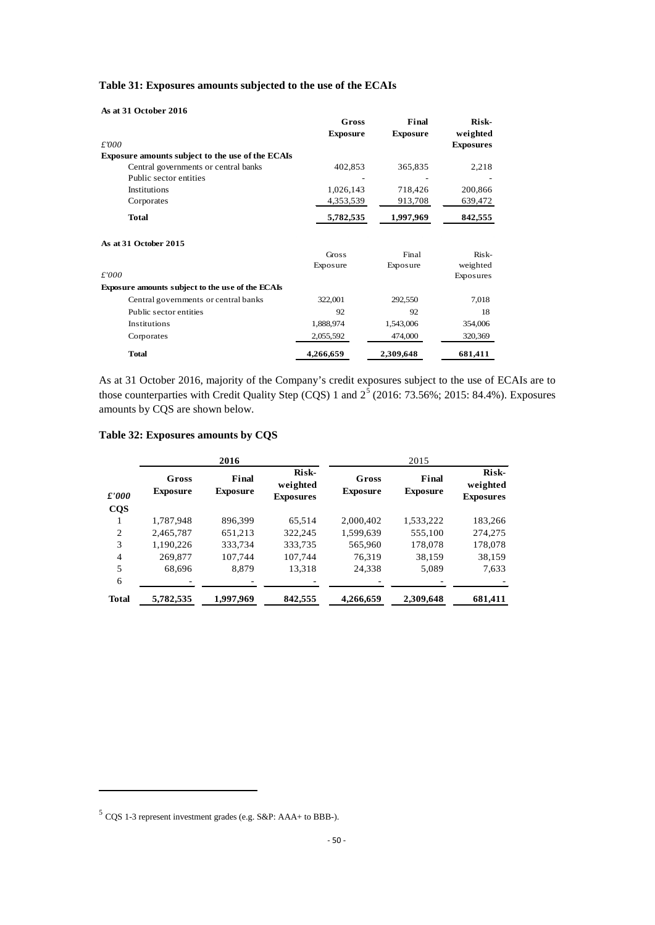|  | As at 31 October 2016 |  |
|--|-----------------------|--|
|  |                       |  |

|                                                         | Gross           | Final           | Risk-            |
|---------------------------------------------------------|-----------------|-----------------|------------------|
|                                                         | <b>Exposure</b> | <b>Exposure</b> | weighted         |
| £'000                                                   |                 |                 | <b>Exposures</b> |
| <b>Exposure amounts subject to the use of the ECAIs</b> |                 |                 |                  |
| Central governments or central banks                    | 402,853         | 365,835         | 2,218            |
| Public sector entities                                  |                 |                 |                  |
| Institutions                                            | 1,026,143       | 718,426         | 200,866          |
| Corporates                                              | 4,353,539       | 913,708         | 639,472          |
| <b>Total</b>                                            | 5,782,535       | 1,997,969       | 842,555          |
| As at 31 October 2015                                   |                 |                 |                  |
|                                                         | Gross           | Final           | Risk-            |
|                                                         | Exposure        | Exposure        | weighted         |
| £'000                                                   |                 |                 | Exposures        |
| Exposure amounts subject to the use of the ECAIs        |                 |                 |                  |
| Central governments or central banks                    | 322,001         | 292,550         | 7,018            |
| Public sector entities                                  | 92              | 92              | 18               |
| Institutions                                            | 1,888,974       | 1,543,006       | 354,006          |
| Corporates                                              | 2,055,592       | 474,000         | 320,369          |
| <b>Total</b>                                            | 4,266,659       | 2,309,648       | 681,411          |

As at 31 October 2016, majority of the Company's credit exposures subject to the use of ECAIs are to those counterparties with Credit Quality Step (CQS) 1 and  $2^5$  $2^5$  (2016: 73.56%; 2015: 84.4%). Exposures amounts by CQS are shown below.

|  | Table 32: Exposures amounts by CQS |  |  |  |
|--|------------------------------------|--|--|--|
|--|------------------------------------|--|--|--|

|                |                          | 2016                     |                                       |                          | 2015                     |                                       |
|----------------|--------------------------|--------------------------|---------------------------------------|--------------------------|--------------------------|---------------------------------------|
| $\pounds'000$  | Gross<br><b>Exposure</b> | Final<br><b>Exposure</b> | Risk-<br>weighted<br><b>Exposures</b> | Gross<br><b>Exposure</b> | Final<br><b>Exposure</b> | Risk-<br>weighted<br><b>Exposures</b> |
| $\cos$         |                          |                          |                                       |                          |                          |                                       |
|                | 1,787,948                | 896.399                  | 65.514                                | 2.000.402                | 1,533,222                | 183,266                               |
| $\overline{2}$ | 2,465,787                | 651,213                  | 322,245                               | 1,599,639                | 555,100                  | 274,275                               |
| 3              | 1.190.226                | 333.734                  | 333.735                               | 565.960                  | 178,078                  | 178,078                               |
| 4              | 269,877                  | 107.744                  | 107,744                               | 76.319                   | 38,159                   | 38,159                                |
| 5              | 68.696                   | 8.879                    | 13,318                                | 24,338                   | 5,089                    | 7,633                                 |
| 6              |                          |                          |                                       |                          |                          |                                       |
| <b>Total</b>   | 5,782,535                | 1,997,969                | 842,555                               | 4,266,659                | 2,309,648                | 681,411                               |

 $\overline{\phantom{a}}$ 

<span id="page-52-0"></span><sup>5</sup> CQS 1-3 represent investment grades (e.g. S&P: AAA+ to BBB-).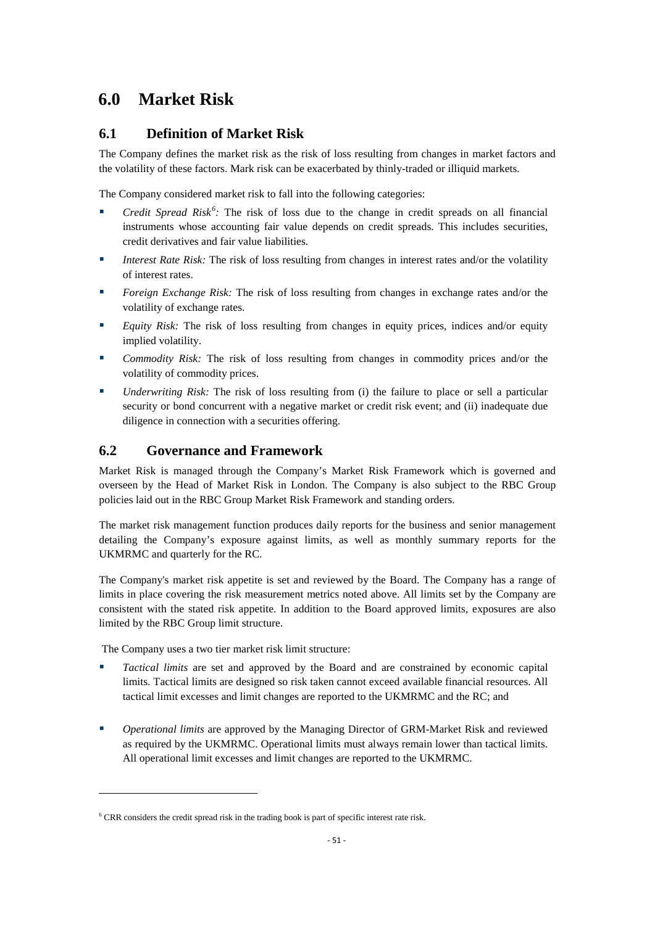## **6.0 Market Risk**

## **6.1 Definition of Market Risk**

The Company defines the market risk as the risk of loss resulting from changes in market factors and the volatility of these factors. Mark risk can be exacerbated by thinly-traded or illiquid markets.

The Company considered market risk to fall into the following categories:

- *Credit Spread Risk<sup>[6](#page-53-0)</sup>*: The risk of loss due to the change in credit spreads on all financial instruments whose accounting fair value depends on credit spreads. This includes securities, credit derivatives and fair value liabilities.
- *Interest Rate Risk:* The risk of loss resulting from changes in interest rates and/or the volatility of interest rates.
- **Foreign Exchange Risk:** The risk of loss resulting from changes in exchange rates and/or the volatility of exchange rates.
- **Equity Risk:** The risk of loss resulting from changes in equity prices, indices and/or equity implied volatility.
- *Commodity Risk:* The risk of loss resulting from changes in commodity prices and/or the volatility of commodity prices.
- *Underwriting Risk:* The risk of loss resulting from (i) the failure to place or sell a particular security or bond concurrent with a negative market or credit risk event; and (ii) inadequate due diligence in connection with a securities offering.

## **6.2 Governance and Framework**

Market Risk is managed through the Company's Market Risk Framework which is governed and overseen by the Head of Market Risk in London. The Company is also subject to the RBC Group policies laid out in the RBC Group Market Risk Framework and standing orders.

The market risk management function produces daily reports for the business and senior management detailing the Company's exposure against limits, as well as monthly summary reports for the UKMRMC and quarterly for the RC.

The Company's market risk appetite is set and reviewed by the Board. The Company has a range of limits in place covering the risk measurement metrics noted above. All limits set by the Company are consistent with the stated risk appetite. In addition to the Board approved limits, exposures are also limited by the RBC Group limit structure.

The Company uses a two tier market risk limit structure:

 $\overline{\phantom{a}}$ 

- *Tactical limits* are set and approved by the Board and are constrained by economic capital limits. Tactical limits are designed so risk taken cannot exceed available financial resources. All tactical limit excesses and limit changes are reported to the UKMRMC and the RC; and
- *Operational limits* are approved by the Managing Director of GRM-Market Risk and reviewed as required by the UKMRMC. Operational limits must always remain lower than tactical limits. All operational limit excesses and limit changes are reported to the UKMRMC.

<span id="page-53-0"></span><sup>&</sup>lt;sup>6</sup> CRR considers the credit spread risk in the trading book is part of specific interest rate risk.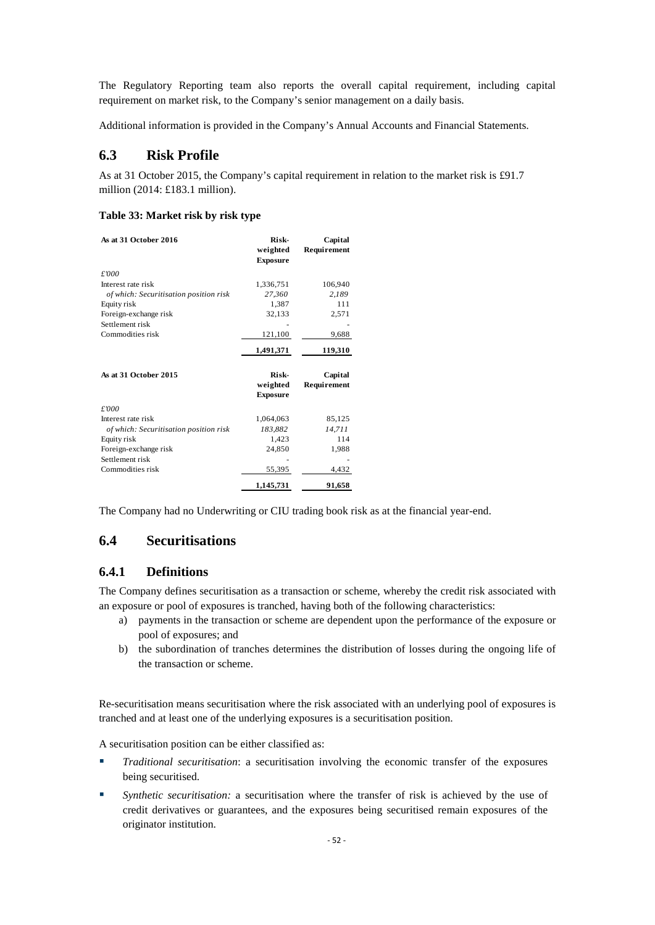The Regulatory Reporting team also reports the overall capital requirement, including capital requirement on market risk, to the Company's senior management on a daily basis.

Additional information is provided in the Company's Annual Accounts and Financial Statements.

## **6.3 Risk Profile**

As at 31 October 2015, the Company's capital requirement in relation to the market risk is £91.7 million (2014: £183.1 million).

#### **Table 33: Market risk by risk type**

| As at 31 October 2016                  | Risk-<br>weighted<br><b>Exposure</b> | Capital<br><b>Requirement</b> |
|----------------------------------------|--------------------------------------|-------------------------------|
| £'000                                  |                                      |                               |
| Interest rate risk                     | 1,336,751                            | 106,940                       |
| of which: Securitisation position risk | 27,360                               | 2,189                         |
| Equity risk                            | 1,387                                | 111                           |
| Foreign-exchange risk                  | 32,133                               | 2,571                         |
| Settlement risk                        |                                      |                               |
| Commodities risk                       | 121,100                              | 9,688                         |
|                                        | 1,491,371                            | 119,310                       |
| As at 31 October 2015                  | Risk-<br>weighted<br><b>Exposure</b> | Capital<br><b>Requirement</b> |
| £'000                                  |                                      |                               |
| Interest rate risk                     | 1,064,063                            | 85.125                        |
| of which: Securitisation position risk | 183,882                              | 14,711                        |
| Equity risk                            | 1.423                                | 114                           |
| Foreign-exchange risk                  | 24,850                               | 1,988                         |
| Settlement risk                        |                                      |                               |
|                                        |                                      |                               |
| Commodities risk                       | 55,395                               | 4,432                         |

The Company had no Underwriting or CIU trading book risk as at the financial year-end.

## **6.4 Securitisations**

## **6.4.1 Definitions**

The Company defines securitisation as a transaction or scheme, whereby the credit risk associated with an exposure or pool of exposures is tranched, having both of the following characteristics:

- a) payments in the transaction or scheme are dependent upon the performance of the exposure or pool of exposures; and
- b) the subordination of tranches determines the distribution of losses during the ongoing life of the transaction or scheme.

Re-securitisation means securitisation where the risk associated with an underlying pool of exposures is tranched and at least one of the underlying exposures is a securitisation position.

A securitisation position can be either classified as:

- *Traditional securitisation*: a securitisation involving the economic transfer of the exposures being securitised.
- *Synthetic securitisation:* a securitisation where the transfer of risk is achieved by the use of credit derivatives or guarantees, and the exposures being securitised remain exposures of the originator institution.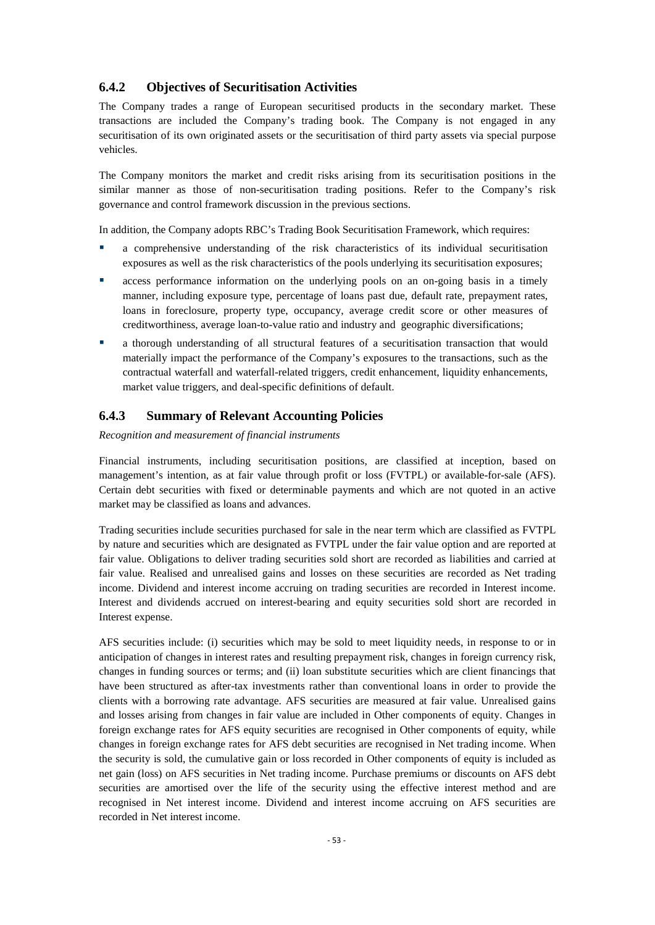#### **6.4.2 Objectives of Securitisation Activities**

The Company trades a range of European securitised products in the secondary market. These transactions are included the Company's trading book. The Company is not engaged in any securitisation of its own originated assets or the securitisation of third party assets via special purpose vehicles.

The Company monitors the market and credit risks arising from its securitisation positions in the similar manner as those of non-securitisation trading positions. Refer to the Company's risk governance and control framework discussion in the previous sections.

In addition, the Company adopts RBC's Trading Book Securitisation Framework, which requires:

- a comprehensive understanding of the risk characteristics of its individual securitisation exposures as well as the risk characteristics of the pools underlying its securitisation exposures;
- access performance information on the underlying pools on an on-going basis in a timely manner, including exposure type, percentage of loans past due, default rate, prepayment rates, loans in foreclosure, property type, occupancy, average credit score or other measures of creditworthiness, average loan-to-value ratio and industry and geographic diversifications;
- a thorough understanding of all structural features of a securitisation transaction that would materially impact the performance of the Company's exposures to the transactions, such as the contractual waterfall and waterfall-related triggers, credit enhancement, liquidity enhancements, market value triggers, and deal-specific definitions of default.

### **6.4.3 Summary of Relevant Accounting Policies**

*Recognition and measurement of financial instruments*

Financial instruments, including securitisation positions, are classified at inception, based on management's intention, as at fair value through profit or loss (FVTPL) or available-for-sale (AFS). Certain debt securities with fixed or determinable payments and which are not quoted in an active market may be classified as loans and advances.

Trading securities include securities purchased for sale in the near term which are classified as FVTPL by nature and securities which are designated as FVTPL under the fair value option and are reported at fair value. Obligations to deliver trading securities sold short are recorded as liabilities and carried at fair value. Realised and unrealised gains and losses on these securities are recorded as Net trading income. Dividend and interest income accruing on trading securities are recorded in Interest income. Interest and dividends accrued on interest-bearing and equity securities sold short are recorded in Interest expense.

AFS securities include: (i) securities which may be sold to meet liquidity needs, in response to or in anticipation of changes in interest rates and resulting prepayment risk, changes in foreign currency risk, changes in funding sources or terms; and (ii) loan substitute securities which are client financings that have been structured as after-tax investments rather than conventional loans in order to provide the clients with a borrowing rate advantage. AFS securities are measured at fair value. Unrealised gains and losses arising from changes in fair value are included in Other components of equity. Changes in foreign exchange rates for AFS equity securities are recognised in Other components of equity, while changes in foreign exchange rates for AFS debt securities are recognised in Net trading income. When the security is sold, the cumulative gain or loss recorded in Other components of equity is included as net gain (loss) on AFS securities in Net trading income. Purchase premiums or discounts on AFS debt securities are amortised over the life of the security using the effective interest method and are recognised in Net interest income. Dividend and interest income accruing on AFS securities are recorded in Net interest income.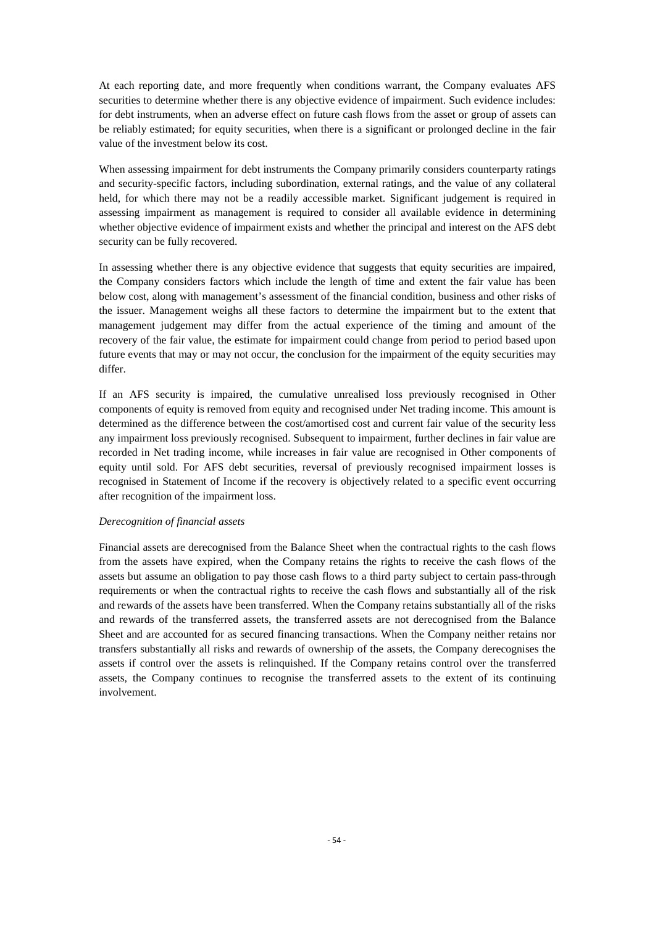At each reporting date, and more frequently when conditions warrant, the Company evaluates AFS securities to determine whether there is any objective evidence of impairment. Such evidence includes: for debt instruments, when an adverse effect on future cash flows from the asset or group of assets can be reliably estimated; for equity securities, when there is a significant or prolonged decline in the fair value of the investment below its cost.

When assessing impairment for debt instruments the Company primarily considers counterparty ratings and security-specific factors, including subordination, external ratings, and the value of any collateral held, for which there may not be a readily accessible market. Significant judgement is required in assessing impairment as management is required to consider all available evidence in determining whether objective evidence of impairment exists and whether the principal and interest on the AFS debt security can be fully recovered.

In assessing whether there is any objective evidence that suggests that equity securities are impaired, the Company considers factors which include the length of time and extent the fair value has been below cost, along with management's assessment of the financial condition, business and other risks of the issuer. Management weighs all these factors to determine the impairment but to the extent that management judgement may differ from the actual experience of the timing and amount of the recovery of the fair value, the estimate for impairment could change from period to period based upon future events that may or may not occur, the conclusion for the impairment of the equity securities may differ.

If an AFS security is impaired, the cumulative unrealised loss previously recognised in Other components of equity is removed from equity and recognised under Net trading income. This amount is determined as the difference between the cost/amortised cost and current fair value of the security less any impairment loss previously recognised. Subsequent to impairment, further declines in fair value are recorded in Net trading income, while increases in fair value are recognised in Other components of equity until sold. For AFS debt securities, reversal of previously recognised impairment losses is recognised in Statement of Income if the recovery is objectively related to a specific event occurring after recognition of the impairment loss.

#### *Derecognition of financial assets*

Financial assets are derecognised from the Balance Sheet when the contractual rights to the cash flows from the assets have expired, when the Company retains the rights to receive the cash flows of the assets but assume an obligation to pay those cash flows to a third party subject to certain pass-through requirements or when the contractual rights to receive the cash flows and substantially all of the risk and rewards of the assets have been transferred. When the Company retains substantially all of the risks and rewards of the transferred assets, the transferred assets are not derecognised from the Balance Sheet and are accounted for as secured financing transactions. When the Company neither retains nor transfers substantially all risks and rewards of ownership of the assets, the Company derecognises the assets if control over the assets is relinquished. If the Company retains control over the transferred assets, the Company continues to recognise the transferred assets to the extent of its continuing involvement.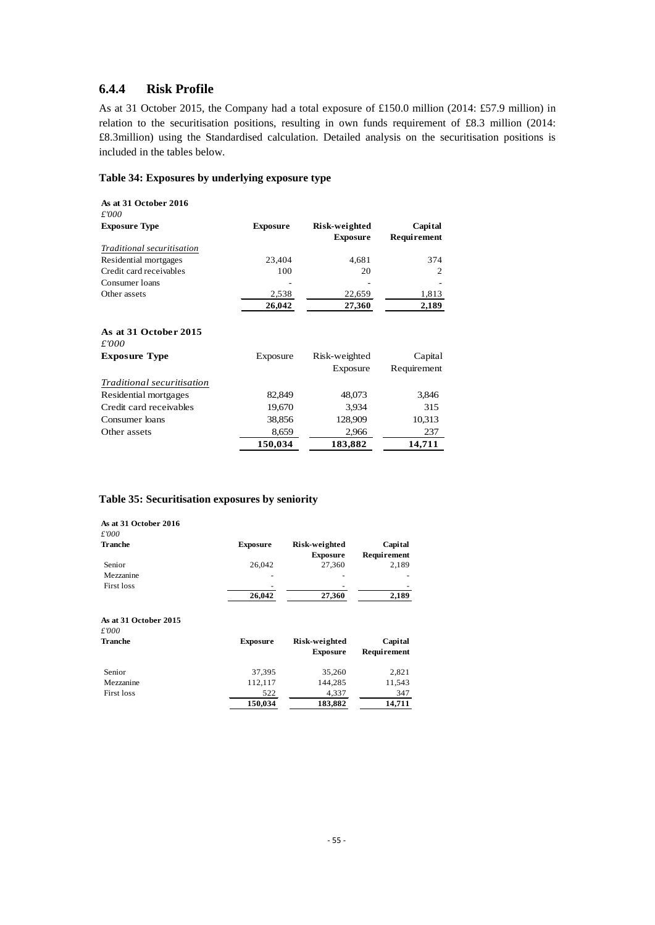## **6.4.4 Risk Profile**

As at 31 October 2015, the Company had a total exposure of £150.0 million (2014: £57.9 million) in relation to the securitisation positions, resulting in own funds requirement of £8.3 million (2014: £8.3million) using the Standardised calculation. Detailed analysis on the securitisation positions is included in the tables below.

#### **Table 34: Exposures by underlying exposure type**

| As at 31 October 2016<br>£'000 |                 |                                  |                               |
|--------------------------------|-----------------|----------------------------------|-------------------------------|
| <b>Exposure Type</b>           | <b>Exposure</b> | Risk-weighted<br><b>Exposure</b> | Capital<br><b>Requirement</b> |
| Traditional securitisation     |                 |                                  |                               |
| Residential mortgages          | 23,404          | 4,681                            | 374                           |
| Credit card receivables        | 100             | 20                               | 2                             |
| Consumer loans                 |                 |                                  |                               |
| Other assets                   | 2,538           | 22,659                           | 1,813                         |
|                                | 26,042          | 27,360                           | 2,189                         |
| As at 31 October 2015<br>£'000 |                 |                                  |                               |
| <b>Exposure Type</b>           | Exposure        | Risk-weighted                    | Capital                       |
|                                |                 | Exposure                         | Requirement                   |
| Traditional securitisation     |                 |                                  |                               |
| Residential mortgages          | 82,849          | 48,073                           | 3,846                         |
| Credit card receivables        | 19,670          | 3,934                            | 315                           |
| Consumer loans                 | 38,856          | 128,909                          | 10,313                        |
| Other assets                   | 8,659           | 2,966                            | 237                           |
|                                | 150,034         | 183,882                          | 14,711                        |

#### **Table 35: Securitisation exposures by seniority**

| As at 31 October 2016<br>£'000                   |                 |                                  |                        |
|--------------------------------------------------|-----------------|----------------------------------|------------------------|
| Tranche                                          | <b>Exposure</b> | Risk-weighted<br><b>Exposure</b> | Capital<br>Requirement |
| Senior                                           | 26,042          | 27,360                           | 2,189                  |
| Mezzanine                                        |                 |                                  |                        |
| <b>First loss</b>                                |                 |                                  |                        |
|                                                  | 26,042          | 27,360                           | 2,189                  |
| As at 31 October 2015<br>£'000<br><b>Tranche</b> | <b>Exposure</b> | Risk-weighted<br><b>Exposure</b> | Capital<br>Requirement |
| Senior                                           | 37,395          | 35,260                           | 2,821                  |
| Mezzanine                                        | 112,117         | 144,285                          | 11,543                 |
| <b>First loss</b>                                | 522             | 4,337                            | 347                    |
|                                                  | 150,034         | 183,882                          | 14,711                 |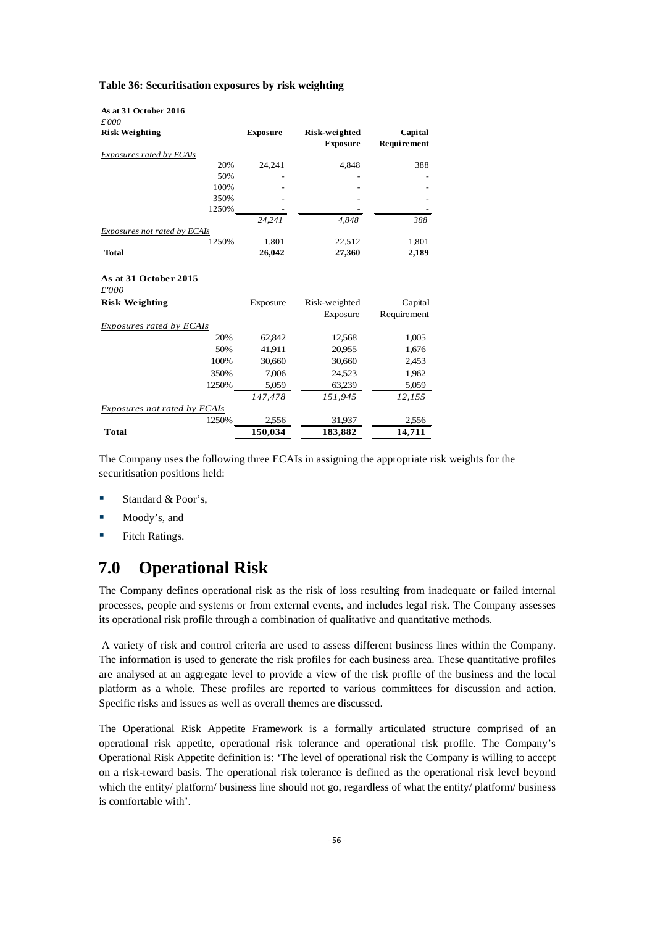| Table 36: Securitisation exposures by risk weighting |  |  |  |
|------------------------------------------------------|--|--|--|
|------------------------------------------------------|--|--|--|

| As at 31 October 2016           |                 |                                  |                               |
|---------------------------------|-----------------|----------------------------------|-------------------------------|
| £'000<br><b>Risk Weighting</b>  | <b>Exposure</b> | Risk-weighted<br><b>Exposure</b> | Capital<br><b>Requirement</b> |
| Exposures rated by ECAIs        |                 |                                  |                               |
| 20%                             | 24,241          | 4,848                            | 388                           |
| 50%                             |                 |                                  |                               |
| 100%                            |                 |                                  |                               |
| 350%                            |                 |                                  |                               |
| 1250%                           |                 |                                  |                               |
|                                 | 24.241          | 4,848                            | 388                           |
| Exposures not rated by ECAIs    |                 |                                  |                               |
| 1250%                           | 1,801           | 22,512                           | 1,801                         |
| Total                           | 26,042          | 27,360                           | 2,189                         |
| As at 31 October 2015<br>£'000  |                 |                                  |                               |
| <b>Risk Weighting</b>           | Exposure        | Risk-weighted                    | Capital                       |
|                                 |                 | Exposure                         | Requirement                   |
| <b>Exposures rated by ECAIs</b> |                 |                                  |                               |
| 20%                             | 62,842          | 12,568                           | 1,005                         |
| 50%                             | 41,911          | 20,955                           | 1,676                         |
| 100%                            | 30,660          | 30,660                           | 2,453                         |
| 350%                            | 7,006           | 24,523                           | 1,962                         |
| 1250%                           | 5,059           | 63,239                           | 5,059                         |
|                                 | 147,478         | 151,945                          | 12,155                        |
| Exposures not rated by ECAIs    |                 |                                  |                               |
| 1250%                           | 2,556           | 31,937                           | 2,556                         |
| Total                           | 150,034         | 183,882                          | 14,711                        |

The Company uses the following three ECAIs in assigning the appropriate risk weights for the securitisation positions held:

- Standard & Poor's,
- **Moody's, and**
- **Fitch Ratings.**

## **7.0 Operational Risk**

The Company defines operational risk as the risk of loss resulting from inadequate or failed internal processes, people and systems or from external events, and includes legal risk. The Company assesses its operational risk profile through a combination of qualitative and quantitative methods.

A variety of risk and control criteria are used to assess different business lines within the Company. The information is used to generate the risk profiles for each business area. These quantitative profiles are analysed at an aggregate level to provide a view of the risk profile of the business and the local platform as a whole. These profiles are reported to various committees for discussion and action. Specific risks and issues as well as overall themes are discussed.

The Operational Risk Appetite Framework is a formally articulated structure comprised of an operational risk appetite, operational risk tolerance and operational risk profile. The Company's Operational Risk Appetite definition is: 'The level of operational risk the Company is willing to accept on a risk-reward basis. The operational risk tolerance is defined as the operational risk level beyond which the entity/ platform/ business line should not go, regardless of what the entity/ platform/ business is comfortable with'.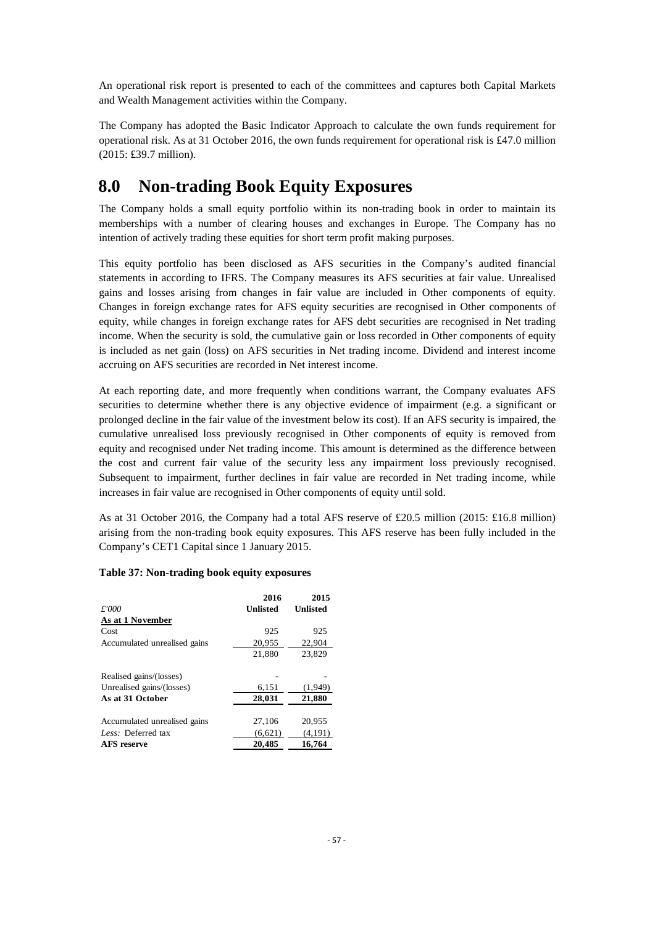An operational risk report is presented to each of the committees and captures both Capital Markets and Wealth Management activities within the Company.

The Company has adopted the Basic Indicator Approach to calculate the own funds requirement for operational risk. As at 31 October 2016, the own funds requirement for operational risk is £47.0 million (2015: £39.7 million).

## **8.0 Non-trading Book Equity Exposures**

The Company holds a small equity portfolio within its non-trading book in order to maintain its memberships with a number of clearing houses and exchanges in Europe. The Company has no intention of actively trading these equities for short term profit making purposes.

This equity portfolio has been disclosed as AFS securities in the Company's audited financial statements in according to IFRS. The Company measures its AFS securities at fair value. Unrealised gains and losses arising from changes in fair value are included in Other components of equity. Changes in foreign exchange rates for AFS equity securities are recognised in Other components of equity, while changes in foreign exchange rates for AFS debt securities are recognised in Net trading income. When the security is sold, the cumulative gain or loss recorded in Other components of equity is included as net gain (loss) on AFS securities in Net trading income. Dividend and interest income accruing on AFS securities are recorded in Net interest income.

At each reporting date, and more frequently when conditions warrant, the Company evaluates AFS securities to determine whether there is any objective evidence of impairment (e.g. a significant or prolonged decline in the fair value of the investment below its cost). If an AFS security is impaired, the cumulative unrealised loss previously recognised in Other components of equity is removed from equity and recognised under Net trading income. This amount is determined as the difference between the cost and current fair value of the security less any impairment loss previously recognised. Subsequent to impairment, further declines in fair value are recorded in Net trading income, while increases in fair value are recognised in Other components of equity until sold.

As at 31 October 2016, the Company had a total AFS reserve of £20.5 million (2015: £16.8 million) arising from the non-trading book equity exposures. This AFS reserve has been fully included in the Company's CET1 Capital since 1 January 2015.

#### **Table 37: Non-trading book equity exposures**

|                              | 2016     | 2015     |
|------------------------------|----------|----------|
| £'000                        | Unlisted | Unlisted |
| As at 1 November             |          |          |
| Cost                         | 925      | 925      |
| Accumulated unrealised gains | 20,955   | 22,904   |
|                              | 21,880   | 23,829   |
| Realised gains/(losses)      |          |          |
| Unrealised gains/(losses)    | 6,151    | (1,949)  |
| As at 31 October             | 28,031   | 21,880   |
| Accumulated unrealised gains | 27,106   | 20.955   |
| Less: Deferred tax           | (6,621)  | (4, 191) |
| <b>AFS</b> reserve           | 20.485   | 16.764   |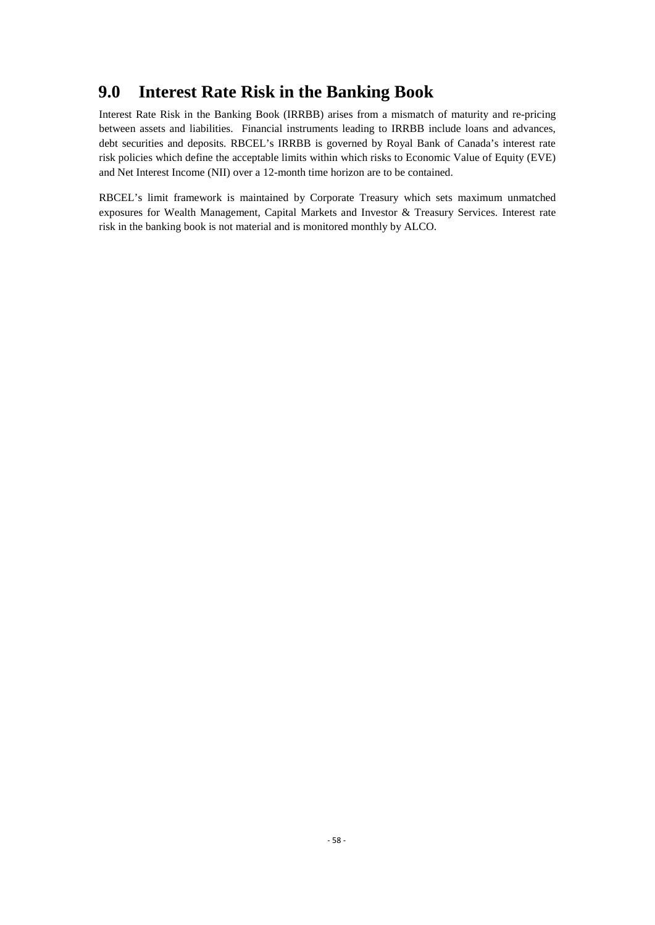## **9.0 Interest Rate Risk in the Banking Book**

Interest Rate Risk in the Banking Book (IRRBB) arises from a mismatch of maturity and re-pricing between assets and liabilities. Financial instruments leading to IRRBB include loans and advances, debt securities and deposits. RBCEL's IRRBB is governed by Royal Bank of Canada's interest rate risk policies which define the acceptable limits within which risks to Economic Value of Equity (EVE) and Net Interest Income (NII) over a 12-month time horizon are to be contained.

RBCEL's limit framework is maintained by Corporate Treasury which sets maximum unmatched exposures for Wealth Management, Capital Markets and Investor & Treasury Services. Interest rate risk in the banking book is not material and is monitored monthly by ALCO.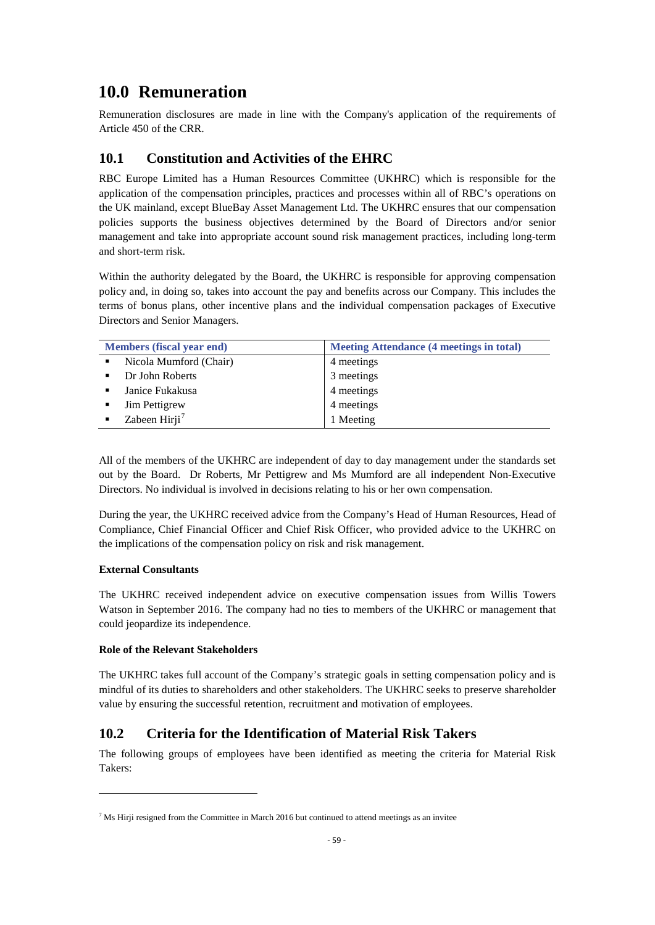## **10.0 Remuneration**

Remuneration disclosures are made in line with the Company's application of the requirements of Article 450 of the CRR.

## **10.1 Constitution and Activities of the EHRC**

RBC Europe Limited has a Human Resources Committee (UKHRC) which is responsible for the application of the compensation principles, practices and processes within all of RBC's operations on the UK mainland, except BlueBay Asset Management Ltd. The UKHRC ensures that our compensation policies supports the business objectives determined by the Board of Directors and/or senior management and take into appropriate account sound risk management practices, including long-term and short-term risk.

Within the authority delegated by the Board, the UKHRC is responsible for approving compensation policy and, in doing so, takes into account the pay and benefits across our Company. This includes the terms of bonus plans, other incentive plans and the individual compensation packages of Executive Directors and Senior Managers.

| <b>Members (fiscal year end)</b> |                           | <b>Meeting Attendance (4 meetings in total)</b> |
|----------------------------------|---------------------------|-------------------------------------------------|
|                                  | Nicola Mumford (Chair)    | 4 meetings                                      |
|                                  | Dr John Roberts           | 3 meetings                                      |
|                                  | Janice Fukakusa           | 4 meetings                                      |
|                                  | Jim Pettigrew             | 4 meetings                                      |
|                                  | Zabeen Hirji <sup>7</sup> | 1 Meeting                                       |

All of the members of the UKHRC are independent of day to day management under the standards set out by the Board. Dr Roberts, Mr Pettigrew and Ms Mumford are all independent Non-Executive Directors. No individual is involved in decisions relating to his or her own compensation.

During the year, the UKHRC received advice from the Company's Head of Human Resources, Head of Compliance, Chief Financial Officer and Chief Risk Officer, who provided advice to the UKHRC on the implications of the compensation policy on risk and risk management.

### **External Consultants**

 $\overline{\phantom{a}}$ 

The UKHRC received independent advice on executive compensation issues from Willis Towers Watson in September 2016. The company had no ties to members of the UKHRC or management that could jeopardize its independence.

#### **Role of the Relevant Stakeholders**

The UKHRC takes full account of the Company's strategic goals in setting compensation policy and is mindful of its duties to shareholders and other stakeholders. The UKHRC seeks to preserve shareholder value by ensuring the successful retention, recruitment and motivation of employees.

## **10.2 Criteria for the Identification of Material Risk Takers**

The following groups of employees have been identified as meeting the criteria for Material Risk Takers:

<span id="page-61-0"></span> $<sup>7</sup>$  Ms Hirji resigned from the Committee in March 2016 but continued to attend meetings as an invitee</sup>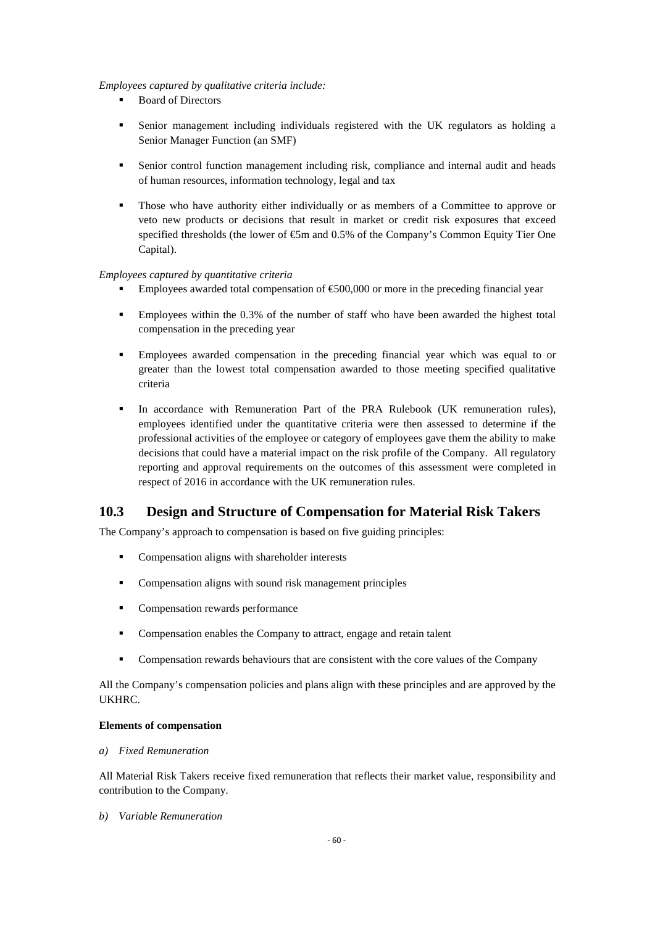#### *Employees captured by qualitative criteria include:*

- Board of Directors
- Senior management including individuals registered with the UK regulators as holding a Senior Manager Function (an SMF)
- Senior control function management including risk, compliance and internal audit and heads of human resources, information technology, legal and tax
- Those who have authority either individually or as members of a Committee to approve or veto new products or decisions that result in market or credit risk exposures that exceed specified thresholds (the lower of  $\mathfrak{S}$ m and 0.5% of the Company's Common Equity Tier One Capital).

#### *Employees captured by quantitative criteria*

- Employees awarded total compensation of  $\epsilon$ 600,000 or more in the preceding financial year
- Employees within the 0.3% of the number of staff who have been awarded the highest total compensation in the preceding year
- Employees awarded compensation in the preceding financial year which was equal to or greater than the lowest total compensation awarded to those meeting specified qualitative criteria
- In accordance with Remuneration Part of the PRA Rulebook (UK remuneration rules), employees identified under the quantitative criteria were then assessed to determine if the professional activities of the employee or category of employees gave them the ability to make decisions that could have a material impact on the risk profile of the Company. All regulatory reporting and approval requirements on the outcomes of this assessment were completed in respect of 2016 in accordance with the UK remuneration rules.

## **10.3 Design and Structure of Compensation for Material Risk Takers**

The Company's approach to compensation is based on five guiding principles:

- Compensation aligns with shareholder interests
- Compensation aligns with sound risk management principles
- Compensation rewards performance
- Compensation enables the Company to attract, engage and retain talent
- Compensation rewards behaviours that are consistent with the core values of the Company

All the Company's compensation policies and plans align with these principles and are approved by the UKHRC.

#### **Elements of compensation**

#### *a) Fixed Remuneration*

All Material Risk Takers receive fixed remuneration that reflects their market value, responsibility and contribution to the Company.

#### *b) Variable Remuneration*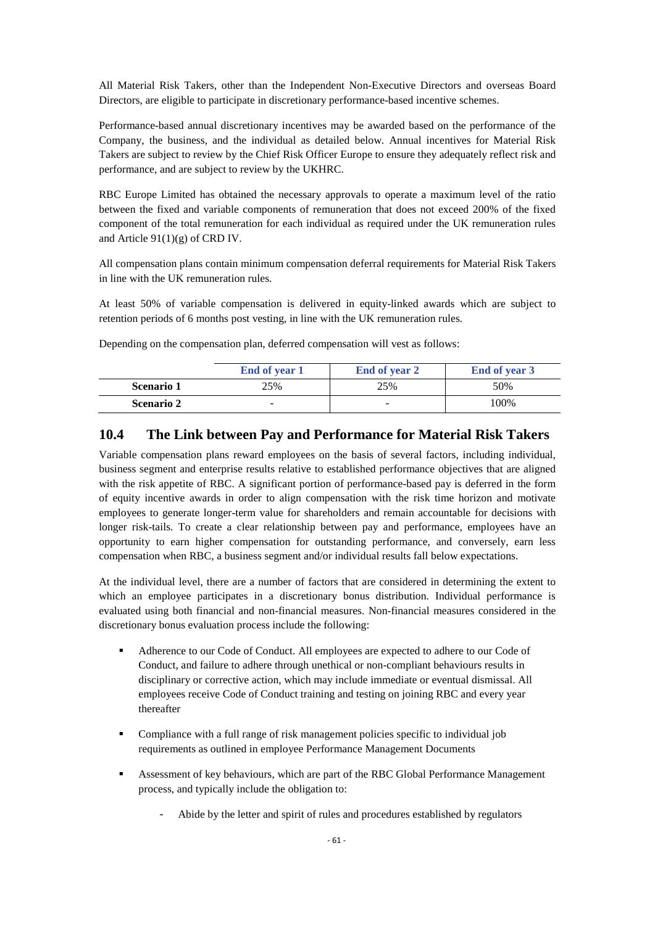All Material Risk Takers, other than the Independent Non-Executive Directors and overseas Board Directors, are eligible to participate in discretionary performance-based incentive schemes.

Performance-based annual discretionary incentives may be awarded based on the performance of the Company, the business, and the individual as detailed below. Annual incentives for Material Risk Takers are subject to review by the Chief Risk Officer Europe to ensure they adequately reflect risk and performance, and are subject to review by the UKHRC.

RBC Europe Limited has obtained the necessary approvals to operate a maximum level of the ratio between the fixed and variable components of remuneration that does not exceed 200% of the fixed component of the total remuneration for each individual as required under the UK remuneration rules and Article 91(1)(g) of CRD IV.

All compensation plans contain minimum compensation deferral requirements for Material Risk Takers in line with the UK remuneration rules.

At least 50% of variable compensation is delivered in equity-linked awards which are subject to retention periods of 6 months post vesting, in line with the UK remuneration rules.

Depending on the compensation plan, deferred compensation will vest as follows:

|                   | End of year 1 | <b>End of year 2</b> | End of year 3 |
|-------------------|---------------|----------------------|---------------|
| Scenario 1        | 25%           | 25%                  | 50%           |
| <b>Scenario 2</b> | -             |                      | 100%          |

## **10.4 The Link between Pay and Performance for Material Risk Takers**

Variable compensation plans reward employees on the basis of several factors, including individual, business segment and enterprise results relative to established performance objectives that are aligned with the risk appetite of RBC. A significant portion of performance-based pay is deferred in the form of equity incentive awards in order to align compensation with the risk time horizon and motivate employees to generate longer-term value for shareholders and remain accountable for decisions with longer risk-tails. To create a clear relationship between pay and performance, employees have an opportunity to earn higher compensation for outstanding performance, and conversely, earn less compensation when RBC, a business segment and/or individual results fall below expectations.

At the individual level, there are a number of factors that are considered in determining the extent to which an employee participates in a discretionary bonus distribution. Individual performance is evaluated using both financial and non-financial measures. Non-financial measures considered in the discretionary bonus evaluation process include the following:

- Adherence to our Code of Conduct. All employees are expected to adhere to our Code of Conduct, and failure to adhere through unethical or non-compliant behaviours results in disciplinary or corrective action, which may include immediate or eventual dismissal. All employees receive Code of Conduct training and testing on joining RBC and every year thereafter
- Compliance with a full range of risk management policies specific to individual job requirements as outlined in employee Performance Management Documents
- Assessment of key behaviours, which are part of the RBC Global Performance Management process, and typically include the obligation to:
	- Abide by the letter and spirit of rules and procedures established by regulators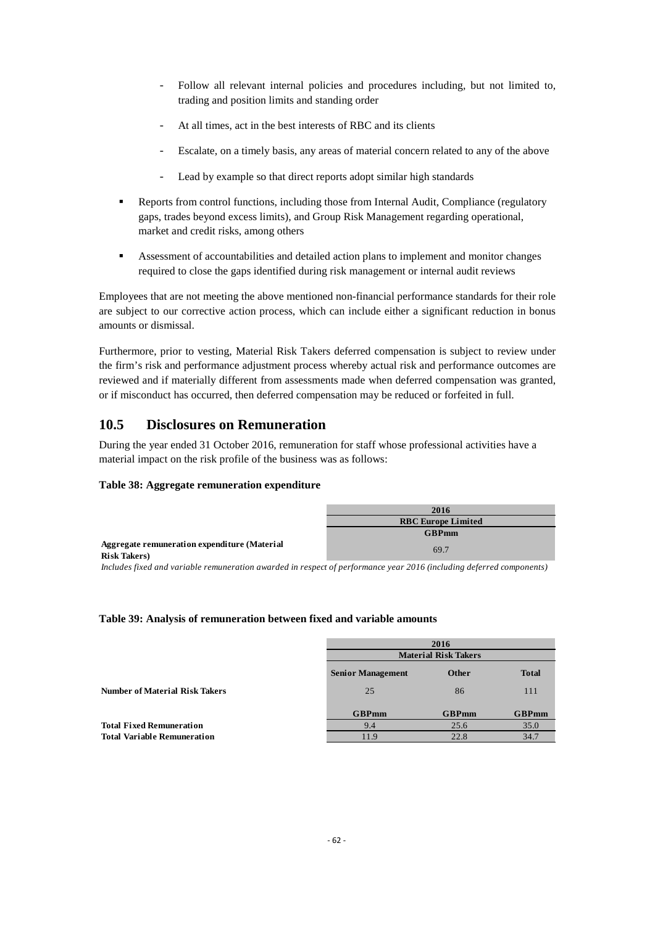- Follow all relevant internal policies and procedures including, but not limited to, trading and position limits and standing order
- At all times, act in the best interests of RBC and its clients
- Escalate, on a timely basis, any areas of material concern related to any of the above
- Lead by example so that direct reports adopt similar high standards
- Reports from control functions, including those from Internal Audit, Compliance (regulatory gaps, trades beyond excess limits), and Group Risk Management regarding operational, market and credit risks, among others
- Assessment of accountabilities and detailed action plans to implement and monitor changes required to close the gaps identified during risk management or internal audit reviews

Employees that are not meeting the above mentioned non-financial performance standards for their role are subject to our corrective action process, which can include either a significant reduction in bonus amounts or dismissal.

Furthermore, prior to vesting, Material Risk Takers deferred compensation is subject to review under the firm's risk and performance adjustment process whereby actual risk and performance outcomes are reviewed and if materially different from assessments made when deferred compensation was granted, or if misconduct has occurred, then deferred compensation may be reduced or forfeited in full.

## **10.5 Disclosures on Remuneration**

During the year ended 31 October 2016, remuneration for staff whose professional activities have a material impact on the risk profile of the business was as follows:

#### **Table 38: Aggregate remuneration expenditure**

|                                                                      | 2016                      |
|----------------------------------------------------------------------|---------------------------|
|                                                                      | <b>RBC Europe Limited</b> |
|                                                                      | <b>GBPmm</b>              |
| Aggregate remuneration expenditure (Material<br><b>Risk Takers</b> ) | 69.7                      |

*Includes fixed and variable remuneration awarded in respect of performance year 2016 (including deferred components)*

#### **Table 39: Analysis of remuneration between fixed and variable amounts**

|                                       |                             | 2016         |              |
|---------------------------------------|-----------------------------|--------------|--------------|
|                                       | <b>Material Risk Takers</b> |              |              |
|                                       | <b>Senior Management</b>    | <b>Other</b> | <b>Total</b> |
| <b>Number of Material Risk Takers</b> | 25                          | 86           | 111          |
|                                       | <b>GBPmm</b>                | <b>GBPmm</b> | <b>GBPmm</b> |
| <b>Total Fixed Remuneration</b>       | 9.4                         | 25.6         | 35.0         |
| <b>Total Variable Remuneration</b>    | 11.9                        | 22.8         | 34.7         |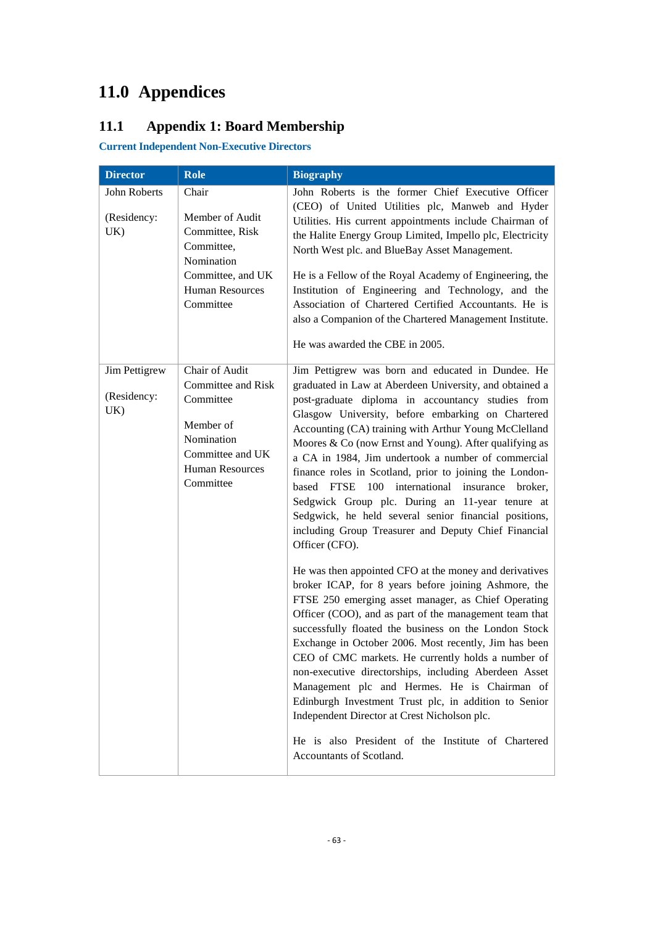# **11.0 Appendices**

## **11.1 Appendix 1: Board Membership**

**Current Independent Non-Executive Directors**

| <b>Director</b>                     | <b>Role</b>                                                                                                                                    | <b>Biography</b>                                                                                                                                                                                                                                                                                                                                                                                                                                                                                                                                                                                                                                                                                                                                                |
|-------------------------------------|------------------------------------------------------------------------------------------------------------------------------------------------|-----------------------------------------------------------------------------------------------------------------------------------------------------------------------------------------------------------------------------------------------------------------------------------------------------------------------------------------------------------------------------------------------------------------------------------------------------------------------------------------------------------------------------------------------------------------------------------------------------------------------------------------------------------------------------------------------------------------------------------------------------------------|
| John Roberts<br>(Residency:<br>UK)  | Chair<br>Member of Audit<br>Committee, Risk<br>Committee,<br>Nomination<br>Committee, and UK<br><b>Human Resources</b><br>Committee            | John Roberts is the former Chief Executive Officer<br>(CEO) of United Utilities plc, Manweb and Hyder<br>Utilities. His current appointments include Chairman of<br>the Halite Energy Group Limited, Impello plc, Electricity<br>North West plc. and BlueBay Asset Management.<br>He is a Fellow of the Royal Academy of Engineering, the<br>Institution of Engineering and Technology, and the<br>Association of Chartered Certified Accountants. He is<br>also a Companion of the Chartered Management Institute.<br>He was awarded the CBE in 2005.                                                                                                                                                                                                          |
| Jim Pettigrew<br>(Residency:<br>UK) | Chair of Audit<br><b>Committee and Risk</b><br>Committee<br>Member of<br>Nomination<br>Committee and UK<br><b>Human Resources</b><br>Committee | Jim Pettigrew was born and educated in Dundee. He<br>graduated in Law at Aberdeen University, and obtained a<br>post-graduate diploma in accountancy studies from<br>Glasgow University, before embarking on Chartered<br>Accounting (CA) training with Arthur Young McClelland<br>Moores & Co (now Ernst and Young). After qualifying as<br>a CA in 1984, Jim undertook a number of commercial<br>finance roles in Scotland, prior to joining the London-<br>based FTSE 100 international insurance<br>broker,<br>Sedgwick Group plc. During an 11-year tenure at<br>Sedgwick, he held several senior financial positions,<br>including Group Treasurer and Deputy Chief Financial<br>Officer (CFO).<br>He was then appointed CFO at the money and derivatives |
|                                     |                                                                                                                                                | broker ICAP, for 8 years before joining Ashmore, the<br>FTSE 250 emerging asset manager, as Chief Operating<br>Officer (COO), and as part of the management team that<br>successfully floated the business on the London Stock<br>Exchange in October 2006. Most recently, Jim has been<br>CEO of CMC markets. He currently holds a number of<br>non-executive directorships, including Aberdeen Asset<br>Management plc and Hermes. He is Chairman of<br>Edinburgh Investment Trust plc, in addition to Senior<br>Independent Director at Crest Nicholson plc.<br>He is also President of the Institute of Chartered<br>Accountants of Scotland.                                                                                                               |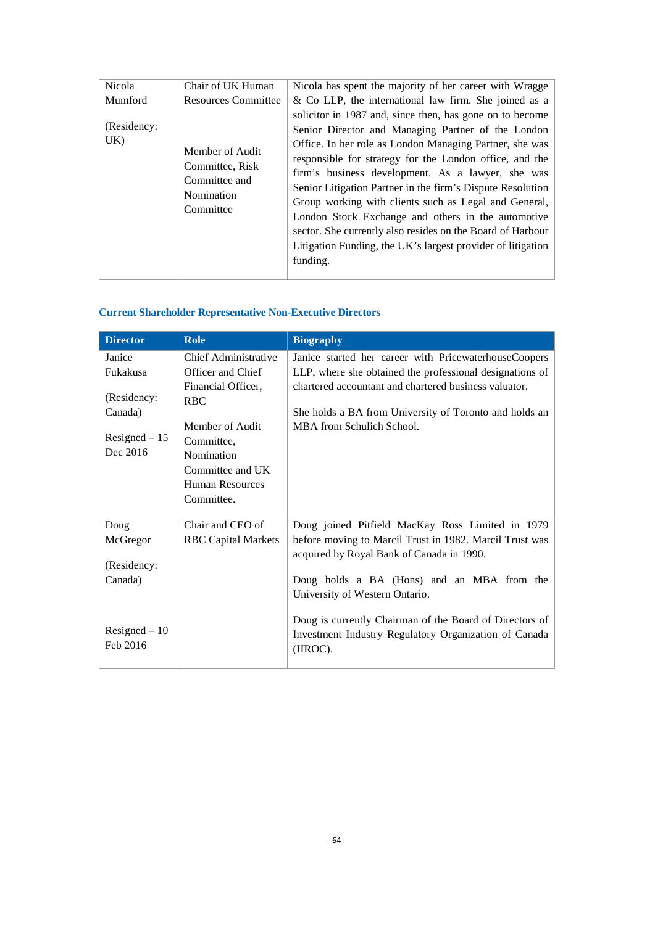| Nicola             | Chair of UK Human                                                              | Nicola has spent the majority of her career with Wragge                                                                                                                                                                                                                                                                                                                                                                                                                                                                                                                                                         |
|--------------------|--------------------------------------------------------------------------------|-----------------------------------------------------------------------------------------------------------------------------------------------------------------------------------------------------------------------------------------------------------------------------------------------------------------------------------------------------------------------------------------------------------------------------------------------------------------------------------------------------------------------------------------------------------------------------------------------------------------|
| Mumford            | <b>Resources Committee</b>                                                     | $\&$ Co LLP, the international law firm. She joined as a                                                                                                                                                                                                                                                                                                                                                                                                                                                                                                                                                        |
| (Residency:<br>UK) | Member of Audit<br>Committee, Risk<br>Committee and<br>Nomination<br>Committee | solicitor in 1987 and, since then, has gone on to become<br>Senior Director and Managing Partner of the London<br>Office. In her role as London Managing Partner, she was<br>responsible for strategy for the London office, and the<br>firm's business development. As a lawyer, she was<br>Senior Litigation Partner in the firm's Dispute Resolution<br>Group working with clients such as Legal and General,<br>London Stock Exchange and others in the automotive<br>sector. She currently also resides on the Board of Harbour<br>Litigation Funding, the UK's largest provider of litigation<br>funding. |

## **Current Shareholder Representative Non-Executive Directors**

| <b>Director</b> | <b>Role</b>                          | <b>Biography</b>                                         |
|-----------------|--------------------------------------|----------------------------------------------------------|
| Janice          | Chief Administrative                 | Janice started her career with PricewaterhouseCoopers    |
| Fukakusa        | Officer and Chief                    | LLP, where she obtained the professional designations of |
|                 | Financial Officer,                   | chartered accountant and chartered business valuator.    |
| (Residency:     | <b>RBC</b>                           |                                                          |
| Canada)         |                                      | She holds a BA from University of Toronto and holds an   |
| Resigned $-15$  | Member of Audit                      | MBA from Schulich School.                                |
| Dec 2016        | Committee.                           |                                                          |
|                 | Nomination                           |                                                          |
|                 | Committee and UK                     |                                                          |
|                 | <b>Human Resources</b><br>Committee. |                                                          |
|                 |                                      |                                                          |
| Doug            | Chair and CEO of                     | Doug joined Pitfield MacKay Ross Limited in 1979         |
| McGregor        | <b>RBC</b> Capital Markets           | before moving to Marcil Trust in 1982. Marcil Trust was  |
|                 |                                      | acquired by Royal Bank of Canada in 1990.                |
| (Residency:     |                                      |                                                          |
| Canada)         |                                      | Doug holds a BA (Hons) and an MBA from the               |
|                 |                                      | University of Western Ontario.                           |
|                 |                                      | Doug is currently Chairman of the Board of Directors of  |
| Resigned $-10$  |                                      | Investment Industry Regulatory Organization of Canada    |
| Feb 2016        |                                      | (IIROC).                                                 |
|                 |                                      |                                                          |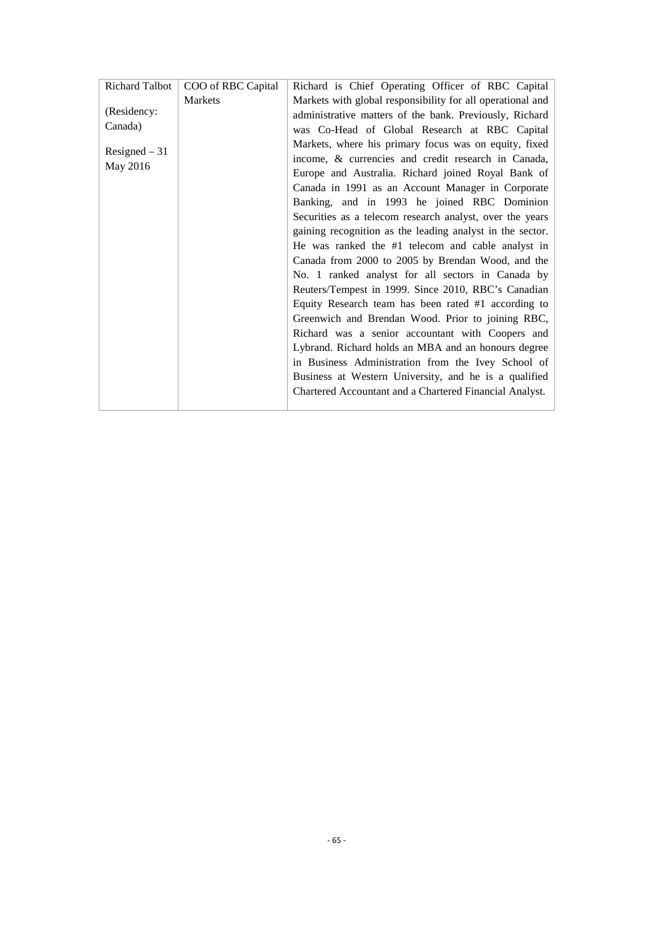| Richard Talbot | COO of RBC Capital | Richard is Chief Operating Officer of RBC Capital          |
|----------------|--------------------|------------------------------------------------------------|
|                | Markets            | Markets with global responsibility for all operational and |
| (Residency:    |                    | administrative matters of the bank. Previously, Richard    |
| Canada)        |                    | was Co-Head of Global Research at RBC Capital              |
|                |                    | Markets, where his primary focus was on equity, fixed      |
| Resigned $-31$ |                    | income, & currencies and credit research in Canada,        |
| May 2016       |                    | Europe and Australia. Richard joined Royal Bank of         |
|                |                    | Canada in 1991 as an Account Manager in Corporate          |
|                |                    | Banking, and in 1993 he joined RBC Dominion                |
|                |                    | Securities as a telecom research analyst, over the years   |
|                |                    | gaining recognition as the leading analyst in the sector.  |
|                |                    | He was ranked the #1 telecom and cable analyst in          |
|                |                    | Canada from 2000 to 2005 by Brendan Wood, and the          |
|                |                    | No. 1 ranked analyst for all sectors in Canada by          |
|                |                    | Reuters/Tempest in 1999. Since 2010, RBC's Canadian        |
|                |                    | Equity Research team has been rated #1 according to        |
|                |                    | Greenwich and Brendan Wood. Prior to joining RBC,          |
|                |                    | Richard was a senior accountant with Coopers and           |
|                |                    | Lybrand. Richard holds an MBA and an honours degree        |
|                |                    | in Business Administration from the Ivey School of         |
|                |                    | Business at Western University, and he is a qualified      |
|                |                    | Chartered Accountant and a Chartered Financial Analyst.    |
|                |                    |                                                            |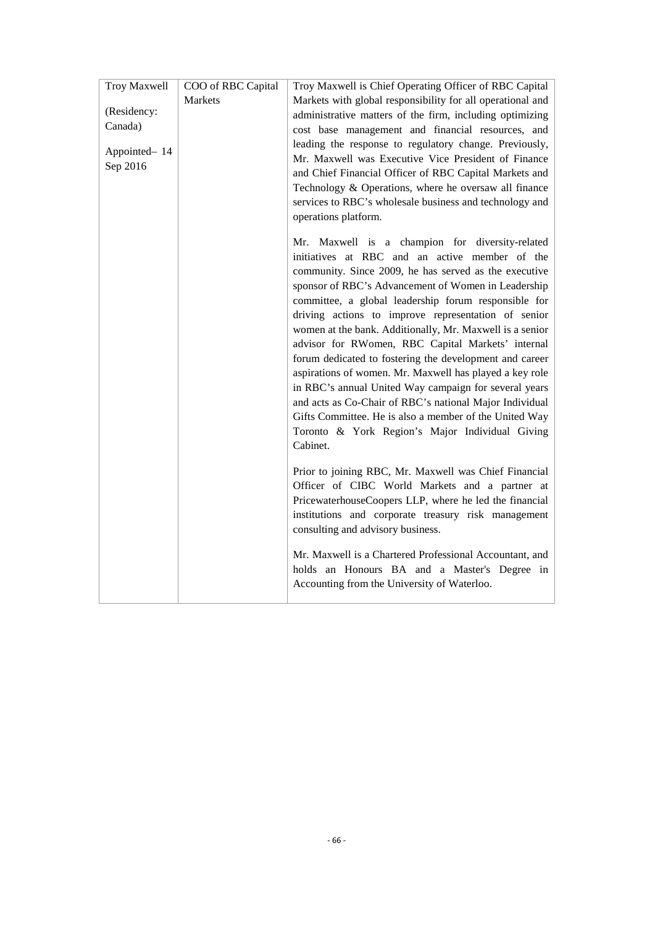| Troy Maxwell                                       | COO of RBC Capital | Troy Maxwell is Chief Operating Officer of RBC Capital                                                                                                                                                                                                                                                                                                                                                                                                                                                                                                                                                                                                                                                                                                                                                               |
|----------------------------------------------------|--------------------|----------------------------------------------------------------------------------------------------------------------------------------------------------------------------------------------------------------------------------------------------------------------------------------------------------------------------------------------------------------------------------------------------------------------------------------------------------------------------------------------------------------------------------------------------------------------------------------------------------------------------------------------------------------------------------------------------------------------------------------------------------------------------------------------------------------------|
| (Residency:<br>Canada)<br>Appointed-14<br>Sep 2016 | Markets            | Markets with global responsibility for all operational and<br>administrative matters of the firm, including optimizing<br>cost base management and financial resources, and<br>leading the response to regulatory change. Previously,<br>Mr. Maxwell was Executive Vice President of Finance<br>and Chief Financial Officer of RBC Capital Markets and<br>Technology & Operations, where he oversaw all finance<br>services to RBC's wholesale business and technology and<br>operations platform.                                                                                                                                                                                                                                                                                                                   |
|                                                    |                    | Mr. Maxwell is a champion for diversity-related<br>initiatives at RBC and an active member of the<br>community. Since 2009, he has served as the executive<br>sponsor of RBC's Advancement of Women in Leadership<br>committee, a global leadership forum responsible for<br>driving actions to improve representation of senior<br>women at the bank. Additionally, Mr. Maxwell is a senior<br>advisor for RWomen, RBC Capital Markets' internal<br>forum dedicated to fostering the development and career<br>aspirations of women. Mr. Maxwell has played a key role<br>in RBC's annual United Way campaign for several years<br>and acts as Co-Chair of RBC's national Major Individual<br>Gifts Committee. He is also a member of the United Way<br>Toronto & York Region's Major Individual Giving<br>Cabinet. |
|                                                    |                    | Prior to joining RBC, Mr. Maxwell was Chief Financial<br>Officer of CIBC World Markets and a partner at<br>PricewaterhouseCoopers LLP, where he led the financial<br>institutions and corporate treasury risk management<br>consulting and advisory business.                                                                                                                                                                                                                                                                                                                                                                                                                                                                                                                                                        |
|                                                    |                    | Mr. Maxwell is a Chartered Professional Accountant, and<br>holds an Honours BA and a Master's Degree in<br>Accounting from the University of Waterloo.                                                                                                                                                                                                                                                                                                                                                                                                                                                                                                                                                                                                                                                               |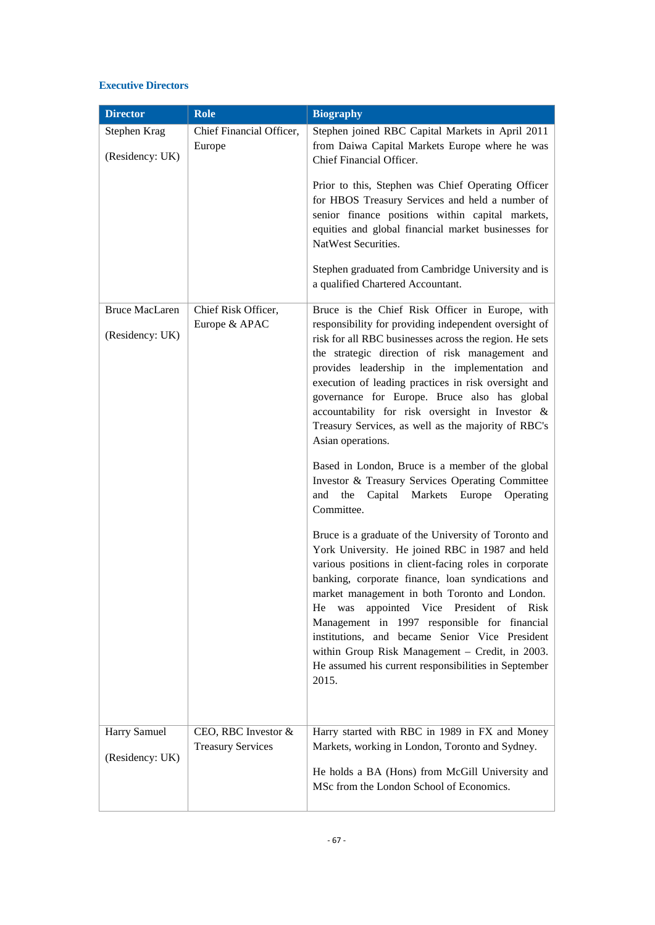#### **Executive Directors**

| <b>Director</b>                          | Role                                 | <b>Biography</b>                                                                                                                                                                                                                                                                                                                                                                                                                                                                                                                              |
|------------------------------------------|--------------------------------------|-----------------------------------------------------------------------------------------------------------------------------------------------------------------------------------------------------------------------------------------------------------------------------------------------------------------------------------------------------------------------------------------------------------------------------------------------------------------------------------------------------------------------------------------------|
| Stephen Krag<br>(Residency: UK)          | Chief Financial Officer,<br>Europe   | Stephen joined RBC Capital Markets in April 2011<br>from Daiwa Capital Markets Europe where he was<br>Chief Financial Officer.                                                                                                                                                                                                                                                                                                                                                                                                                |
|                                          |                                      | Prior to this, Stephen was Chief Operating Officer<br>for HBOS Treasury Services and held a number of<br>senior finance positions within capital markets,<br>equities and global financial market businesses for<br>NatWest Securities.                                                                                                                                                                                                                                                                                                       |
|                                          |                                      | Stephen graduated from Cambridge University and is<br>a qualified Chartered Accountant.                                                                                                                                                                                                                                                                                                                                                                                                                                                       |
| <b>Bruce MacLaren</b><br>(Residency: UK) | Chief Risk Officer,<br>Europe & APAC | Bruce is the Chief Risk Officer in Europe, with<br>responsibility for providing independent oversight of<br>risk for all RBC businesses across the region. He sets<br>the strategic direction of risk management and<br>provides leadership in the implementation and<br>execution of leading practices in risk oversight and<br>governance for Europe. Bruce also has global<br>accountability for risk oversight in Investor &<br>Treasury Services, as well as the majority of RBC's<br>Asian operations.                                  |
|                                          |                                      | Based in London, Bruce is a member of the global<br>Investor & Treasury Services Operating Committee<br>the Capital Markets Europe<br>and<br>Operating<br>Committee.                                                                                                                                                                                                                                                                                                                                                                          |
|                                          |                                      | Bruce is a graduate of the University of Toronto and<br>York University. He joined RBC in 1987 and held<br>various positions in client-facing roles in corporate<br>banking, corporate finance, loan syndications and<br>market management in both Toronto and London.<br>appointed Vice President of Risk<br>He<br>was<br>Management in 1997 responsible for financial<br>institutions, and became Senior Vice President<br>within Group Risk Management - Credit, in 2003.<br>He assumed his current responsibilities in September<br>2015. |
| Harry Samuel                             | CEO, RBC Investor &                  | Harry started with RBC in 1989 in FX and Money                                                                                                                                                                                                                                                                                                                                                                                                                                                                                                |
| (Residency: UK)                          | <b>Treasury Services</b>             | Markets, working in London, Toronto and Sydney.<br>He holds a BA (Hons) from McGill University and<br>MSc from the London School of Economics.                                                                                                                                                                                                                                                                                                                                                                                                |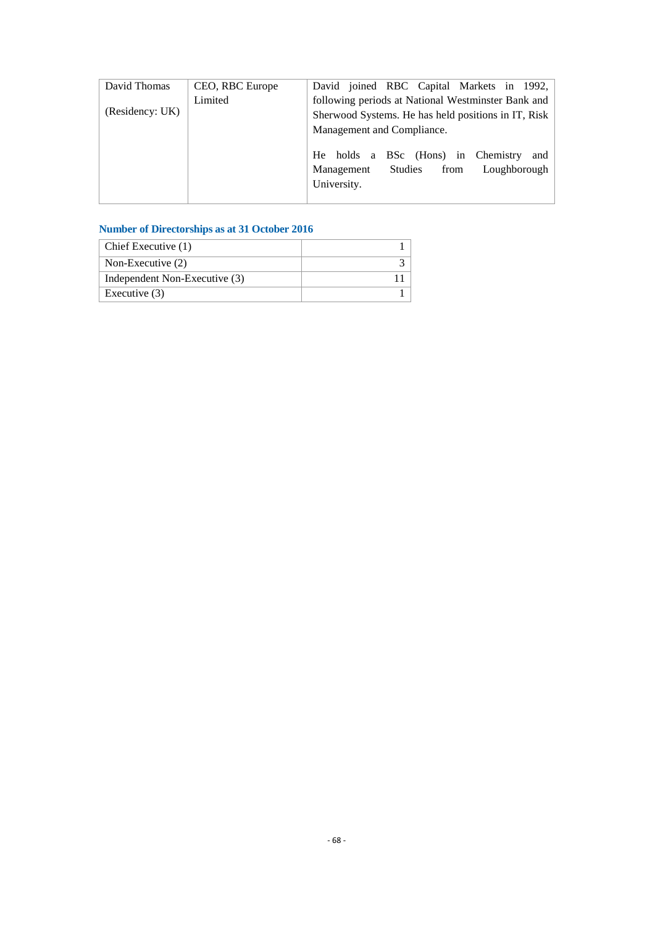| David Thomas    | CEO, RBC Europe | David joined RBC Capital Markets in 1992,           |  |  |
|-----------------|-----------------|-----------------------------------------------------|--|--|
| (Residency: UK) | Limited         | following periods at National Westminster Bank and  |  |  |
|                 |                 | Sherwood Systems. He has held positions in IT, Risk |  |  |
|                 |                 | Management and Compliance.                          |  |  |
|                 |                 | He holds a BSc (Hons) in Chemistry<br>and           |  |  |
|                 |                 | Loughborough<br>Studies<br>from<br>Management       |  |  |
|                 |                 | University.                                         |  |  |
|                 |                 |                                                     |  |  |

## **Number of Directorships as at 31 October 2016**

| Chief Executive (1)           |  |
|-------------------------------|--|
| Non-Executive $(2)$           |  |
| Independent Non-Executive (3) |  |
| Executive $(3)$               |  |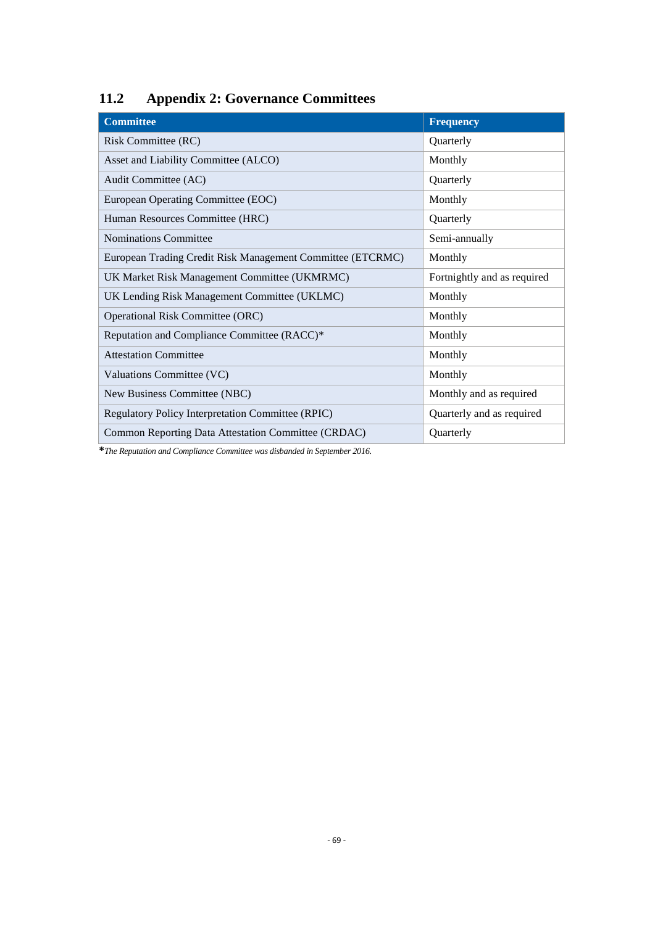## **11.2 Appendix 2: Governance Committees**

| <b>Committee</b>                                           | <b>Frequency</b>            |
|------------------------------------------------------------|-----------------------------|
| Risk Committee (RC)                                        | Quarterly                   |
| Asset and Liability Committee (ALCO)                       | Monthly                     |
| Audit Committee (AC)                                       | Quarterly                   |
| European Operating Committee (EOC)                         | Monthly                     |
| Human Resources Committee (HRC)                            | Quarterly                   |
| <b>Nominations Committee</b>                               | Semi-annually               |
| European Trading Credit Risk Management Committee (ETCRMC) | Monthly                     |
| UK Market Risk Management Committee (UKMRMC)               | Fortnightly and as required |
| UK Lending Risk Management Committee (UKLMC)               | Monthly                     |
| <b>Operational Risk Committee (ORC)</b>                    | Monthly                     |
| Reputation and Compliance Committee (RACC)*                | Monthly                     |
| <b>Attestation Committee</b>                               | Monthly                     |
| Valuations Committee (VC)                                  | Monthly                     |
| New Business Committee (NBC)                               | Monthly and as required     |
| Regulatory Policy Interpretation Committee (RPIC)          | Quarterly and as required   |
| Common Reporting Data Attestation Committee (CRDAC)        | Quarterly                   |

**\****The Reputation and Compliance Committee was disbanded in September 2016.*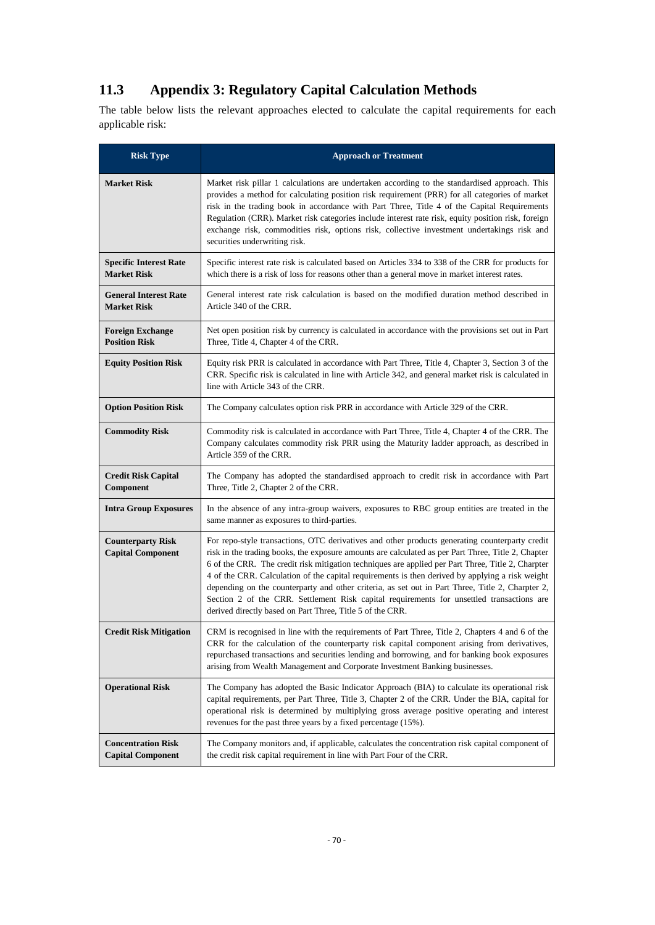## **11.3 Appendix 3: Regulatory Capital Calculation Methods**

The table below lists the relevant approaches elected to calculate the capital requirements for each applicable risk:

| <b>Risk Type</b>                                      | <b>Approach or Treatment</b>                                                                                                                                                                                                                                                                                                                                                                                                                                                                                                                                                                                                                                               |  |  |  |  |  |  |  |
|-------------------------------------------------------|----------------------------------------------------------------------------------------------------------------------------------------------------------------------------------------------------------------------------------------------------------------------------------------------------------------------------------------------------------------------------------------------------------------------------------------------------------------------------------------------------------------------------------------------------------------------------------------------------------------------------------------------------------------------------|--|--|--|--|--|--|--|
| <b>Market Risk</b>                                    | Market risk pillar 1 calculations are undertaken according to the standardised approach. This<br>provides a method for calculating position risk requirement (PRR) for all categories of market<br>risk in the trading book in accordance with Part Three, Title 4 of the Capital Requirements<br>Regulation (CRR). Market risk categories include interest rate risk, equity position risk, foreign<br>exchange risk, commodities risk, options risk, collective investment undertakings risk and<br>securities underwriting risk.                                                                                                                                        |  |  |  |  |  |  |  |
| <b>Specific Interest Rate</b><br><b>Market Risk</b>   | Specific interest rate risk is calculated based on Articles 334 to 338 of the CRR for products for<br>which there is a risk of loss for reasons other than a general move in market interest rates.                                                                                                                                                                                                                                                                                                                                                                                                                                                                        |  |  |  |  |  |  |  |
| <b>General Interest Rate</b><br><b>Market Risk</b>    | General interest rate risk calculation is based on the modified duration method described in<br>Article 340 of the CRR.                                                                                                                                                                                                                                                                                                                                                                                                                                                                                                                                                    |  |  |  |  |  |  |  |
| <b>Foreign Exchange</b><br><b>Position Risk</b>       | Net open position risk by currency is calculated in accordance with the provisions set out in Part<br>Three, Title 4, Chapter 4 of the CRR.                                                                                                                                                                                                                                                                                                                                                                                                                                                                                                                                |  |  |  |  |  |  |  |
| <b>Equity Position Risk</b>                           | Equity risk PRR is calculated in accordance with Part Three, Title 4, Chapter 3, Section 3 of the<br>CRR. Specific risk is calculated in line with Article 342, and general market risk is calculated in<br>line with Article 343 of the CRR.                                                                                                                                                                                                                                                                                                                                                                                                                              |  |  |  |  |  |  |  |
| <b>Option Position Risk</b>                           | The Company calculates option risk PRR in accordance with Article 329 of the CRR.                                                                                                                                                                                                                                                                                                                                                                                                                                                                                                                                                                                          |  |  |  |  |  |  |  |
| <b>Commodity Risk</b>                                 | Commodity risk is calculated in accordance with Part Three, Title 4, Chapter 4 of the CRR. The<br>Company calculates commodity risk PRR using the Maturity ladder approach, as described in<br>Article 359 of the CRR.                                                                                                                                                                                                                                                                                                                                                                                                                                                     |  |  |  |  |  |  |  |
| <b>Credit Risk Capital</b><br>Component               | The Company has adopted the standardised approach to credit risk in accordance with Part<br>Three, Title 2, Chapter 2 of the CRR.                                                                                                                                                                                                                                                                                                                                                                                                                                                                                                                                          |  |  |  |  |  |  |  |
| <b>Intra Group Exposures</b>                          | In the absence of any intra-group waivers, exposures to RBC group entities are treated in the<br>same manner as exposures to third-parties.                                                                                                                                                                                                                                                                                                                                                                                                                                                                                                                                |  |  |  |  |  |  |  |
| <b>Counterparty Risk</b><br><b>Capital Component</b>  | For repo-style transactions, OTC derivatives and other products generating counterparty credit<br>risk in the trading books, the exposure amounts are calculated as per Part Three, Title 2, Chapter<br>6 of the CRR. The credit risk mitigation techniques are applied per Part Three, Title 2, Charpter<br>4 of the CRR. Calculation of the capital requirements is then derived by applying a risk weight<br>depending on the counterparty and other criteria, as set out in Part Three, Title 2, Charpter 2,<br>Section 2 of the CRR. Settlement Risk capital requirements for unsettled transactions are<br>derived directly based on Part Three, Title 5 of the CRR. |  |  |  |  |  |  |  |
| <b>Credit Risk Mitigation</b>                         | CRM is recognised in line with the requirements of Part Three, Title 2, Chapters 4 and 6 of the<br>CRR for the calculation of the counterparty risk capital component arising from derivatives,<br>repurchased transactions and securities lending and borrowing, and for banking book exposures<br>arising from Wealth Management and Corporate Investment Banking businesses.                                                                                                                                                                                                                                                                                            |  |  |  |  |  |  |  |
| <b>Operational Risk</b>                               | The Company has adopted the Basic Indicator Approach (BIA) to calculate its operational risk<br>capital requirements, per Part Three, Title 3, Chapter 2 of the CRR. Under the BIA, capital for<br>operational risk is determined by multiplying gross average positive operating and interest<br>revenues for the past three years by a fixed percentage (15%).                                                                                                                                                                                                                                                                                                           |  |  |  |  |  |  |  |
| <b>Concentration Risk</b><br><b>Capital Component</b> | The Company monitors and, if applicable, calculates the concentration risk capital component of<br>the credit risk capital requirement in line with Part Four of the CRR.                                                                                                                                                                                                                                                                                                                                                                                                                                                                                                  |  |  |  |  |  |  |  |